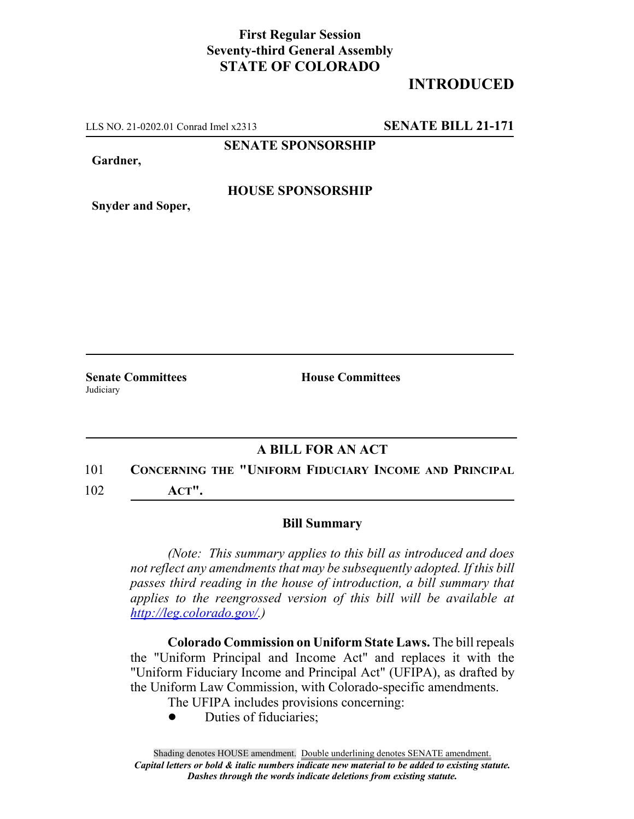## **First Regular Session Seventy-third General Assembly STATE OF COLORADO**

## **INTRODUCED**

LLS NO. 21-0202.01 Conrad Imel x2313 **SENATE BILL 21-171**

**SENATE SPONSORSHIP**

**Gardner,**

#### **HOUSE SPONSORSHIP**

**Snyder and Soper,**

**Judiciary** 

**Senate Committees House Committees** 

### **A BILL FOR AN ACT**

# 101 **CONCERNING THE "UNIFORM FIDUCIARY INCOME AND PRINCIPAL**

102 **ACT".**

#### **Bill Summary**

*(Note: This summary applies to this bill as introduced and does not reflect any amendments that may be subsequently adopted. If this bill passes third reading in the house of introduction, a bill summary that applies to the reengrossed version of this bill will be available at http://leg.colorado.gov/.)*

**Colorado Commission on Uniform State Laws.** The bill repeals the "Uniform Principal and Income Act" and replaces it with the "Uniform Fiduciary Income and Principal Act" (UFIPA), as drafted by the Uniform Law Commission, with Colorado-specific amendments.

The UFIPA includes provisions concerning:

Duties of fiduciaries;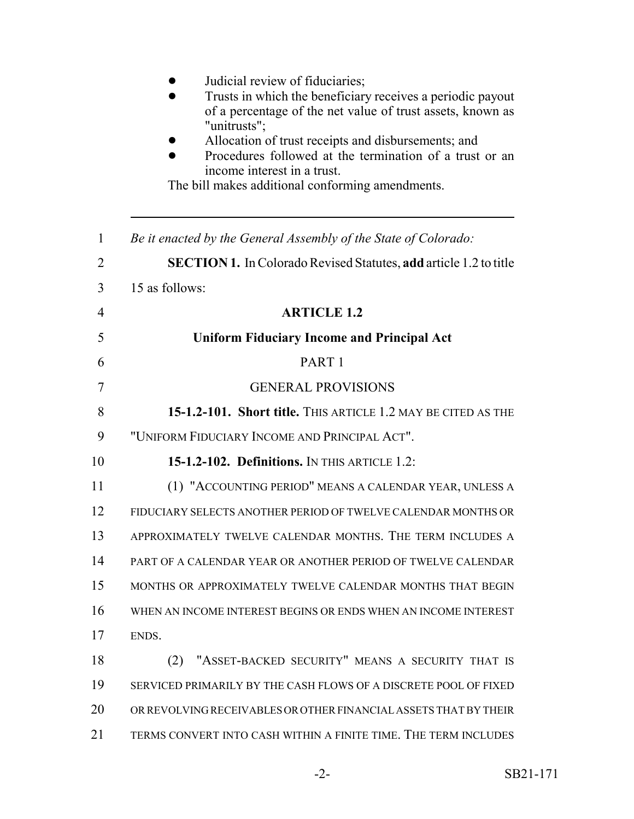|    | Judicial review of fiduciaries;<br>Trusts in which the beneficiary receives a periodic payout<br>of a percentage of the net value of trust assets, known as<br>"unitrusts";<br>Allocation of trust receipts and disbursements; and<br>Procedures followed at the termination of a trust or an<br>income interest in a trust.<br>The bill makes additional conforming amendments. |
|----|----------------------------------------------------------------------------------------------------------------------------------------------------------------------------------------------------------------------------------------------------------------------------------------------------------------------------------------------------------------------------------|
| 1  | Be it enacted by the General Assembly of the State of Colorado:                                                                                                                                                                                                                                                                                                                  |
| 2  | <b>SECTION 1.</b> In Colorado Revised Statutes, add article 1.2 to title                                                                                                                                                                                                                                                                                                         |
| 3  | 15 as follows:                                                                                                                                                                                                                                                                                                                                                                   |
| 4  | <b>ARTICLE 1.2</b>                                                                                                                                                                                                                                                                                                                                                               |
| 5  | <b>Uniform Fiduciary Income and Principal Act</b>                                                                                                                                                                                                                                                                                                                                |
| 6  | PART <sub>1</sub>                                                                                                                                                                                                                                                                                                                                                                |
| 7  | <b>GENERAL PROVISIONS</b>                                                                                                                                                                                                                                                                                                                                                        |
| 8  | 15-1.2-101. Short title. THIS ARTICLE 1.2 MAY BE CITED AS THE                                                                                                                                                                                                                                                                                                                    |
| 9  | "UNIFORM FIDUCIARY INCOME AND PRINCIPAL ACT".                                                                                                                                                                                                                                                                                                                                    |
| 10 | 15-1.2-102. Definitions. IN THIS ARTICLE 1.2:                                                                                                                                                                                                                                                                                                                                    |
| 11 | (1) "ACCOUNTING PERIOD" MEANS A CALENDAR YEAR, UNLESS A                                                                                                                                                                                                                                                                                                                          |
| 12 | FIDUCIARY SELECTS ANOTHER PERIOD OF TWELVE CALENDAR MONTHS OR                                                                                                                                                                                                                                                                                                                    |
| 13 | APPROXIMATELY TWELVE CALENDAR MONTHS. THE TERM INCLUDES A                                                                                                                                                                                                                                                                                                                        |
| 14 | PART OF A CALENDAR YEAR OR ANOTHER PERIOD OF TWELVE CALENDAR                                                                                                                                                                                                                                                                                                                     |
| 15 | MONTHS OR APPROXIMATELY TWELVE CALENDAR MONTHS THAT BEGIN                                                                                                                                                                                                                                                                                                                        |
| 16 | WHEN AN INCOME INTEREST BEGINS OR ENDS WHEN AN INCOME INTEREST                                                                                                                                                                                                                                                                                                                   |
| 17 | ENDS.                                                                                                                                                                                                                                                                                                                                                                            |
| 18 | "ASSET-BACKED SECURITY" MEANS A SECURITY THAT IS<br>(2)                                                                                                                                                                                                                                                                                                                          |
| 19 | SERVICED PRIMARILY BY THE CASH FLOWS OF A DISCRETE POOL OF FIXED                                                                                                                                                                                                                                                                                                                 |
| 20 | OR REVOLVING RECEIVABLES OR OTHER FINANCIAL ASSETS THAT BY THEIR                                                                                                                                                                                                                                                                                                                 |
| 21 | TERMS CONVERT INTO CASH WITHIN A FINITE TIME. THE TERM INCLUDES                                                                                                                                                                                                                                                                                                                  |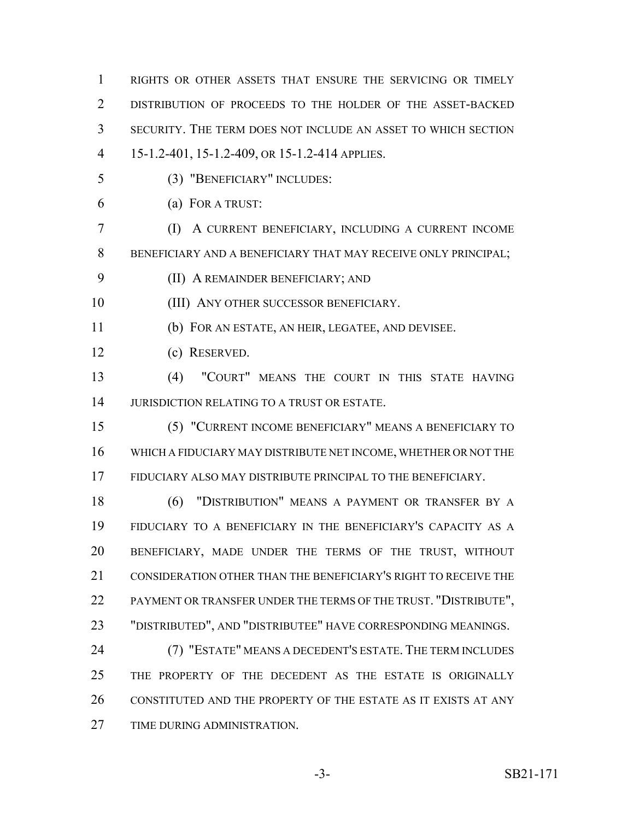RIGHTS OR OTHER ASSETS THAT ENSURE THE SERVICING OR TIMELY DISTRIBUTION OF PROCEEDS TO THE HOLDER OF THE ASSET-BACKED SECURITY. THE TERM DOES NOT INCLUDE AN ASSET TO WHICH SECTION 15-1.2-401, 15-1.2-409, OR 15-1.2-414 APPLIES.

- (3) "BENEFICIARY" INCLUDES:
- 

(a) FOR A TRUST:

 (I) A CURRENT BENEFICIARY, INCLUDING A CURRENT INCOME BENEFICIARY AND A BENEFICIARY THAT MAY RECEIVE ONLY PRINCIPAL;

(II) A REMAINDER BENEFICIARY; AND

10 (III) ANY OTHER SUCCESSOR BENEFICIARY.

(b) FOR AN ESTATE, AN HEIR, LEGATEE, AND DEVISEE.

(c) RESERVED.

 (4) "COURT" MEANS THE COURT IN THIS STATE HAVING JURISDICTION RELATING TO A TRUST OR ESTATE.

 (5) "CURRENT INCOME BENEFICIARY" MEANS A BENEFICIARY TO WHICH A FIDUCIARY MAY DISTRIBUTE NET INCOME, WHETHER OR NOT THE FIDUCIARY ALSO MAY DISTRIBUTE PRINCIPAL TO THE BENEFICIARY.

 (6) "DISTRIBUTION" MEANS A PAYMENT OR TRANSFER BY A FIDUCIARY TO A BENEFICIARY IN THE BENEFICIARY'S CAPACITY AS A BENEFICIARY, MADE UNDER THE TERMS OF THE TRUST, WITHOUT 21 CONSIDERATION OTHER THAN THE BENEFICIARY'S RIGHT TO RECEIVE THE 22 PAYMENT OR TRANSFER UNDER THE TERMS OF THE TRUST. "DISTRIBUTE", "DISTRIBUTED", AND "DISTRIBUTEE" HAVE CORRESPONDING MEANINGS.

 (7) "ESTATE" MEANS A DECEDENT'S ESTATE. THE TERM INCLUDES THE PROPERTY OF THE DECEDENT AS THE ESTATE IS ORIGINALLY CONSTITUTED AND THE PROPERTY OF THE ESTATE AS IT EXISTS AT ANY TIME DURING ADMINISTRATION.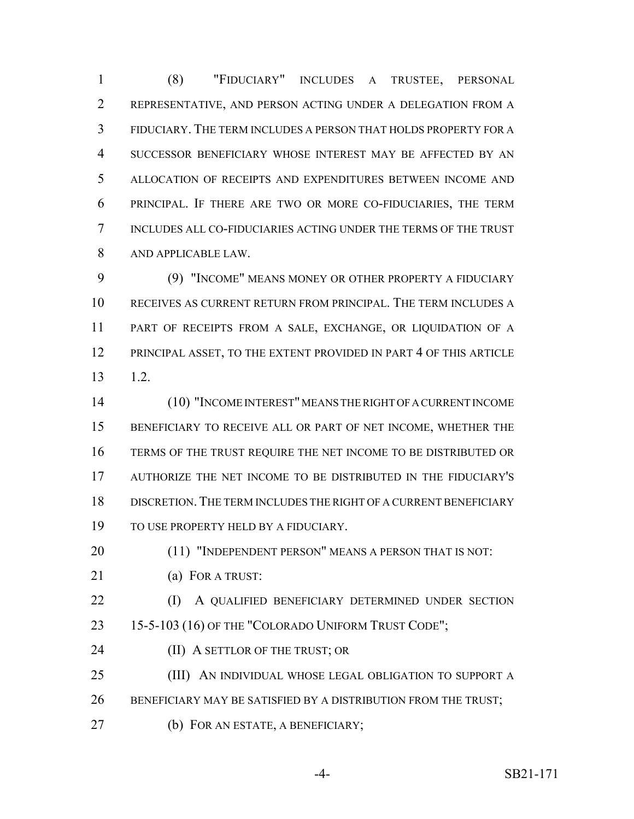(8) "FIDUCIARY" INCLUDES A TRUSTEE, PERSONAL REPRESENTATIVE, AND PERSON ACTING UNDER A DELEGATION FROM A FIDUCIARY. THE TERM INCLUDES A PERSON THAT HOLDS PROPERTY FOR A SUCCESSOR BENEFICIARY WHOSE INTEREST MAY BE AFFECTED BY AN ALLOCATION OF RECEIPTS AND EXPENDITURES BETWEEN INCOME AND PRINCIPAL. IF THERE ARE TWO OR MORE CO-FIDUCIARIES, THE TERM INCLUDES ALL CO-FIDUCIARIES ACTING UNDER THE TERMS OF THE TRUST AND APPLICABLE LAW.

 (9) "INCOME" MEANS MONEY OR OTHER PROPERTY A FIDUCIARY RECEIVES AS CURRENT RETURN FROM PRINCIPAL. THE TERM INCLUDES A PART OF RECEIPTS FROM A SALE, EXCHANGE, OR LIQUIDATION OF A 12 PRINCIPAL ASSET, TO THE EXTENT PROVIDED IN PART 4 OF THIS ARTICLE 1.2.

 (10) "INCOME INTEREST" MEANS THE RIGHT OF A CURRENT INCOME BENEFICIARY TO RECEIVE ALL OR PART OF NET INCOME, WHETHER THE TERMS OF THE TRUST REQUIRE THE NET INCOME TO BE DISTRIBUTED OR AUTHORIZE THE NET INCOME TO BE DISTRIBUTED IN THE FIDUCIARY'S DISCRETION.THE TERM INCLUDES THE RIGHT OF A CURRENT BENEFICIARY TO USE PROPERTY HELD BY A FIDUCIARY.

20 (11) "INDEPENDENT PERSON" MEANS A PERSON THAT IS NOT:

- (a) FOR A TRUST:
- 22 (I) A QUALIFIED BENEFICIARY DETERMINED UNDER SECTION 23 15-5-103 (16) OF THE "COLORADO UNIFORM TRUST CODE";
- **(II) A SETTLOR OF THE TRUST; OR**

(III) AN INDIVIDUAL WHOSE LEGAL OBLIGATION TO SUPPORT A

- 26 BENEFICIARY MAY BE SATISFIED BY A DISTRIBUTION FROM THE TRUST;
- (b) FOR AN ESTATE, A BENEFICIARY;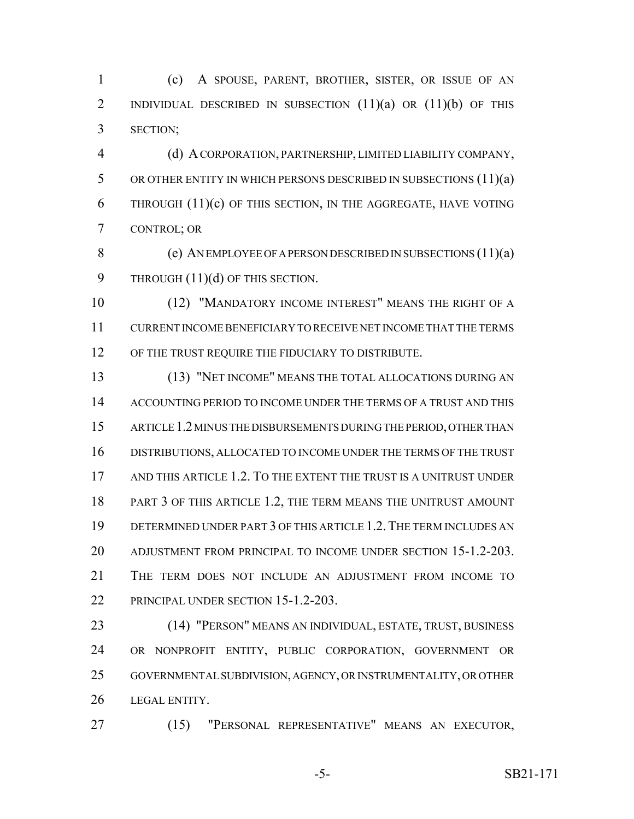(c) A SPOUSE, PARENT, BROTHER, SISTER, OR ISSUE OF AN 2 INDIVIDUAL DESCRIBED IN SUBSECTION (11)(a) OR (11)(b) OF THIS SECTION;

 (d) A CORPORATION, PARTNERSHIP, LIMITED LIABILITY COMPANY, OR OTHER ENTITY IN WHICH PERSONS DESCRIBED IN SUBSECTIONS (11)(a) 6 THROUGH  $(11)(c)$  OF THIS SECTION, IN THE AGGREGATE, HAVE VOTING CONTROL; OR

 (e) AN EMPLOYEE OF A PERSON DESCRIBED IN SUBSECTIONS (11)(a) 9 THROUGH  $(11)(d)$  OF THIS SECTION.

 (12) "MANDATORY INCOME INTEREST" MEANS THE RIGHT OF A CURRENT INCOME BENEFICIARY TO RECEIVE NET INCOME THAT THE TERMS 12 OF THE TRUST REQUIRE THE FIDUCIARY TO DISTRIBUTE.

 (13) "NET INCOME" MEANS THE TOTAL ALLOCATIONS DURING AN ACCOUNTING PERIOD TO INCOME UNDER THE TERMS OF A TRUST AND THIS ARTICLE 1.2 MINUS THE DISBURSEMENTS DURING THE PERIOD, OTHER THAN DISTRIBUTIONS, ALLOCATED TO INCOME UNDER THE TERMS OF THE TRUST AND THIS ARTICLE 1.2. TO THE EXTENT THE TRUST IS A UNITRUST UNDER PART 3 OF THIS ARTICLE 1.2, THE TERM MEANS THE UNITRUST AMOUNT DETERMINED UNDER PART 3 OF THIS ARTICLE 1.2.THE TERM INCLUDES AN ADJUSTMENT FROM PRINCIPAL TO INCOME UNDER SECTION 15-1.2-203. THE TERM DOES NOT INCLUDE AN ADJUSTMENT FROM INCOME TO 22 PRINCIPAL UNDER SECTION 15-1.2-203.

 (14) "PERSON" MEANS AN INDIVIDUAL, ESTATE, TRUST, BUSINESS OR NONPROFIT ENTITY, PUBLIC CORPORATION, GOVERNMENT OR GOVERNMENTAL SUBDIVISION, AGENCY, OR INSTRUMENTALITY, OR OTHER LEGAL ENTITY.

(15) "PERSONAL REPRESENTATIVE" MEANS AN EXECUTOR,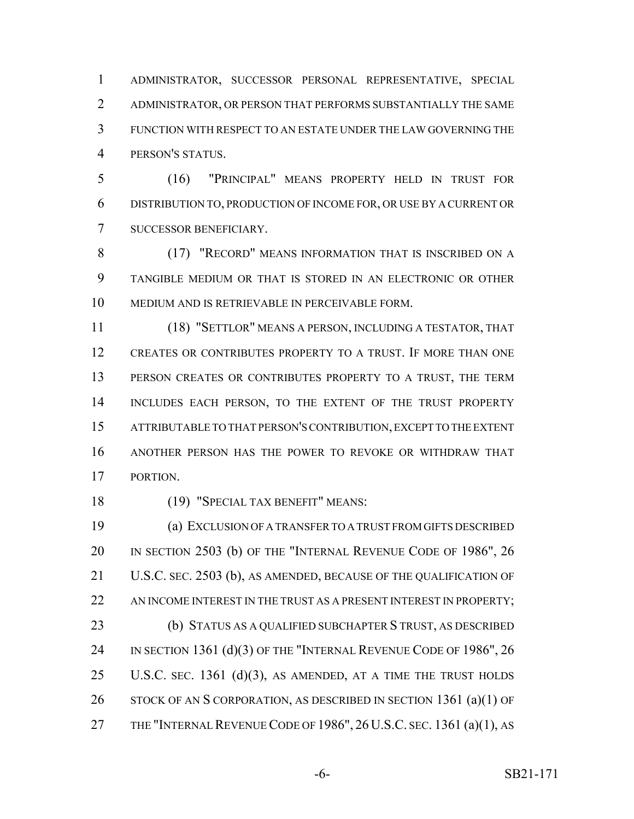ADMINISTRATOR, SUCCESSOR PERSONAL REPRESENTATIVE, SPECIAL ADMINISTRATOR, OR PERSON THAT PERFORMS SUBSTANTIALLY THE SAME FUNCTION WITH RESPECT TO AN ESTATE UNDER THE LAW GOVERNING THE PERSON'S STATUS.

 (16) "PRINCIPAL" MEANS PROPERTY HELD IN TRUST FOR DISTRIBUTION TO, PRODUCTION OF INCOME FOR, OR USE BY A CURRENT OR SUCCESSOR BENEFICIARY.

 (17) "RECORD" MEANS INFORMATION THAT IS INSCRIBED ON A TANGIBLE MEDIUM OR THAT IS STORED IN AN ELECTRONIC OR OTHER MEDIUM AND IS RETRIEVABLE IN PERCEIVABLE FORM.

 (18) "SETTLOR" MEANS A PERSON, INCLUDING A TESTATOR, THAT CREATES OR CONTRIBUTES PROPERTY TO A TRUST. IF MORE THAN ONE 13 PERSON CREATES OR CONTRIBUTES PROPERTY TO A TRUST, THE TERM 14 INCLUDES EACH PERSON, TO THE EXTENT OF THE TRUST PROPERTY ATTRIBUTABLE TO THAT PERSON'S CONTRIBUTION, EXCEPT TO THE EXTENT ANOTHER PERSON HAS THE POWER TO REVOKE OR WITHDRAW THAT PORTION.

18 (19) "SPECIAL TAX BENEFIT" MEANS:

 (a) EXCLUSION OF A TRANSFER TO A TRUST FROM GIFTS DESCRIBED 20 IN SECTION 2503 (b) OF THE "INTERNAL REVENUE CODE OF 1986", 26 U.S.C. SEC. 2503 (b), AS AMENDED, BECAUSE OF THE QUALIFICATION OF 22 AN INCOME INTEREST IN THE TRUST AS A PRESENT INTEREST IN PROPERTY; (b) STATUS AS A QUALIFIED SUBCHAPTER S TRUST, AS DESCRIBED 24 IN SECTION 1361 (d)(3) OF THE "INTERNAL REVENUE CODE OF 1986", 26 25 U.S.C. SEC. 1361  $(d)(3)$ , AS AMENDED, AT A TIME THE TRUST HOLDS 26 STOCK OF AN S CORPORATION, AS DESCRIBED IN SECTION 1361 (a)(1) OF 27 THE "INTERNAL REVENUE CODE OF 1986", 26 U.S.C. SEC. 1361 (a)(1), AS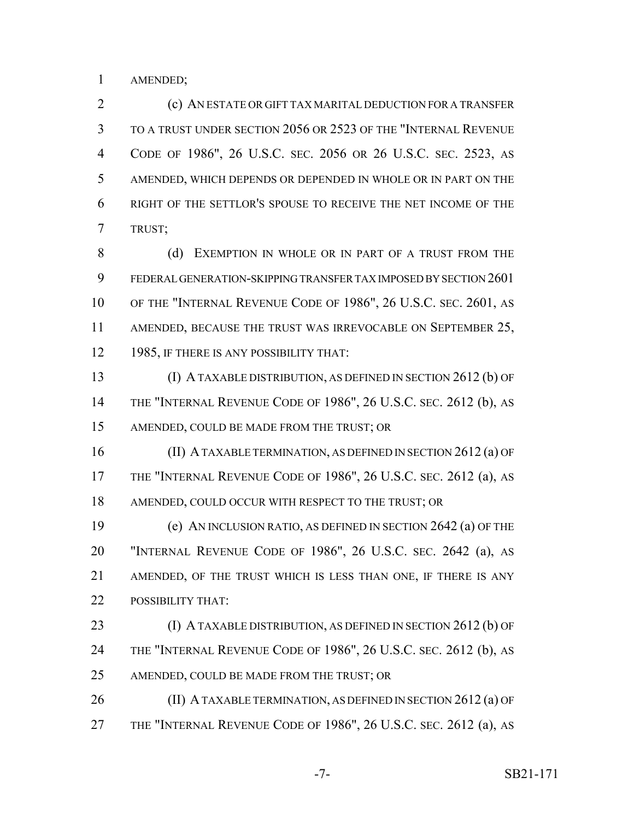AMENDED;

 (c) AN ESTATE OR GIFT TAX MARITAL DEDUCTION FOR A TRANSFER TO A TRUST UNDER SECTION 2056 OR 2523 OF THE "INTERNAL REVENUE CODE OF 1986", 26 U.S.C. SEC. 2056 OR 26 U.S.C. SEC. 2523, AS AMENDED, WHICH DEPENDS OR DEPENDED IN WHOLE OR IN PART ON THE RIGHT OF THE SETTLOR'S SPOUSE TO RECEIVE THE NET INCOME OF THE TRUST;

8 (d) EXEMPTION IN WHOLE OR IN PART OF A TRUST FROM THE FEDERAL GENERATION-SKIPPING TRANSFER TAX IMPOSED BY SECTION 2601 OF THE "INTERNAL REVENUE CODE OF 1986", 26 U.S.C. SEC. 2601, AS 11 AMENDED, BECAUSE THE TRUST WAS IRREVOCABLE ON SEPTEMBER 25, 12 1985, IF THERE IS ANY POSSIBILITY THAT:

 (I) A TAXABLE DISTRIBUTION, AS DEFINED IN SECTION 2612 (b) OF THE "INTERNAL REVENUE CODE OF 1986", 26 U.S.C. SEC. 2612 (b), AS AMENDED, COULD BE MADE FROM THE TRUST; OR

 (II) A TAXABLE TERMINATION, AS DEFINED IN SECTION 2612 (a) OF THE "INTERNAL REVENUE CODE OF 1986", 26 U.S.C. SEC. 2612 (a), AS 18 AMENDED, COULD OCCUR WITH RESPECT TO THE TRUST; OR

 (e) AN INCLUSION RATIO, AS DEFINED IN SECTION 2642 (a) OF THE "INTERNAL REVENUE CODE OF 1986", 26 U.S.C. SEC. 2642 (a), AS AMENDED, OF THE TRUST WHICH IS LESS THAN ONE, IF THERE IS ANY POSSIBILITY THAT:

23 (I) A TAXABLE DISTRIBUTION, AS DEFINED IN SECTION 2612 (b) OF 24 THE "INTERNAL REVENUE CODE OF 1986", 26 U.S.C. SEC. 2612 (b), AS 25 AMENDED, COULD BE MADE FROM THE TRUST; OR

**(II) A TAXABLE TERMINATION, AS DEFINED IN SECTION 2612 (a) OF** THE "INTERNAL REVENUE CODE OF 1986", 26 U.S.C. SEC. 2612 (a), AS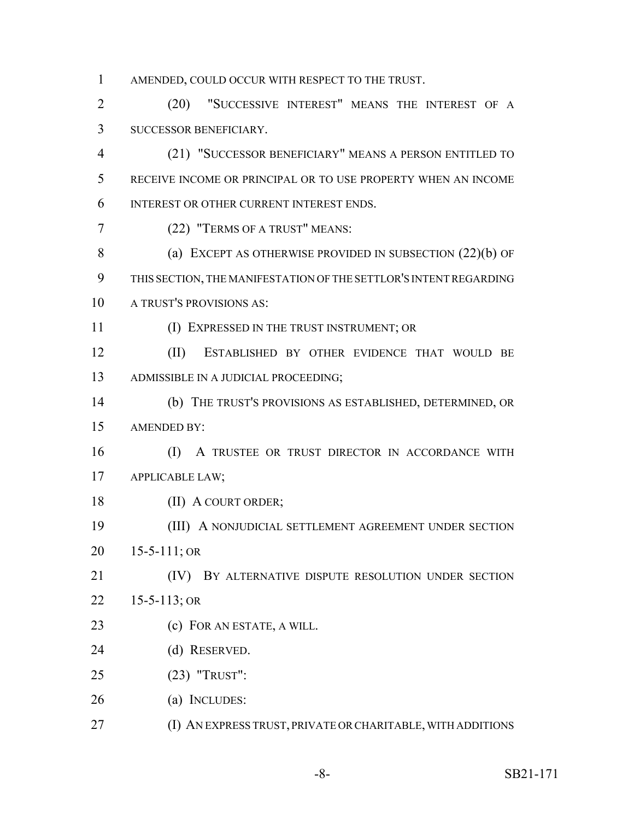AMENDED, COULD OCCUR WITH RESPECT TO THE TRUST.

 (20) "SUCCESSIVE INTEREST" MEANS THE INTEREST OF A SUCCESSOR BENEFICIARY.

 (21) "SUCCESSOR BENEFICIARY" MEANS A PERSON ENTITLED TO RECEIVE INCOME OR PRINCIPAL OR TO USE PROPERTY WHEN AN INCOME INTEREST OR OTHER CURRENT INTEREST ENDS.

(22) "TERMS OF A TRUST" MEANS:

8 (a) EXCEPT AS OTHERWISE PROVIDED IN SUBSECTION (22)(b) OF THIS SECTION, THE MANIFESTATION OF THE SETTLOR'S INTENT REGARDING A TRUST'S PROVISIONS AS:

(I) EXPRESSED IN THE TRUST INSTRUMENT; OR

 (II) ESTABLISHED BY OTHER EVIDENCE THAT WOULD BE ADMISSIBLE IN A JUDICIAL PROCEEDING;

 (b) THE TRUST'S PROVISIONS AS ESTABLISHED, DETERMINED, OR AMENDED BY:

 (I) A TRUSTEE OR TRUST DIRECTOR IN ACCORDANCE WITH APPLICABLE LAW;

18 (II) A COURT ORDER;

 (III) A NONJUDICIAL SETTLEMENT AGREEMENT UNDER SECTION 15-5-111; OR

 (IV) BY ALTERNATIVE DISPUTE RESOLUTION UNDER SECTION 15-5-113; OR

- 23 (c) FOR AN ESTATE, A WILL.
- (d) RESERVED.
- (23) "TRUST":
- (a) INCLUDES:
- (I) AN EXPRESS TRUST, PRIVATE OR CHARITABLE, WITH ADDITIONS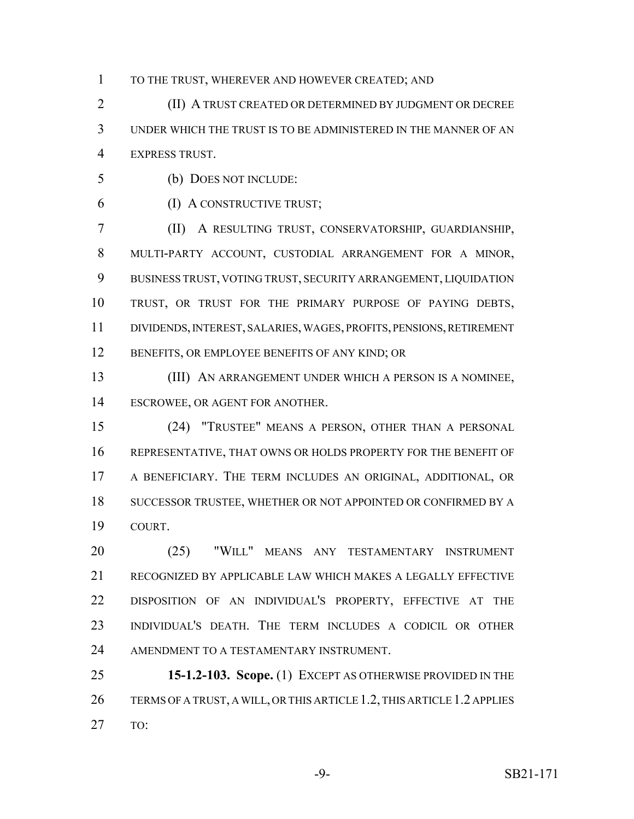TO THE TRUST, WHEREVER AND HOWEVER CREATED; AND

 (II) A TRUST CREATED OR DETERMINED BY JUDGMENT OR DECREE UNDER WHICH THE TRUST IS TO BE ADMINISTERED IN THE MANNER OF AN EXPRESS TRUST.

- (b) DOES NOT INCLUDE:
- 

(I) A CONSTRUCTIVE TRUST;

 (II) A RESULTING TRUST, CONSERVATORSHIP, GUARDIANSHIP, MULTI-PARTY ACCOUNT, CUSTODIAL ARRANGEMENT FOR A MINOR, BUSINESS TRUST, VOTING TRUST, SECURITY ARRANGEMENT, LIQUIDATION TRUST, OR TRUST FOR THE PRIMARY PURPOSE OF PAYING DEBTS, DIVIDENDS, INTEREST, SALARIES, WAGES, PROFITS, PENSIONS, RETIREMENT 12 BENEFITS, OR EMPLOYEE BENEFITS OF ANY KIND; OR

 (III) AN ARRANGEMENT UNDER WHICH A PERSON IS A NOMINEE, ESCROWEE, OR AGENT FOR ANOTHER.

 (24) "TRUSTEE" MEANS A PERSON, OTHER THAN A PERSONAL REPRESENTATIVE, THAT OWNS OR HOLDS PROPERTY FOR THE BENEFIT OF A BENEFICIARY. THE TERM INCLUDES AN ORIGINAL, ADDITIONAL, OR SUCCESSOR TRUSTEE, WHETHER OR NOT APPOINTED OR CONFIRMED BY A COURT.

 (25) "WILL" MEANS ANY TESTAMENTARY INSTRUMENT RECOGNIZED BY APPLICABLE LAW WHICH MAKES A LEGALLY EFFECTIVE DISPOSITION OF AN INDIVIDUAL'S PROPERTY, EFFECTIVE AT THE INDIVIDUAL'S DEATH. THE TERM INCLUDES A CODICIL OR OTHER AMENDMENT TO A TESTAMENTARY INSTRUMENT.

 **15-1.2-103. Scope.** (1) EXCEPT AS OTHERWISE PROVIDED IN THE TERMS OF A TRUST, A WILL, OR THIS ARTICLE 1.2, THIS ARTICLE 1.2 APPLIES TO: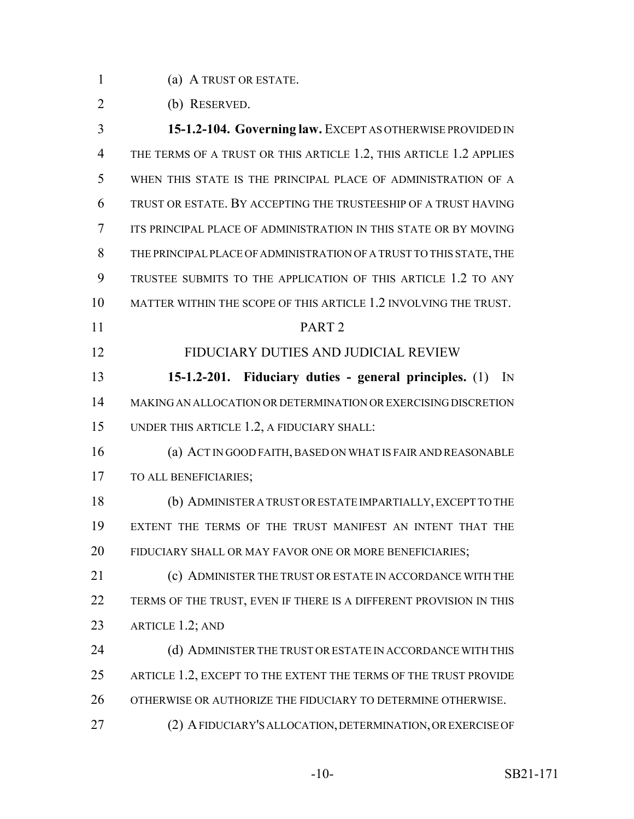(a) A TRUST OR ESTATE.

(b) RESERVED.

 **15-1.2-104. Governing law.** EXCEPT AS OTHERWISE PROVIDED IN 4 THE TERMS OF A TRUST OR THIS ARTICLE 1.2, THIS ARTICLE 1.2 APPLIES WHEN THIS STATE IS THE PRINCIPAL PLACE OF ADMINISTRATION OF A TRUST OR ESTATE. BY ACCEPTING THE TRUSTEESHIP OF A TRUST HAVING ITS PRINCIPAL PLACE OF ADMINISTRATION IN THIS STATE OR BY MOVING THE PRINCIPAL PLACE OF ADMINISTRATION OF A TRUST TO THIS STATE, THE TRUSTEE SUBMITS TO THE APPLICATION OF THIS ARTICLE 1.2 TO ANY MATTER WITHIN THE SCOPE OF THIS ARTICLE 1.2 INVOLVING THE TRUST. PART 2 FIDUCIARY DUTIES AND JUDICIAL REVIEW **15-1.2-201. Fiduciary duties - general principles.** (1) IN MAKING AN ALLOCATION OR DETERMINATION OR EXERCISING DISCRETION UNDER THIS ARTICLE 1.2, A FIDUCIARY SHALL: (a) ACT IN GOOD FAITH, BASED ON WHAT IS FAIR AND REASONABLE TO ALL BENEFICIARIES; (b) ADMINISTER A TRUST OR ESTATE IMPARTIALLY, EXCEPT TO THE EXTENT THE TERMS OF THE TRUST MANIFEST AN INTENT THAT THE FIDUCIARY SHALL OR MAY FAVOR ONE OR MORE BENEFICIARIES; (c) ADMINISTER THE TRUST OR ESTATE IN ACCORDANCE WITH THE 22 TERMS OF THE TRUST, EVEN IF THERE IS A DIFFERENT PROVISION IN THIS ARTICLE 1.2; AND 24 (d) ADMINISTER THE TRUST OR ESTATE IN ACCORDANCE WITH THIS 25 ARTICLE 1.2, EXCEPT TO THE EXTENT THE TERMS OF THE TRUST PROVIDE OTHERWISE OR AUTHORIZE THE FIDUCIARY TO DETERMINE OTHERWISE. (2) A FIDUCIARY'S ALLOCATION, DETERMINATION, OR EXERCISE OF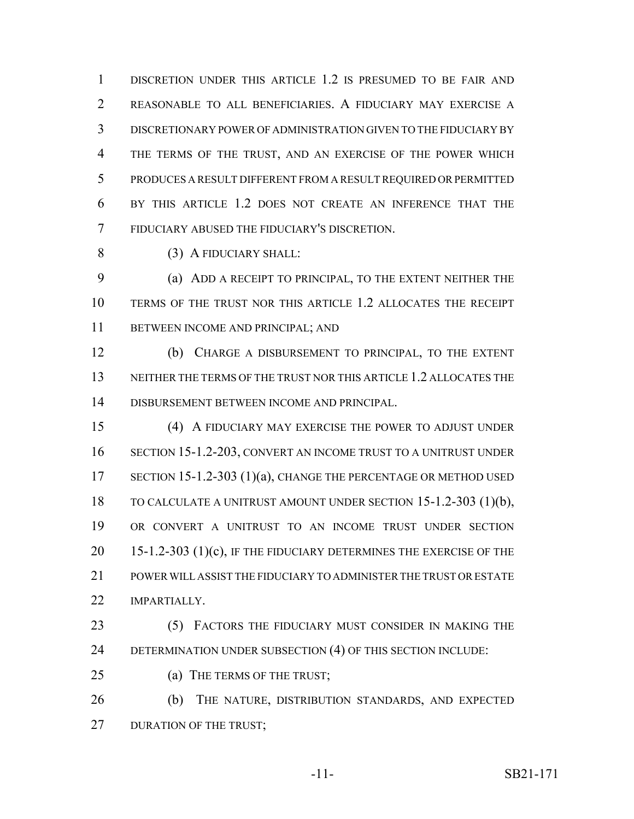DISCRETION UNDER THIS ARTICLE 1.2 IS PRESUMED TO BE FAIR AND REASONABLE TO ALL BENEFICIARIES. A FIDUCIARY MAY EXERCISE A DISCRETIONARY POWER OF ADMINISTRATION GIVEN TO THE FIDUCIARY BY THE TERMS OF THE TRUST, AND AN EXERCISE OF THE POWER WHICH PRODUCES A RESULT DIFFERENT FROM A RESULT REQUIRED OR PERMITTED BY THIS ARTICLE 1.2 DOES NOT CREATE AN INFERENCE THAT THE FIDUCIARY ABUSED THE FIDUCIARY'S DISCRETION.

(3) A FIDUCIARY SHALL:

 (a) ADD A RECEIPT TO PRINCIPAL, TO THE EXTENT NEITHER THE TERMS OF THE TRUST NOR THIS ARTICLE 1.2 ALLOCATES THE RECEIPT BETWEEN INCOME AND PRINCIPAL; AND

 (b) CHARGE A DISBURSEMENT TO PRINCIPAL, TO THE EXTENT 13 NEITHER THE TERMS OF THE TRUST NOR THIS ARTICLE 1.2 ALLOCATES THE DISBURSEMENT BETWEEN INCOME AND PRINCIPAL.

 (4) A FIDUCIARY MAY EXERCISE THE POWER TO ADJUST UNDER SECTION 15-1.2-203, CONVERT AN INCOME TRUST TO A UNITRUST UNDER 17 SECTION 15-1.2-303 (1)(a), CHANGE THE PERCENTAGE OR METHOD USED TO CALCULATE A UNITRUST AMOUNT UNDER SECTION 15-1.2-303 (1)(b), OR CONVERT A UNITRUST TO AN INCOME TRUST UNDER SECTION 15-1.2-303 (1)(c), IF THE FIDUCIARY DETERMINES THE EXERCISE OF THE POWER WILL ASSIST THE FIDUCIARY TO ADMINISTER THE TRUST OR ESTATE **IMPARTIALLY.** 

23 (5) FACTORS THE FIDUCIARY MUST CONSIDER IN MAKING THE DETERMINATION UNDER SUBSECTION (4) OF THIS SECTION INCLUDE:

25 (a) THE TERMS OF THE TRUST;

 (b) THE NATURE, DISTRIBUTION STANDARDS, AND EXPECTED 27 DURATION OF THE TRUST;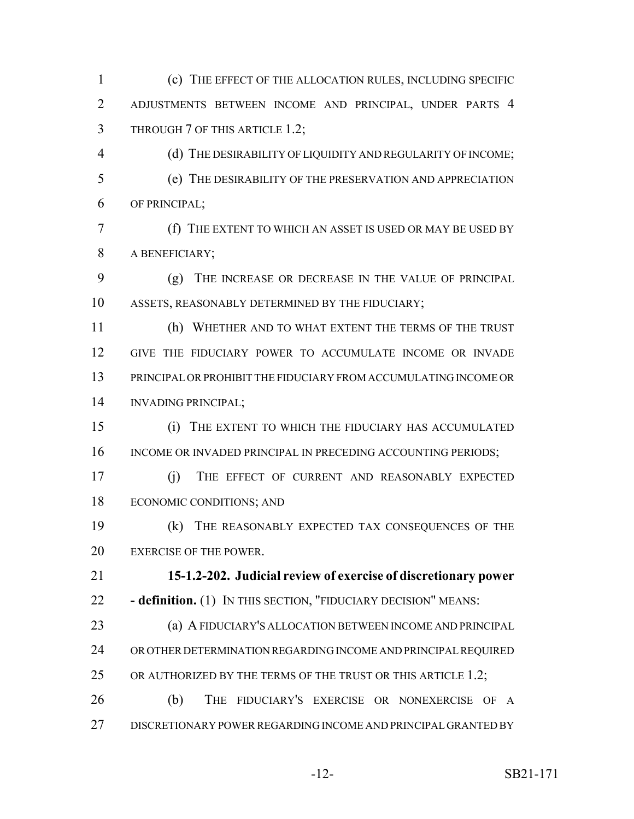(c) THE EFFECT OF THE ALLOCATION RULES, INCLUDING SPECIFIC ADJUSTMENTS BETWEEN INCOME AND PRINCIPAL, UNDER PARTS 4 THROUGH 7 OF THIS ARTICLE 1.2;

 (d) THE DESIRABILITY OF LIQUIDITY AND REGULARITY OF INCOME; (e) THE DESIRABILITY OF THE PRESERVATION AND APPRECIATION OF PRINCIPAL;

 (f) THE EXTENT TO WHICH AN ASSET IS USED OR MAY BE USED BY A BENEFICIARY;

 (g) THE INCREASE OR DECREASE IN THE VALUE OF PRINCIPAL ASSETS, REASONABLY DETERMINED BY THE FIDUCIARY;

 (h) WHETHER AND TO WHAT EXTENT THE TERMS OF THE TRUST GIVE THE FIDUCIARY POWER TO ACCUMULATE INCOME OR INVADE PRINCIPAL OR PROHIBIT THE FIDUCIARY FROM ACCUMULATING INCOME OR INVADING PRINCIPAL;

 (i) THE EXTENT TO WHICH THE FIDUCIARY HAS ACCUMULATED 16 INCOME OR INVADED PRINCIPAL IN PRECEDING ACCOUNTING PERIODS;

 (j) THE EFFECT OF CURRENT AND REASONABLY EXPECTED ECONOMIC CONDITIONS; AND

 (k) THE REASONABLY EXPECTED TAX CONSEQUENCES OF THE 20 EXERCISE OF THE POWER.

 **15-1.2-202. Judicial review of exercise of discretionary power - definition.** (1) IN THIS SECTION, "FIDUCIARY DECISION" MEANS:

 (a) A FIDUCIARY'S ALLOCATION BETWEEN INCOME AND PRINCIPAL OR OTHER DETERMINATION REGARDING INCOME AND PRINCIPAL REQUIRED 25 OR AUTHORIZED BY THE TERMS OF THE TRUST OR THIS ARTICLE 1.2;

 (b) THE FIDUCIARY'S EXERCISE OR NONEXERCISE OF A DISCRETIONARY POWER REGARDING INCOME AND PRINCIPAL GRANTED BY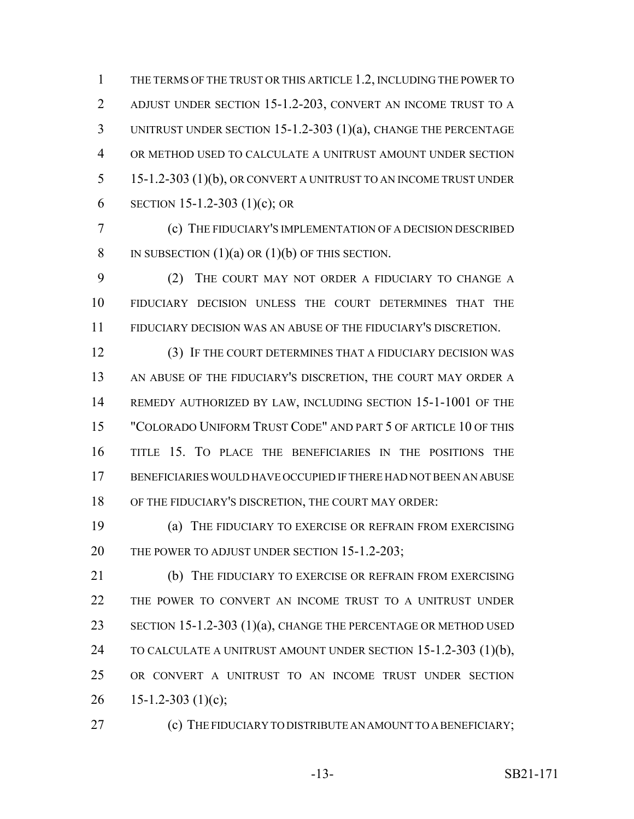THE TERMS OF THE TRUST OR THIS ARTICLE 1.2, INCLUDING THE POWER TO ADJUST UNDER SECTION 15-1.2-203, CONVERT AN INCOME TRUST TO A UNITRUST UNDER SECTION 15-1.2-303 (1)(a), CHANGE THE PERCENTAGE OR METHOD USED TO CALCULATE A UNITRUST AMOUNT UNDER SECTION 15-1.2-303 (1)(b), OR CONVERT A UNITRUST TO AN INCOME TRUST UNDER 6 SECTION 15-1.2-303 (1)(c); OR

 (c) THE FIDUCIARY'S IMPLEMENTATION OF A DECISION DESCRIBED 8 IN SUBSECTION  $(1)(a)$  OR  $(1)(b)$  OF THIS SECTION.

 (2) THE COURT MAY NOT ORDER A FIDUCIARY TO CHANGE A FIDUCIARY DECISION UNLESS THE COURT DETERMINES THAT THE FIDUCIARY DECISION WAS AN ABUSE OF THE FIDUCIARY'S DISCRETION.

 (3) IF THE COURT DETERMINES THAT A FIDUCIARY DECISION WAS 13 AN ABUSE OF THE FIDUCIARY'S DISCRETION, THE COURT MAY ORDER A REMEDY AUTHORIZED BY LAW, INCLUDING SECTION 15-1-1001 OF THE "COLORADO UNIFORM TRUST CODE" AND PART 5 OF ARTICLE 10 OF THIS TITLE 15. TO PLACE THE BENEFICIARIES IN THE POSITIONS THE BENEFICIARIES WOULD HAVE OCCUPIED IF THERE HAD NOT BEEN AN ABUSE OF THE FIDUCIARY'S DISCRETION, THE COURT MAY ORDER:

 (a) THE FIDUCIARY TO EXERCISE OR REFRAIN FROM EXERCISING 20 THE POWER TO ADJUST UNDER SECTION 15-1.2-203;

 (b) THE FIDUCIARY TO EXERCISE OR REFRAIN FROM EXERCISING THE POWER TO CONVERT AN INCOME TRUST TO A UNITRUST UNDER SECTION 15-1.2-303 (1)(a), CHANGE THE PERCENTAGE OR METHOD USED 24 TO CALCULATE A UNITRUST AMOUNT UNDER SECTION 15-1.2-303 (1)(b), OR CONVERT A UNITRUST TO AN INCOME TRUST UNDER SECTION 26 15-1.2-303 (1)(c);

**(c)** THE FIDUCIARY TO DISTRIBUTE AN AMOUNT TO A BENEFICIARY;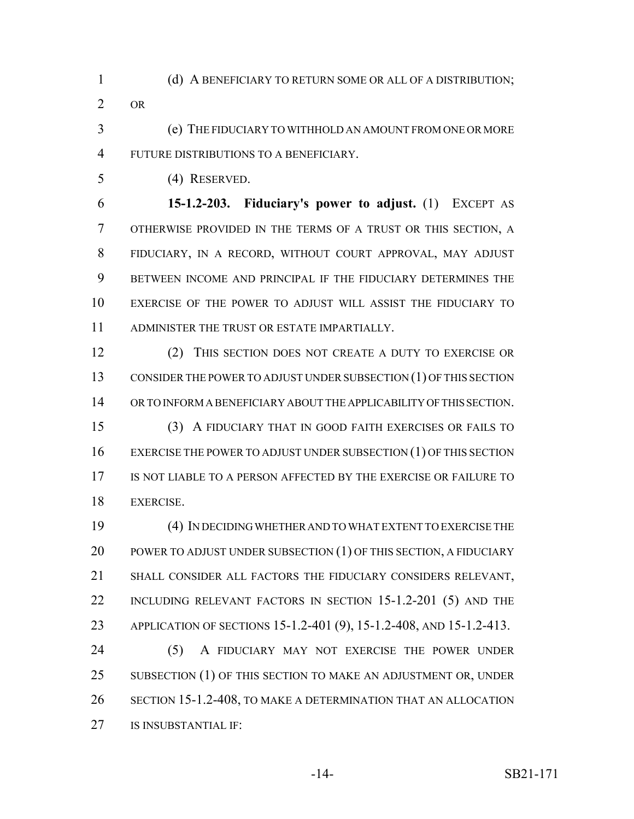(d) A BENEFICIARY TO RETURN SOME OR ALL OF A DISTRIBUTION; OR

 (e) THE FIDUCIARY TO WITHHOLD AN AMOUNT FROM ONE OR MORE FUTURE DISTRIBUTIONS TO A BENEFICIARY.

(4) RESERVED.

 **15-1.2-203. Fiduciary's power to adjust.** (1) EXCEPT AS OTHERWISE PROVIDED IN THE TERMS OF A TRUST OR THIS SECTION, A FIDUCIARY, IN A RECORD, WITHOUT COURT APPROVAL, MAY ADJUST BETWEEN INCOME AND PRINCIPAL IF THE FIDUCIARY DETERMINES THE EXERCISE OF THE POWER TO ADJUST WILL ASSIST THE FIDUCIARY TO ADMINISTER THE TRUST OR ESTATE IMPARTIALLY.

 (2) THIS SECTION DOES NOT CREATE A DUTY TO EXERCISE OR CONSIDER THE POWER TO ADJUST UNDER SUBSECTION (1) OF THIS SECTION OR TO INFORM A BENEFICIARY ABOUT THE APPLICABILITY OF THIS SECTION. (3) A FIDUCIARY THAT IN GOOD FAITH EXERCISES OR FAILS TO

16 EXERCISE THE POWER TO ADJUST UNDER SUBSECTION (1) OF THIS SECTION IS NOT LIABLE TO A PERSON AFFECTED BY THE EXERCISE OR FAILURE TO EXERCISE.

 (4) IN DECIDING WHETHER AND TO WHAT EXTENT TO EXERCISE THE 20 POWER TO ADJUST UNDER SUBSECTION (1) OF THIS SECTION, A FIDUCIARY SHALL CONSIDER ALL FACTORS THE FIDUCIARY CONSIDERS RELEVANT, 22 INCLUDING RELEVANT FACTORS IN SECTION 15-1.2-201 (5) AND THE APPLICATION OF SECTIONS 15-1.2-401 (9), 15-1.2-408, AND 15-1.2-413.

 (5) A FIDUCIARY MAY NOT EXERCISE THE POWER UNDER 25 SUBSECTION (1) OF THIS SECTION TO MAKE AN ADJUSTMENT OR, UNDER SECTION 15-1.2-408, TO MAKE A DETERMINATION THAT AN ALLOCATION IS INSUBSTANTIAL IF: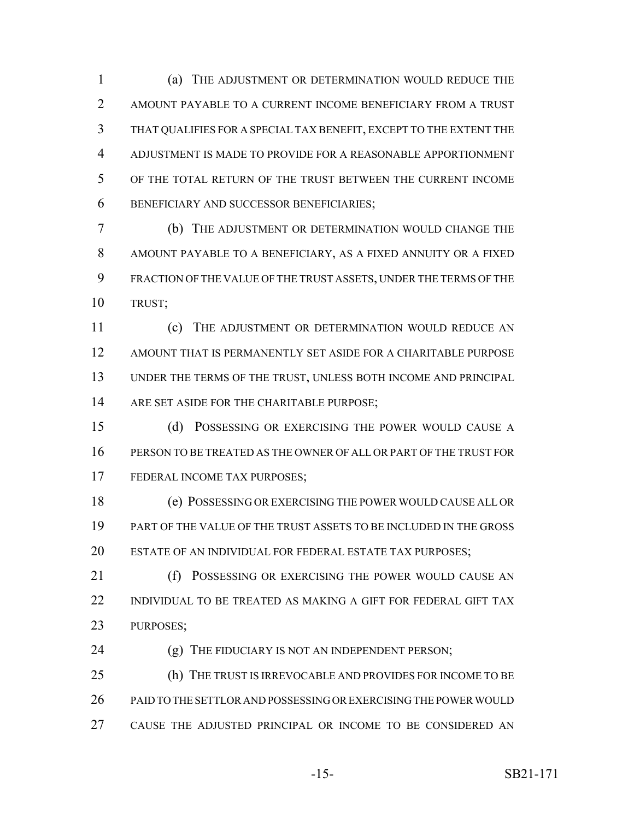(a) THE ADJUSTMENT OR DETERMINATION WOULD REDUCE THE AMOUNT PAYABLE TO A CURRENT INCOME BENEFICIARY FROM A TRUST THAT QUALIFIES FOR A SPECIAL TAX BENEFIT, EXCEPT TO THE EXTENT THE ADJUSTMENT IS MADE TO PROVIDE FOR A REASONABLE APPORTIONMENT OF THE TOTAL RETURN OF THE TRUST BETWEEN THE CURRENT INCOME BENEFICIARY AND SUCCESSOR BENEFICIARIES;

 (b) THE ADJUSTMENT OR DETERMINATION WOULD CHANGE THE AMOUNT PAYABLE TO A BENEFICIARY, AS A FIXED ANNUITY OR A FIXED FRACTION OF THE VALUE OF THE TRUST ASSETS, UNDER THE TERMS OF THE TRUST;

 (c) THE ADJUSTMENT OR DETERMINATION WOULD REDUCE AN AMOUNT THAT IS PERMANENTLY SET ASIDE FOR A CHARITABLE PURPOSE UNDER THE TERMS OF THE TRUST, UNLESS BOTH INCOME AND PRINCIPAL 14 ARE SET ASIDE FOR THE CHARITABLE PURPOSE;

 (d) POSSESSING OR EXERCISING THE POWER WOULD CAUSE A PERSON TO BE TREATED AS THE OWNER OF ALL OR PART OF THE TRUST FOR FEDERAL INCOME TAX PURPOSES;

 (e) POSSESSING OR EXERCISING THE POWER WOULD CAUSE ALL OR PART OF THE VALUE OF THE TRUST ASSETS TO BE INCLUDED IN THE GROSS ESTATE OF AN INDIVIDUAL FOR FEDERAL ESTATE TAX PURPOSES;

21 (f) POSSESSING OR EXERCISING THE POWER WOULD CAUSE AN INDIVIDUAL TO BE TREATED AS MAKING A GIFT FOR FEDERAL GIFT TAX PURPOSES;

24 (g) THE FIDUCIARY IS NOT AN INDEPENDENT PERSON;

 (h) THE TRUST IS IRREVOCABLE AND PROVIDES FOR INCOME TO BE PAID TO THE SETTLOR AND POSSESSING OR EXERCISING THE POWER WOULD CAUSE THE ADJUSTED PRINCIPAL OR INCOME TO BE CONSIDERED AN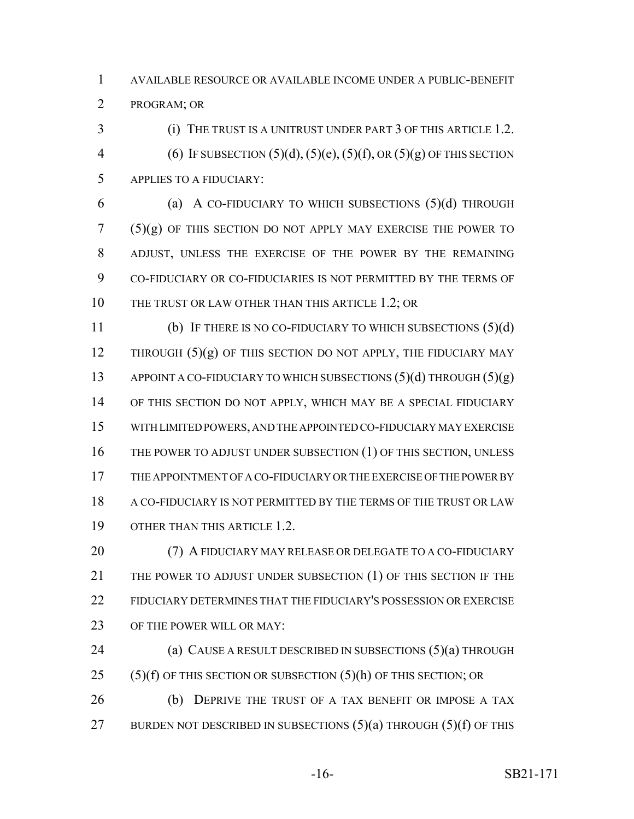AVAILABLE RESOURCE OR AVAILABLE INCOME UNDER A PUBLIC-BENEFIT PROGRAM; OR

3 (i) THE TRUST IS A UNITRUST UNDER PART 3 OF THIS ARTICLE 1.2. 4 (6) IF SUBSECTION  $(5)(d)$ ,  $(5)(e)$ ,  $(5)(f)$ , OR  $(5)(g)$  OF THIS SECTION APPLIES TO A FIDUCIARY:

 (a) A CO-FIDUCIARY TO WHICH SUBSECTIONS (5)(d) THROUGH (5)(g) OF THIS SECTION DO NOT APPLY MAY EXERCISE THE POWER TO ADJUST, UNLESS THE EXERCISE OF THE POWER BY THE REMAINING CO-FIDUCIARY OR CO-FIDUCIARIES IS NOT PERMITTED BY THE TERMS OF 10 THE TRUST OR LAW OTHER THAN THIS ARTICLE 1.2; OR

 (b) IF THERE IS NO CO-FIDUCIARY TO WHICH SUBSECTIONS (5)(d) 12 THROUGH  $(5)(g)$  OF THIS SECTION DO NOT APPLY, THE FIDUCIARY MAY 13 APPOINT A CO-FIDUCIARY TO WHICH SUBSECTIONS  $(5)(d)$  THROUGH  $(5)(g)$  OF THIS SECTION DO NOT APPLY, WHICH MAY BE A SPECIAL FIDUCIARY WITH LIMITED POWERS, AND THE APPOINTED CO-FIDUCIARY MAY EXERCISE 16 THE POWER TO ADJUST UNDER SUBSECTION (1) OF THIS SECTION, UNLESS THE APPOINTMENT OF A CO-FIDUCIARY OR THE EXERCISE OF THE POWER BY A CO-FIDUCIARY IS NOT PERMITTED BY THE TERMS OF THE TRUST OR LAW OTHER THAN THIS ARTICLE 1.2.

20 (7) A FIDUCIARY MAY RELEASE OR DELEGATE TO A CO-FIDUCIARY THE POWER TO ADJUST UNDER SUBSECTION (1) OF THIS SECTION IF THE FIDUCIARY DETERMINES THAT THE FIDUCIARY'S POSSESSION OR EXERCISE OF THE POWER WILL OR MAY:

**(a) CAUSE A RESULT DESCRIBED IN SUBSECTIONS (5)(a) THROUGH** 25  $(5)(f)$  OF THIS SECTION OR SUBSECTION  $(5)(h)$  OF THIS SECTION; OR (b) DEPRIVE THE TRUST OF A TAX BENEFIT OR IMPOSE A TAX

27 BURDEN NOT DESCRIBED IN SUBSECTIONS  $(5)(a)$  THROUGH  $(5)(f)$  OF THIS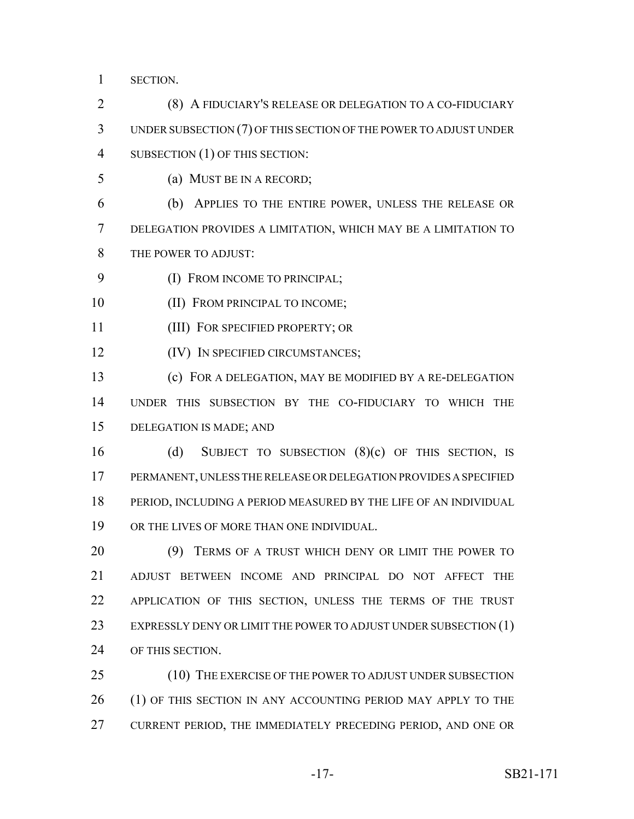SECTION.

 (8) A FIDUCIARY'S RELEASE OR DELEGATION TO A CO-FIDUCIARY UNDER SUBSECTION (7) OF THIS SECTION OF THE POWER TO ADJUST UNDER SUBSECTION (1) OF THIS SECTION:

(a) MUST BE IN A RECORD;

 (b) APPLIES TO THE ENTIRE POWER, UNLESS THE RELEASE OR DELEGATION PROVIDES A LIMITATION, WHICH MAY BE A LIMITATION TO THE POWER TO ADJUST:

- 9 (I) FROM INCOME TO PRINCIPAL;
- 10 (II) FROM PRINCIPAL TO INCOME;
- (III) FOR SPECIFIED PROPERTY; OR

**(IV)** IN SPECIFIED CIRCUMSTANCES;

 (c) FOR A DELEGATION, MAY BE MODIFIED BY A RE-DELEGATION UNDER THIS SUBSECTION BY THE CO-FIDUCIARY TO WHICH THE DELEGATION IS MADE; AND

 (d) SUBJECT TO SUBSECTION (8)(c) OF THIS SECTION, IS PERMANENT, UNLESS THE RELEASE OR DELEGATION PROVIDES A SPECIFIED PERIOD, INCLUDING A PERIOD MEASURED BY THE LIFE OF AN INDIVIDUAL OR THE LIVES OF MORE THAN ONE INDIVIDUAL.

 (9) TERMS OF A TRUST WHICH DENY OR LIMIT THE POWER TO ADJUST BETWEEN INCOME AND PRINCIPAL DO NOT AFFECT THE APPLICATION OF THIS SECTION, UNLESS THE TERMS OF THE TRUST 23 EXPRESSLY DENY OR LIMIT THE POWER TO ADJUST UNDER SUBSECTION (1) OF THIS SECTION.

25 (10) THE EXERCISE OF THE POWER TO ADJUST UNDER SUBSECTION 26 (1) OF THIS SECTION IN ANY ACCOUNTING PERIOD MAY APPLY TO THE CURRENT PERIOD, THE IMMEDIATELY PRECEDING PERIOD, AND ONE OR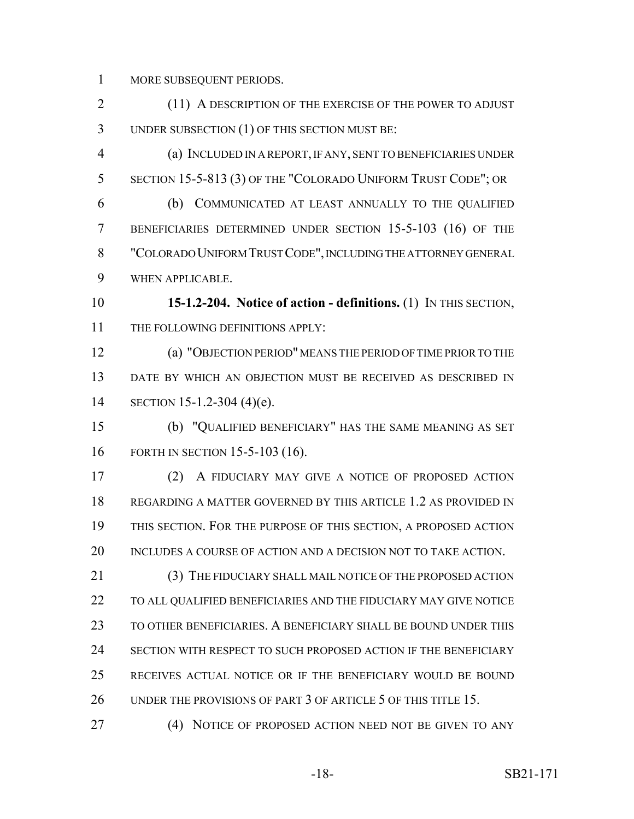MORE SUBSEQUENT PERIODS.

 (11) A DESCRIPTION OF THE EXERCISE OF THE POWER TO ADJUST UNDER SUBSECTION (1) OF THIS SECTION MUST BE:

 (a) INCLUDED IN A REPORT, IF ANY, SENT TO BENEFICIARIES UNDER SECTION 15-5-813 (3) OF THE "COLORADO UNIFORM TRUST CODE"; OR (b) COMMUNICATED AT LEAST ANNUALLY TO THE QUALIFIED

 BENEFICIARIES DETERMINED UNDER SECTION 15-5-103 (16) OF THE "COLORADO UNIFORM TRUST CODE", INCLUDING THE ATTORNEY GENERAL WHEN APPLICABLE.

 **15-1.2-204. Notice of action - definitions.** (1) IN THIS SECTION, 11 THE FOLLOWING DEFINITIONS APPLY:

 (a) "OBJECTION PERIOD" MEANS THE PERIOD OF TIME PRIOR TO THE DATE BY WHICH AN OBJECTION MUST BE RECEIVED AS DESCRIBED IN SECTION 15-1.2-304 (4)(e).

 (b) "QUALIFIED BENEFICIARY" HAS THE SAME MEANING AS SET FORTH IN SECTION 15-5-103 (16).

 (2) A FIDUCIARY MAY GIVE A NOTICE OF PROPOSED ACTION REGARDING A MATTER GOVERNED BY THIS ARTICLE 1.2 AS PROVIDED IN THIS SECTION. FOR THE PURPOSE OF THIS SECTION, A PROPOSED ACTION INCLUDES A COURSE OF ACTION AND A DECISION NOT TO TAKE ACTION.

 (3) THE FIDUCIARY SHALL MAIL NOTICE OF THE PROPOSED ACTION TO ALL QUALIFIED BENEFICIARIES AND THE FIDUCIARY MAY GIVE NOTICE TO OTHER BENEFICIARIES. A BENEFICIARY SHALL BE BOUND UNDER THIS SECTION WITH RESPECT TO SUCH PROPOSED ACTION IF THE BENEFICIARY RECEIVES ACTUAL NOTICE OR IF THE BENEFICIARY WOULD BE BOUND 26 UNDER THE PROVISIONS OF PART 3 OF ARTICLE 5 OF THIS TITLE 15.

(4) NOTICE OF PROPOSED ACTION NEED NOT BE GIVEN TO ANY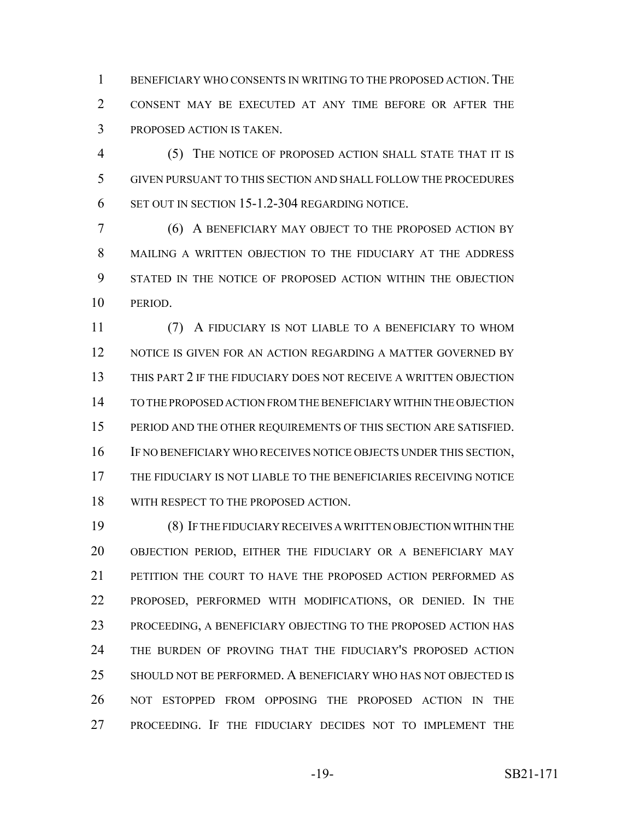BENEFICIARY WHO CONSENTS IN WRITING TO THE PROPOSED ACTION. THE CONSENT MAY BE EXECUTED AT ANY TIME BEFORE OR AFTER THE PROPOSED ACTION IS TAKEN.

 (5) THE NOTICE OF PROPOSED ACTION SHALL STATE THAT IT IS GIVEN PURSUANT TO THIS SECTION AND SHALL FOLLOW THE PROCEDURES SET OUT IN SECTION 15-1.2-304 REGARDING NOTICE.

 (6) A BENEFICIARY MAY OBJECT TO THE PROPOSED ACTION BY MAILING A WRITTEN OBJECTION TO THE FIDUCIARY AT THE ADDRESS STATED IN THE NOTICE OF PROPOSED ACTION WITHIN THE OBJECTION PERIOD.

 (7) A FIDUCIARY IS NOT LIABLE TO A BENEFICIARY TO WHOM 12 NOTICE IS GIVEN FOR AN ACTION REGARDING A MATTER GOVERNED BY THIS PART 2 IF THE FIDUCIARY DOES NOT RECEIVE A WRITTEN OBJECTION TO THE PROPOSED ACTION FROM THE BENEFICIARY WITHIN THE OBJECTION PERIOD AND THE OTHER REQUIREMENTS OF THIS SECTION ARE SATISFIED. IF NO BENEFICIARY WHO RECEIVES NOTICE OBJECTS UNDER THIS SECTION, THE FIDUCIARY IS NOT LIABLE TO THE BENEFICIARIES RECEIVING NOTICE 18 WITH RESPECT TO THE PROPOSED ACTION.

 (8) IF THE FIDUCIARY RECEIVES A WRITTEN OBJECTION WITHIN THE OBJECTION PERIOD, EITHER THE FIDUCIARY OR A BENEFICIARY MAY PETITION THE COURT TO HAVE THE PROPOSED ACTION PERFORMED AS PROPOSED, PERFORMED WITH MODIFICATIONS, OR DENIED. IN THE PROCEEDING, A BENEFICIARY OBJECTING TO THE PROPOSED ACTION HAS THE BURDEN OF PROVING THAT THE FIDUCIARY'S PROPOSED ACTION SHOULD NOT BE PERFORMED. A BENEFICIARY WHO HAS NOT OBJECTED IS NOT ESTOPPED FROM OPPOSING THE PROPOSED ACTION IN THE PROCEEDING. IF THE FIDUCIARY DECIDES NOT TO IMPLEMENT THE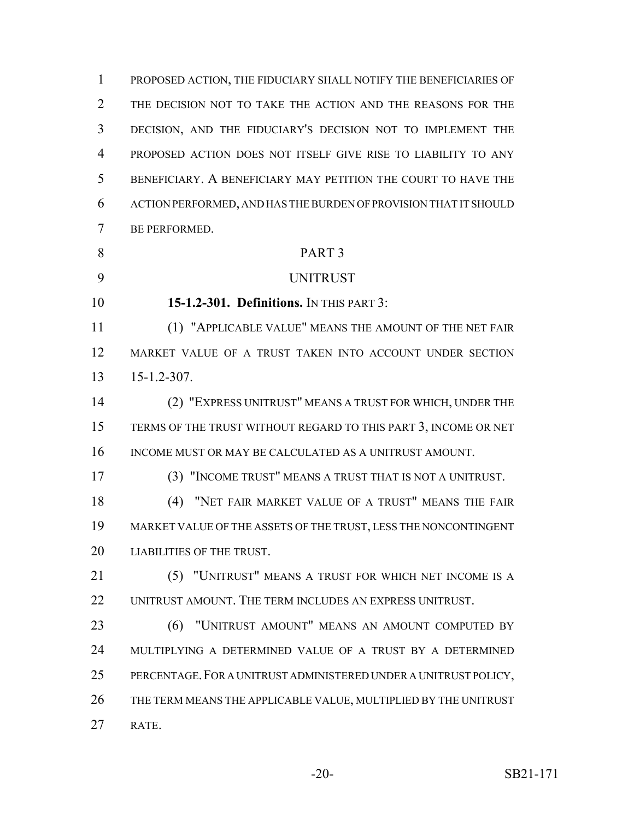PROPOSED ACTION, THE FIDUCIARY SHALL NOTIFY THE BENEFICIARIES OF THE DECISION NOT TO TAKE THE ACTION AND THE REASONS FOR THE DECISION, AND THE FIDUCIARY'S DECISION NOT TO IMPLEMENT THE PROPOSED ACTION DOES NOT ITSELF GIVE RISE TO LIABILITY TO ANY BENEFICIARY. A BENEFICIARY MAY PETITION THE COURT TO HAVE THE ACTION PERFORMED, AND HAS THE BURDEN OF PROVISION THAT IT SHOULD BE PERFORMED. PART 3 UNITRUST **15-1.2-301. Definitions.** IN THIS PART 3: (1) "APPLICABLE VALUE" MEANS THE AMOUNT OF THE NET FAIR MARKET VALUE OF A TRUST TAKEN INTO ACCOUNT UNDER SECTION 15-1.2-307. (2) "EXPRESS UNITRUST" MEANS A TRUST FOR WHICH, UNDER THE TERMS OF THE TRUST WITHOUT REGARD TO THIS PART 3, INCOME OR NET 16 INCOME MUST OR MAY BE CALCULATED AS A UNITRUST AMOUNT. (3) "INCOME TRUST" MEANS A TRUST THAT IS NOT A UNITRUST. (4) "NET FAIR MARKET VALUE OF A TRUST" MEANS THE FAIR MARKET VALUE OF THE ASSETS OF THE TRUST, LESS THE NONCONTINGENT LIABILITIES OF THE TRUST. (5) "UNITRUST" MEANS A TRUST FOR WHICH NET INCOME IS A 22 UNITRUST AMOUNT. THE TERM INCLUDES AN EXPRESS UNITRUST. (6) "UNITRUST AMOUNT" MEANS AN AMOUNT COMPUTED BY MULTIPLYING A DETERMINED VALUE OF A TRUST BY A DETERMINED PERCENTAGE.FOR A UNITRUST ADMINISTERED UNDER A UNITRUST POLICY, THE TERM MEANS THE APPLICABLE VALUE, MULTIPLIED BY THE UNITRUST RATE.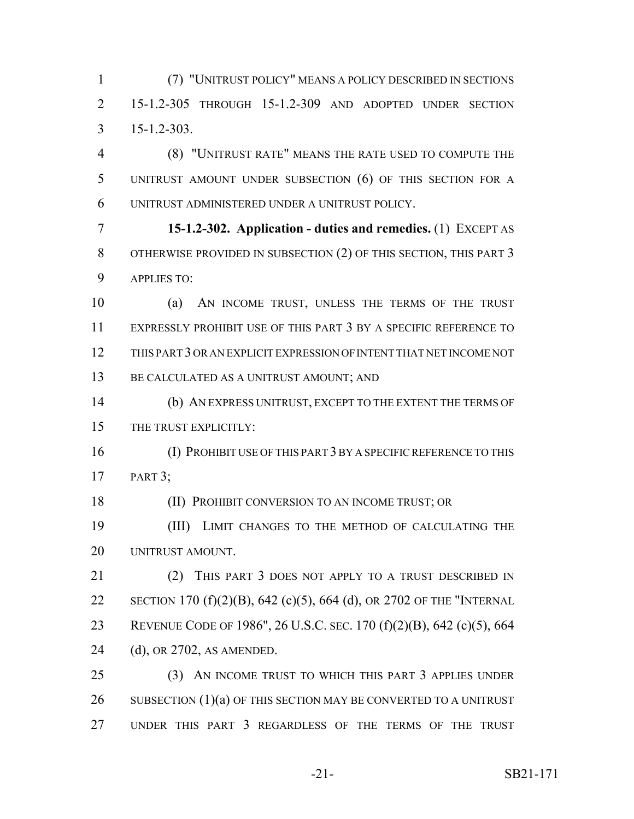(7) "UNITRUST POLICY" MEANS A POLICY DESCRIBED IN SECTIONS 15-1.2-305 THROUGH 15-1.2-309 AND ADOPTED UNDER SECTION 15-1.2-303.

 (8) "UNITRUST RATE" MEANS THE RATE USED TO COMPUTE THE UNITRUST AMOUNT UNDER SUBSECTION (6) OF THIS SECTION FOR A UNITRUST ADMINISTERED UNDER A UNITRUST POLICY.

 **15-1.2-302. Application - duties and remedies.** (1) EXCEPT AS 8 OTHERWISE PROVIDED IN SUBSECTION (2) OF THIS SECTION, THIS PART 3 APPLIES TO:

 (a) AN INCOME TRUST, UNLESS THE TERMS OF THE TRUST EXPRESSLY PROHIBIT USE OF THIS PART 3 BY A SPECIFIC REFERENCE TO THIS PART 3 OR AN EXPLICIT EXPRESSION OF INTENT THAT NET INCOME NOT 13 BE CALCULATED AS A UNITRUST AMOUNT; AND

 (b) AN EXPRESS UNITRUST, EXCEPT TO THE EXTENT THE TERMS OF THE TRUST EXPLICITLY:

 (I) PROHIBIT USE OF THIS PART 3 BY A SPECIFIC REFERENCE TO THIS PART 3;

**(II) PROHIBIT CONVERSION TO AN INCOME TRUST; OR** 

 (III) LIMIT CHANGES TO THE METHOD OF CALCULATING THE UNITRUST AMOUNT.

 (2) THIS PART 3 DOES NOT APPLY TO A TRUST DESCRIBED IN SECTION 170 (f)(2)(B), 642 (c)(5), 664 (d), OR 2702 OF THE "INTERNAL REVENUE CODE OF 1986", 26 U.S.C. SEC. 170 (f)(2)(B), 642 (c)(5), 664 (d), OR 2702, AS AMENDED.

 (3) AN INCOME TRUST TO WHICH THIS PART 3 APPLIES UNDER 26 SUBSECTION  $(1)(a)$  OF THIS SECTION MAY BE CONVERTED TO A UNITRUST UNDER THIS PART 3 REGARDLESS OF THE TERMS OF THE TRUST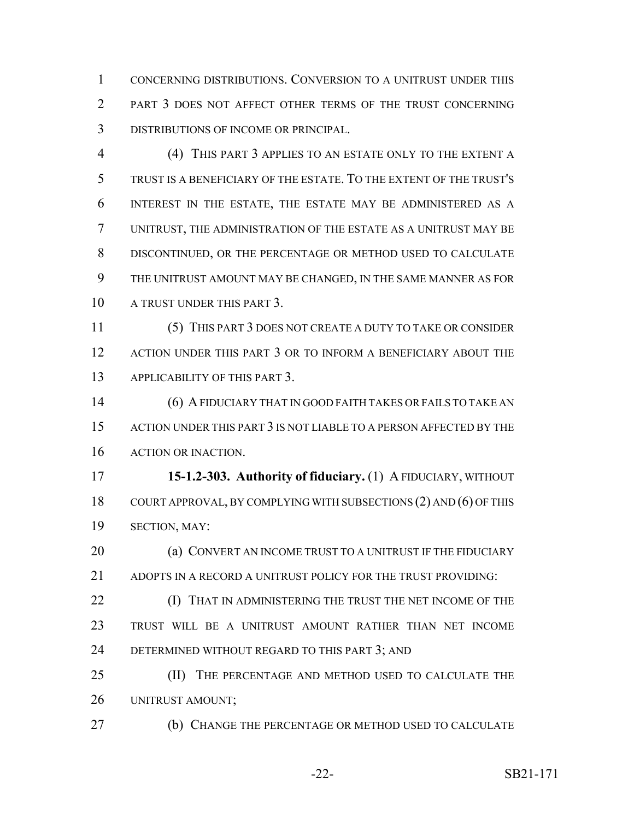CONCERNING DISTRIBUTIONS. CONVERSION TO A UNITRUST UNDER THIS PART 3 DOES NOT AFFECT OTHER TERMS OF THE TRUST CONCERNING DISTRIBUTIONS OF INCOME OR PRINCIPAL.

 (4) THIS PART 3 APPLIES TO AN ESTATE ONLY TO THE EXTENT A TRUST IS A BENEFICIARY OF THE ESTATE. TO THE EXTENT OF THE TRUST'S INTEREST IN THE ESTATE, THE ESTATE MAY BE ADMINISTERED AS A UNITRUST, THE ADMINISTRATION OF THE ESTATE AS A UNITRUST MAY BE DISCONTINUED, OR THE PERCENTAGE OR METHOD USED TO CALCULATE THE UNITRUST AMOUNT MAY BE CHANGED, IN THE SAME MANNER AS FOR A TRUST UNDER THIS PART 3.

 (5) THIS PART 3 DOES NOT CREATE A DUTY TO TAKE OR CONSIDER ACTION UNDER THIS PART 3 OR TO INFORM A BENEFICIARY ABOUT THE APPLICABILITY OF THIS PART 3.

 (6) A FIDUCIARY THAT IN GOOD FAITH TAKES OR FAILS TO TAKE AN ACTION UNDER THIS PART 3 IS NOT LIABLE TO A PERSON AFFECTED BY THE ACTION OR INACTION.

 **15-1.2-303. Authority of fiduciary.** (1) A FIDUCIARY, WITHOUT COURT APPROVAL, BY COMPLYING WITH SUBSECTIONS (2) AND (6) OF THIS SECTION, MAY:

**(a) CONVERT AN INCOME TRUST TO A UNITRUST IF THE FIDUCIARY** 21 ADOPTS IN A RECORD A UNITRUST POLICY FOR THE TRUST PROVIDING:

**(I) THAT IN ADMINISTERING THE TRUST THE NET INCOME OF THE**  TRUST WILL BE A UNITRUST AMOUNT RATHER THAN NET INCOME 24 DETERMINED WITHOUT REGARD TO THIS PART 3; AND

 (II) THE PERCENTAGE AND METHOD USED TO CALCULATE THE UNITRUST AMOUNT;

(b) CHANGE THE PERCENTAGE OR METHOD USED TO CALCULATE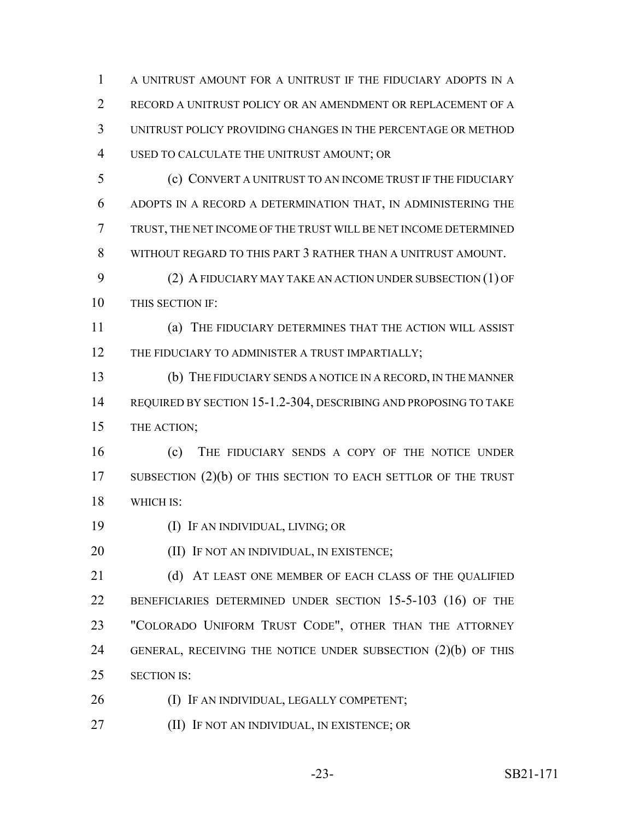A UNITRUST AMOUNT FOR A UNITRUST IF THE FIDUCIARY ADOPTS IN A RECORD A UNITRUST POLICY OR AN AMENDMENT OR REPLACEMENT OF A UNITRUST POLICY PROVIDING CHANGES IN THE PERCENTAGE OR METHOD USED TO CALCULATE THE UNITRUST AMOUNT; OR (c) CONVERT A UNITRUST TO AN INCOME TRUST IF THE FIDUCIARY

 ADOPTS IN A RECORD A DETERMINATION THAT, IN ADMINISTERING THE TRUST, THE NET INCOME OF THE TRUST WILL BE NET INCOME DETERMINED WITHOUT REGARD TO THIS PART 3 RATHER THAN A UNITRUST AMOUNT.

 (2) A FIDUCIARY MAY TAKE AN ACTION UNDER SUBSECTION (1) OF THIS SECTION IF:

 (a) THE FIDUCIARY DETERMINES THAT THE ACTION WILL ASSIST 12 THE FIDUCIARY TO ADMINISTER A TRUST IMPARTIALLY;

 (b) THE FIDUCIARY SENDS A NOTICE IN A RECORD, IN THE MANNER REQUIRED BY SECTION 15-1.2-304, DESCRIBING AND PROPOSING TO TAKE THE ACTION;

 (c) THE FIDUCIARY SENDS A COPY OF THE NOTICE UNDER 17 SUBSECTION (2)(b) OF THIS SECTION TO EACH SETTLOR OF THE TRUST WHICH IS:

(I) IF AN INDIVIDUAL, LIVING; OR

**(II) IF NOT AN INDIVIDUAL, IN EXISTENCE;** 

21 (d) AT LEAST ONE MEMBER OF EACH CLASS OF THE OUALIFIED 22 BENEFICIARIES DETERMINED UNDER SECTION 15-5-103 (16) OF THE "COLORADO UNIFORM TRUST CODE", OTHER THAN THE ATTORNEY GENERAL, RECEIVING THE NOTICE UNDER SUBSECTION (2)(b) OF THIS SECTION IS:

- 26 (I) IF AN INDIVIDUAL, LEGALLY COMPETENT;
- (II) IF NOT AN INDIVIDUAL, IN EXISTENCE; OR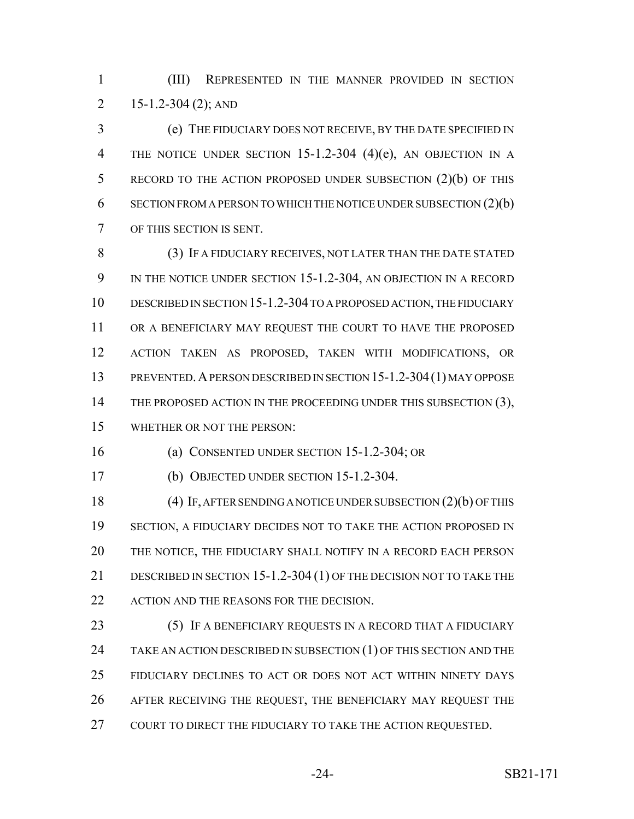(III) REPRESENTED IN THE MANNER PROVIDED IN SECTION 2 15-1.2-304 (2); AND

 (e) THE FIDUCIARY DOES NOT RECEIVE, BY THE DATE SPECIFIED IN 4 THE NOTICE UNDER SECTION 15-1.2-304 (4)(e), AN OBJECTION IN A 5 RECORD TO THE ACTION PROPOSED UNDER SUBSECTION (2)(b) OF THIS SECTION FROM A PERSON TO WHICH THE NOTICE UNDER SUBSECTION (2)(b) OF THIS SECTION IS SENT.

 (3) IF A FIDUCIARY RECEIVES, NOT LATER THAN THE DATE STATED 9 IN THE NOTICE UNDER SECTION 15-1.2-304, AN OBJECTION IN A RECORD DESCRIBED IN SECTION 15-1.2-304 TO A PROPOSED ACTION, THE FIDUCIARY 11 OR A BENEFICIARY MAY REQUEST THE COURT TO HAVE THE PROPOSED ACTION TAKEN AS PROPOSED, TAKEN WITH MODIFICATIONS, OR PREVENTED.A PERSON DESCRIBED IN SECTION 15-1.2-304(1) MAY OPPOSE 14 THE PROPOSED ACTION IN THE PROCEEDING UNDER THIS SUBSECTION (3), WHETHER OR NOT THE PERSON:

(a) CONSENTED UNDER SECTION 15-1.2-304; OR

(b) OBJECTED UNDER SECTION 15-1.2-304.

 (4) IF, AFTER SENDING A NOTICE UNDER SUBSECTION (2)(b) OF THIS SECTION, A FIDUCIARY DECIDES NOT TO TAKE THE ACTION PROPOSED IN THE NOTICE, THE FIDUCIARY SHALL NOTIFY IN A RECORD EACH PERSON DESCRIBED IN SECTION 15-1.2-304 (1) OF THE DECISION NOT TO TAKE THE 22 ACTION AND THE REASONS FOR THE DECISION.

**(5) IF A BENEFICIARY REQUESTS IN A RECORD THAT A FIDUCIARY** 24 TAKE AN ACTION DESCRIBED IN SUBSECTION (1) OF THIS SECTION AND THE FIDUCIARY DECLINES TO ACT OR DOES NOT ACT WITHIN NINETY DAYS AFTER RECEIVING THE REQUEST, THE BENEFICIARY MAY REQUEST THE 27 COURT TO DIRECT THE FIDUCIARY TO TAKE THE ACTION REQUESTED.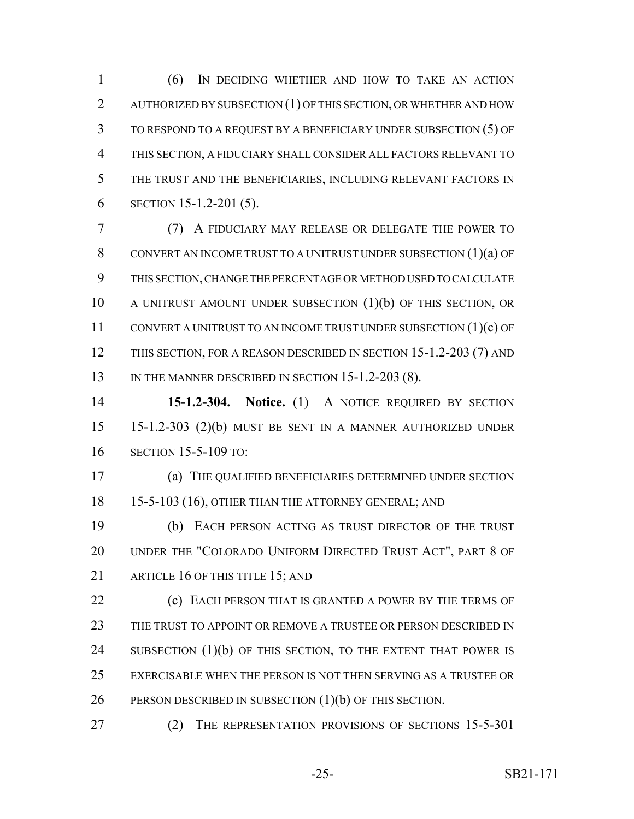(6) IN DECIDING WHETHER AND HOW TO TAKE AN ACTION AUTHORIZED BY SUBSECTION (1) OF THIS SECTION, OR WHETHER AND HOW TO RESPOND TO A REQUEST BY A BENEFICIARY UNDER SUBSECTION (5) OF THIS SECTION, A FIDUCIARY SHALL CONSIDER ALL FACTORS RELEVANT TO THE TRUST AND THE BENEFICIARIES, INCLUDING RELEVANT FACTORS IN SECTION 15-1.2-201 (5).

 (7) A FIDUCIARY MAY RELEASE OR DELEGATE THE POWER TO CONVERT AN INCOME TRUST TO A UNITRUST UNDER SUBSECTION (1)(a) OF THIS SECTION, CHANGE THE PERCENTAGE OR METHOD USED TO CALCULATE A UNITRUST AMOUNT UNDER SUBSECTION (1)(b) OF THIS SECTION, OR CONVERT A UNITRUST TO AN INCOME TRUST UNDER SUBSECTION (1)(c) OF 12 THIS SECTION, FOR A REASON DESCRIBED IN SECTION 15-1.2-203 (7) AND 13 IN THE MANNER DESCRIBED IN SECTION 15-1.2-203 (8).

 **15-1.2-304. Notice.** (1) A NOTICE REQUIRED BY SECTION 15-1.2-303 (2)(b) MUST BE SENT IN A MANNER AUTHORIZED UNDER SECTION 15-5-109 TO:

 (a) THE QUALIFIED BENEFICIARIES DETERMINED UNDER SECTION 18 15-5-103 (16), OTHER THAN THE ATTORNEY GENERAL; AND

 (b) EACH PERSON ACTING AS TRUST DIRECTOR OF THE TRUST UNDER THE "COLORADO UNIFORM DIRECTED TRUST ACT", PART 8 OF 21 ARTICLE 16 OF THIS TITLE 15: AND

**(c) EACH PERSON THAT IS GRANTED A POWER BY THE TERMS OF** 23 THE TRUST TO APPOINT OR REMOVE A TRUSTEE OR PERSON DESCRIBED IN 24 SUBSECTION (1)(b) OF THIS SECTION, TO THE EXTENT THAT POWER IS EXERCISABLE WHEN THE PERSON IS NOT THEN SERVING AS A TRUSTEE OR 26 PERSON DESCRIBED IN SUBSECTION (1)(b) OF THIS SECTION.

(2) THE REPRESENTATION PROVISIONS OF SECTIONS 15-5-301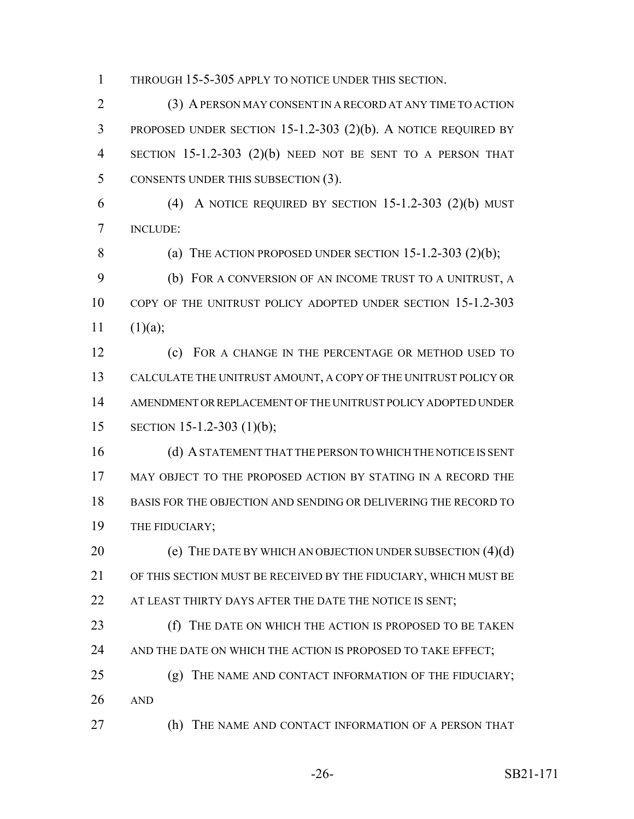THROUGH 15-5-305 APPLY TO NOTICE UNDER THIS SECTION.

 (3) A PERSON MAY CONSENT IN A RECORD AT ANY TIME TO ACTION PROPOSED UNDER SECTION 15-1.2-303 (2)(b). A NOTICE REQUIRED BY SECTION 15-1.2-303 (2)(b) NEED NOT BE SENT TO A PERSON THAT 5 CONSENTS UNDER THIS SUBSECTION (3).

6 (4) A NOTICE REQUIRED BY SECTION  $15-1.2-303$   $(2)(b)$  MUST INCLUDE:

8 (a) THE ACTION PROPOSED UNDER SECTION  $15-1.2-303$   $(2)(b)$ ;

 (b) FOR A CONVERSION OF AN INCOME TRUST TO A UNITRUST, A COPY OF THE UNITRUST POLICY ADOPTED UNDER SECTION 15-1.2-303  $11 \t(1)(a);$ 

 (c) FOR A CHANGE IN THE PERCENTAGE OR METHOD USED TO CALCULATE THE UNITRUST AMOUNT, A COPY OF THE UNITRUST POLICY OR AMENDMENT OR REPLACEMENT OF THE UNITRUST POLICY ADOPTED UNDER SECTION 15-1.2-303 (1)(b);

 (d) A STATEMENT THAT THE PERSON TO WHICH THE NOTICE IS SENT MAY OBJECT TO THE PROPOSED ACTION BY STATING IN A RECORD THE BASIS FOR THE OBJECTION AND SENDING OR DELIVERING THE RECORD TO 19 THE FIDUCIARY;

20 (e) THE DATE BY WHICH AN OBJECTION UNDER SUBSECTION (4)(d) OF THIS SECTION MUST BE RECEIVED BY THE FIDUCIARY, WHICH MUST BE 22 AT LEAST THIRTY DAYS AFTER THE DATE THE NOTICE IS SENT;

**(f)** THE DATE ON WHICH THE ACTION IS PROPOSED TO BE TAKEN 24 AND THE DATE ON WHICH THE ACTION IS PROPOSED TO TAKE EFFECT;

25 (g) THE NAME AND CONTACT INFORMATION OF THE FIDUCIARY; AND

(h) THE NAME AND CONTACT INFORMATION OF A PERSON THAT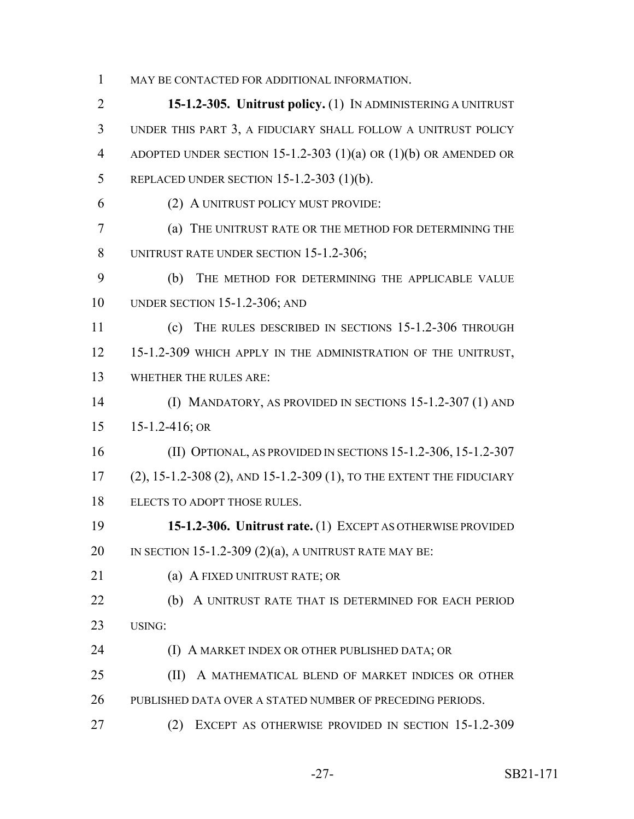MAY BE CONTACTED FOR ADDITIONAL INFORMATION.

 **15-1.2-305. Unitrust policy.** (1) IN ADMINISTERING A UNITRUST UNDER THIS PART 3, A FIDUCIARY SHALL FOLLOW A UNITRUST POLICY ADOPTED UNDER SECTION 15-1.2-303 (1)(a) OR (1)(b) OR AMENDED OR REPLACED UNDER SECTION 15-1.2-303 (1)(b). (2) A UNITRUST POLICY MUST PROVIDE: (a) THE UNITRUST RATE OR THE METHOD FOR DETERMINING THE 8 UNITRUST RATE UNDER SECTION 15-1.2-306; (b) THE METHOD FOR DETERMINING THE APPLICABLE VALUE UNDER SECTION 15-1.2-306; AND (c) THE RULES DESCRIBED IN SECTIONS 15-1.2-306 THROUGH 15-1.2-309 WHICH APPLY IN THE ADMINISTRATION OF THE UNITRUST, WHETHER THE RULES ARE: (I) MANDATORY, AS PROVIDED IN SECTIONS 15-1.2-307 (1) AND 15-1.2-416; OR (II) OPTIONAL, AS PROVIDED IN SECTIONS 15-1.2-306, 15-1.2-307 (2), 15-1.2-308 (2), AND 15-1.2-309 (1), TO THE EXTENT THE FIDUCIARY ELECTS TO ADOPT THOSE RULES. **15-1.2-306. Unitrust rate.** (1) EXCEPT AS OTHERWISE PROVIDED 20 IN SECTION 15-1.2-309  $(2)(a)$ , A UNITRUST RATE MAY BE: (a) A FIXED UNITRUST RATE; OR **(b)** A UNITRUST RATE THAT IS DETERMINED FOR EACH PERIOD USING: **(I) A MARKET INDEX OR OTHER PUBLISHED DATA; OR (II)** A MATHEMATICAL BLEND OF MARKET INDICES OR OTHER PUBLISHED DATA OVER A STATED NUMBER OF PRECEDING PERIODS. (2) EXCEPT AS OTHERWISE PROVIDED IN SECTION 15-1.2-309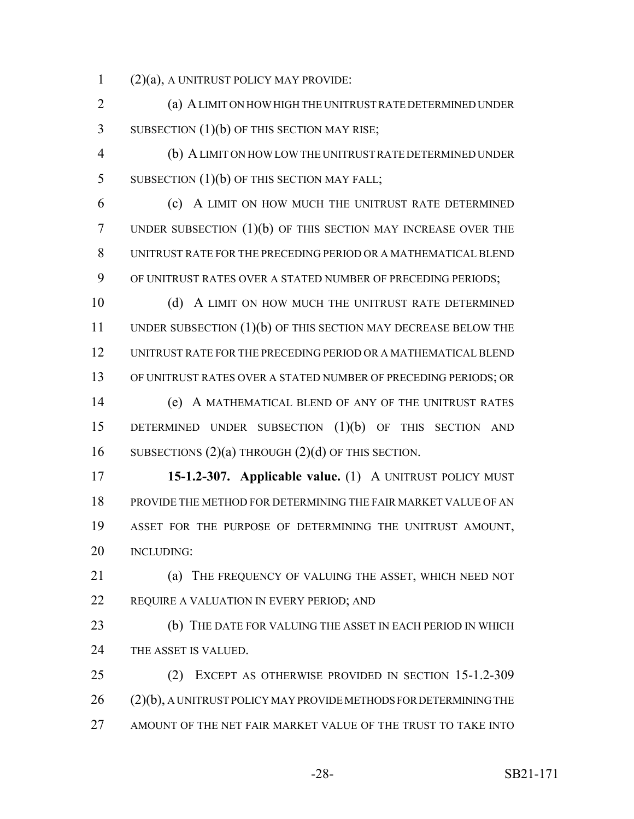(2)(a), A UNITRUST POLICY MAY PROVIDE:

 (a) A LIMIT ON HOW HIGH THE UNITRUST RATE DETERMINED UNDER 3 SUBSECTION (1)(b) OF THIS SECTION MAY RISE;

 (b) A LIMIT ON HOW LOW THE UNITRUST RATE DETERMINED UNDER 5 SUBSECTION (1)(b) OF THIS SECTION MAY FALL;

 (c) A LIMIT ON HOW MUCH THE UNITRUST RATE DETERMINED UNDER SUBSECTION (1)(b) OF THIS SECTION MAY INCREASE OVER THE UNITRUST RATE FOR THE PRECEDING PERIOD OR A MATHEMATICAL BLEND OF UNITRUST RATES OVER A STATED NUMBER OF PRECEDING PERIODS;

10 (d) A LIMIT ON HOW MUCH THE UNITRUST RATE DETERMINED 11 UNDER SUBSECTION (1)(b) OF THIS SECTION MAY DECREASE BELOW THE UNITRUST RATE FOR THE PRECEDING PERIOD OR A MATHEMATICAL BLEND OF UNITRUST RATES OVER A STATED NUMBER OF PRECEDING PERIODS; OR

 (e) A MATHEMATICAL BLEND OF ANY OF THE UNITRUST RATES DETERMINED UNDER SUBSECTION (1)(b) OF THIS SECTION AND SUBSECTIONS (2)(a) THROUGH (2)(d) OF THIS SECTION.

 **15-1.2-307. Applicable value.** (1) A UNITRUST POLICY MUST PROVIDE THE METHOD FOR DETERMINING THE FAIR MARKET VALUE OF AN ASSET FOR THE PURPOSE OF DETERMINING THE UNITRUST AMOUNT, INCLUDING:

 (a) THE FREQUENCY OF VALUING THE ASSET, WHICH NEED NOT 22 REQUIRE A VALUATION IN EVERY PERIOD; AND

**(b)** THE DATE FOR VALUING THE ASSET IN EACH PERIOD IN WHICH 24 THE ASSET IS VALUED.

 (2) EXCEPT AS OTHERWISE PROVIDED IN SECTION 15-1.2-309 26 (2)(b), A UNITRUST POLICY MAY PROVIDE METHODS FOR DETERMINING THE AMOUNT OF THE NET FAIR MARKET VALUE OF THE TRUST TO TAKE INTO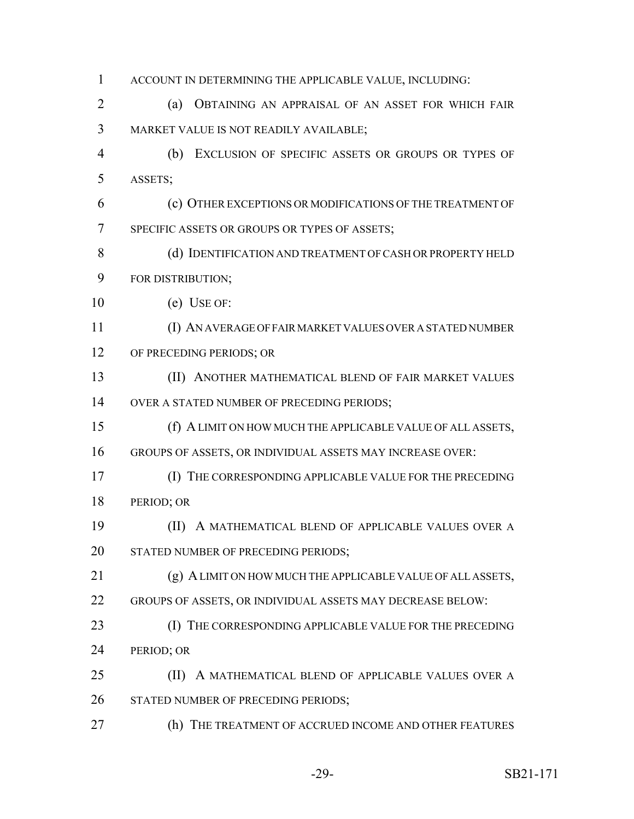| $\mathbf{1}$ | ACCOUNT IN DETERMINING THE APPLICABLE VALUE, INCLUDING:     |
|--------------|-------------------------------------------------------------|
| 2            | OBTAINING AN APPRAISAL OF AN ASSET FOR WHICH FAIR<br>(a)    |
| 3            | MARKET VALUE IS NOT READILY AVAILABLE;                      |
| 4            | EXCLUSION OF SPECIFIC ASSETS OR GROUPS OR TYPES OF<br>(b)   |
| 5            | ASSETS;                                                     |
| 6            | (c) OTHER EXCEPTIONS OR MODIFICATIONS OF THE TREATMENT OF   |
| 7            | SPECIFIC ASSETS OR GROUPS OR TYPES OF ASSETS;               |
| 8            | (d) IDENTIFICATION AND TREATMENT OF CASH OR PROPERTY HELD   |
| 9            | FOR DISTRIBUTION;                                           |
| 10           | $(e)$ USE OF:                                               |
| 11           | (I) AN AVERAGE OF FAIR MARKET VALUES OVER A STATED NUMBER   |
| 12           | OF PRECEDING PERIODS; OR                                    |
| 13           | (II) ANOTHER MATHEMATICAL BLEND OF FAIR MARKET VALUES       |
| 14           | OVER A STATED NUMBER OF PRECEDING PERIODS;                  |
| 15           | (f) A LIMIT ON HOW MUCH THE APPLICABLE VALUE OF ALL ASSETS, |
| 16           | GROUPS OF ASSETS, OR INDIVIDUAL ASSETS MAY INCREASE OVER:   |
| 17           | (I) THE CORRESPONDING APPLICABLE VALUE FOR THE PRECEDING    |
| 18           | PERIOD; OR                                                  |
| 19           | A MATHEMATICAL BLEND OF APPLICABLE VALUES OVER A<br>(II)    |
| 20           | STATED NUMBER OF PRECEDING PERIODS;                         |
| 21           | (g) A LIMIT ON HOW MUCH THE APPLICABLE VALUE OF ALL ASSETS, |
| 22           | GROUPS OF ASSETS, OR INDIVIDUAL ASSETS MAY DECREASE BELOW:  |
| 23           | (I) THE CORRESPONDING APPLICABLE VALUE FOR THE PRECEDING    |
| 24           | PERIOD; OR                                                  |
| 25           | (II) A MATHEMATICAL BLEND OF APPLICABLE VALUES OVER A       |
| 26           | STATED NUMBER OF PRECEDING PERIODS;                         |
| 27           | (h) THE TREATMENT OF ACCRUED INCOME AND OTHER FEATURES      |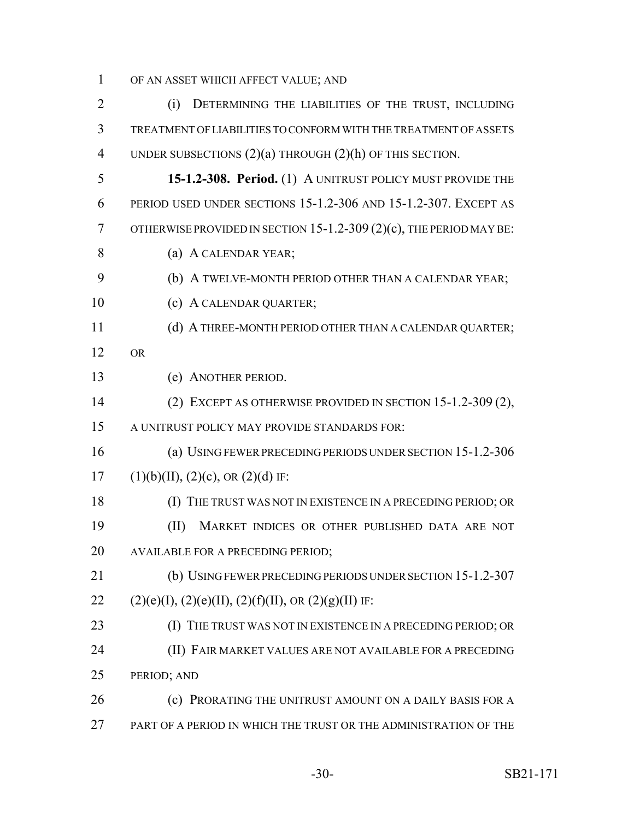OF AN ASSET WHICH AFFECT VALUE; AND

 (i) DETERMINING THE LIABILITIES OF THE TRUST, INCLUDING TREATMENT OF LIABILITIES TO CONFORM WITH THE TREATMENT OF ASSETS UNDER SUBSECTIONS (2)(a) THROUGH (2)(h) OF THIS SECTION. **15-1.2-308. Period.** (1) A UNITRUST POLICY MUST PROVIDE THE PERIOD USED UNDER SECTIONS 15-1.2-306 AND 15-1.2-307. EXCEPT AS OTHERWISE PROVIDED IN SECTION 15-1.2-309 (2)(c), THE PERIOD MAY BE: (a) A CALENDAR YEAR; (b) A TWELVE-MONTH PERIOD OTHER THAN A CALENDAR YEAR; 10 (c) A CALENDAR QUARTER; 11 (d) A THREE-MONTH PERIOD OTHER THAN A CALENDAR QUARTER; OR (e) ANOTHER PERIOD. (2) EXCEPT AS OTHERWISE PROVIDED IN SECTION 15-1.2-309 (2), A UNITRUST POLICY MAY PROVIDE STANDARDS FOR: (a) USING FEWER PRECEDING PERIODS UNDER SECTION 15-1.2-306 17 (1)(b)(II), (2)(c), OR (2)(d) IF: (I) THE TRUST WAS NOT IN EXISTENCE IN A PRECEDING PERIOD; OR (II) MARKET INDICES OR OTHER PUBLISHED DATA ARE NOT AVAILABLE FOR A PRECEDING PERIOD; (b) USING FEWER PRECEDING PERIODS UNDER SECTION 15-1.2-307 22 (2)(e)(I), (2)(e)(II), (2)(f)(II), OR (2)(g)(II) IF: 23 (I) THE TRUST WAS NOT IN EXISTENCE IN A PRECEDING PERIOD; OR (II) FAIR MARKET VALUES ARE NOT AVAILABLE FOR A PRECEDING PERIOD; AND **(c) PRORATING THE UNITRUST AMOUNT ON A DAILY BASIS FOR A** PART OF A PERIOD IN WHICH THE TRUST OR THE ADMINISTRATION OF THE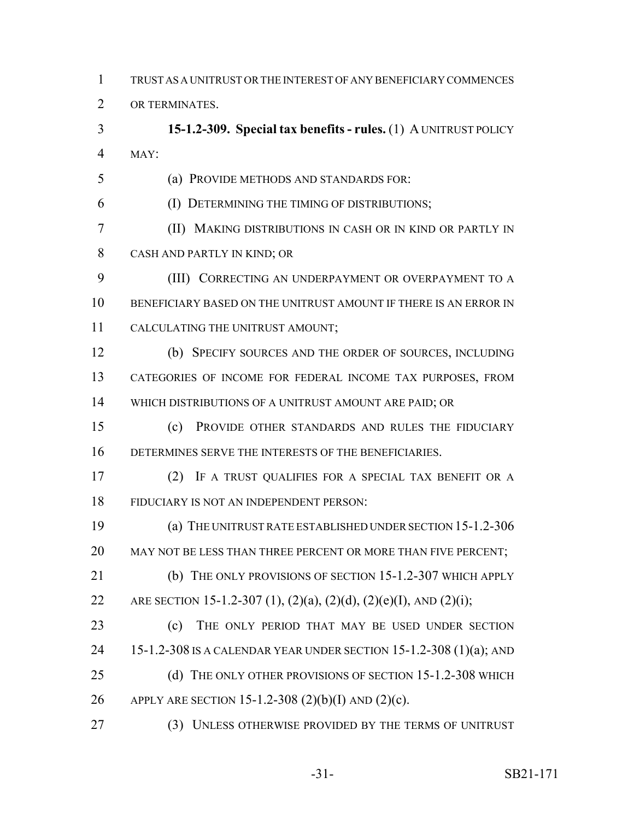TRUST AS A UNITRUST OR THE INTEREST OF ANY BENEFICIARY COMMENCES

OR TERMINATES.

 **15-1.2-309. Special tax benefits - rules.** (1) A UNITRUST POLICY MAY:

(a) PROVIDE METHODS AND STANDARDS FOR:

(I) DETERMINING THE TIMING OF DISTRIBUTIONS;

 (II) MAKING DISTRIBUTIONS IN CASH OR IN KIND OR PARTLY IN CASH AND PARTLY IN KIND; OR

 (III) CORRECTING AN UNDERPAYMENT OR OVERPAYMENT TO A BENEFICIARY BASED ON THE UNITRUST AMOUNT IF THERE IS AN ERROR IN CALCULATING THE UNITRUST AMOUNT;

 (b) SPECIFY SOURCES AND THE ORDER OF SOURCES, INCLUDING CATEGORIES OF INCOME FOR FEDERAL INCOME TAX PURPOSES, FROM 14 WHICH DISTRIBUTIONS OF A UNITRUST AMOUNT ARE PAID; OR

 (c) PROVIDE OTHER STANDARDS AND RULES THE FIDUCIARY DETERMINES SERVE THE INTERESTS OF THE BENEFICIARIES.

 (2) IF A TRUST QUALIFIES FOR A SPECIAL TAX BENEFIT OR A FIDUCIARY IS NOT AN INDEPENDENT PERSON:

 (a) THE UNITRUST RATE ESTABLISHED UNDER SECTION 15-1.2-306 20 MAY NOT BE LESS THAN THREE PERCENT OR MORE THAN FIVE PERCENT;

 (b) THE ONLY PROVISIONS OF SECTION 15-1.2-307 WHICH APPLY 22 ARE SECTION 15-1.2-307 (1), (2)(a), (2)(d), (2)(e)(I), AND (2)(i);

 (c) THE ONLY PERIOD THAT MAY BE USED UNDER SECTION 15-1.2-308 IS A CALENDAR YEAR UNDER SECTION 15-1.2-308 (1)(a); AND 25 (d) THE ONLY OTHER PROVISIONS OF SECTION 15-1.2-308 WHICH APPLY ARE SECTION 15-1.2-308 (2)(b)(I) AND (2)(c).

(3) UNLESS OTHERWISE PROVIDED BY THE TERMS OF UNITRUST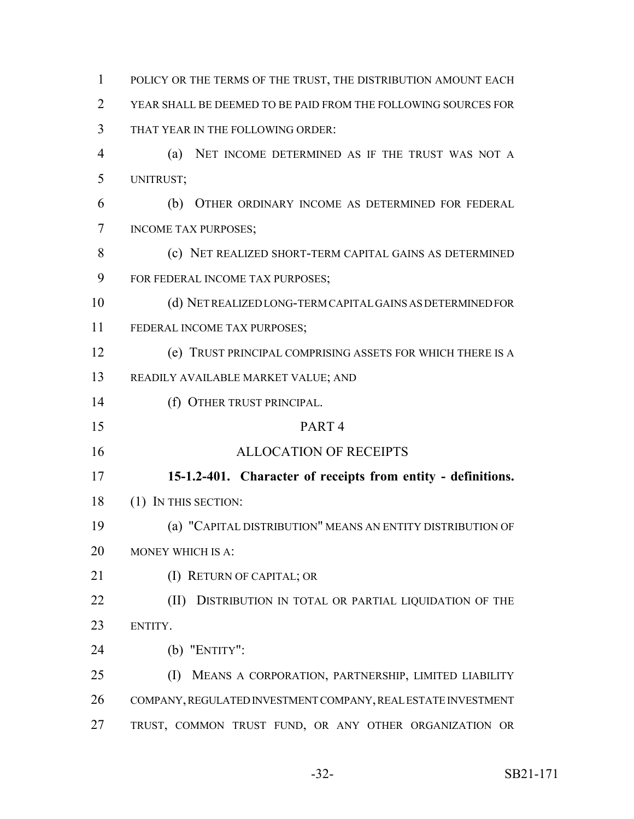POLICY OR THE TERMS OF THE TRUST, THE DISTRIBUTION AMOUNT EACH YEAR SHALL BE DEEMED TO BE PAID FROM THE FOLLOWING SOURCES FOR THAT YEAR IN THE FOLLOWING ORDER: (a) NET INCOME DETERMINED AS IF THE TRUST WAS NOT A UNITRUST; (b) OTHER ORDINARY INCOME AS DETERMINED FOR FEDERAL INCOME TAX PURPOSES; (c) NET REALIZED SHORT-TERM CAPITAL GAINS AS DETERMINED FOR FEDERAL INCOME TAX PURPOSES; (d) NET REALIZED LONG-TERM CAPITAL GAINS AS DETERMINED FOR 11 FEDERAL INCOME TAX PURPOSES; (e) TRUST PRINCIPAL COMPRISING ASSETS FOR WHICH THERE IS A READILY AVAILABLE MARKET VALUE; AND 14 (f) OTHER TRUST PRINCIPAL. PART 4 ALLOCATION OF RECEIPTS **15-1.2-401. Character of receipts from entity - definitions.** (1) IN THIS SECTION: (a) "CAPITAL DISTRIBUTION" MEANS AN ENTITY DISTRIBUTION OF MONEY WHICH IS A: 21 (I) RETURN OF CAPITAL; OR **(II) DISTRIBUTION IN TOTAL OR PARTIAL LIQUIDATION OF THE**  ENTITY. (b) "ENTITY": (I) MEANS A CORPORATION, PARTNERSHIP, LIMITED LIABILITY COMPANY, REGULATED INVESTMENT COMPANY, REAL ESTATE INVESTMENT TRUST, COMMON TRUST FUND, OR ANY OTHER ORGANIZATION OR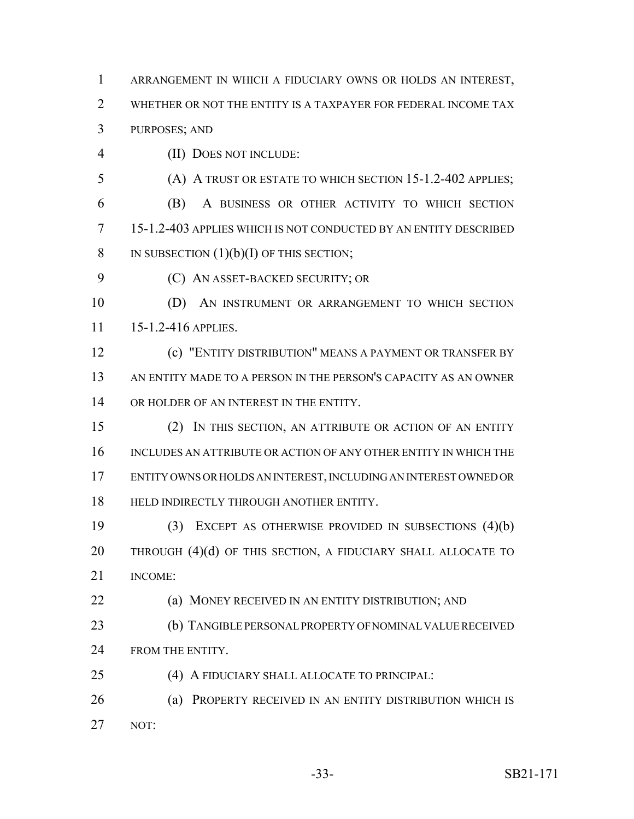- ARRANGEMENT IN WHICH A FIDUCIARY OWNS OR HOLDS AN INTEREST, 2 WHETHER OR NOT THE ENTITY IS A TAXPAYER FOR FEDERAL INCOME TAX PURPOSES; AND
- 
- (II) DOES NOT INCLUDE:
- (A) A TRUST OR ESTATE TO WHICH SECTION 15-1.2-402 APPLIES; (B) A BUSINESS OR OTHER ACTIVITY TO WHICH SECTION 15-1.2-403 APPLIES WHICH IS NOT CONDUCTED BY AN ENTITY DESCRIBED 8 IN SUBSECTION  $(1)(b)(I)$  OF THIS SECTION;
- (C) AN ASSET-BACKED SECURITY; OR
- (D) AN INSTRUMENT OR ARRANGEMENT TO WHICH SECTION 15-1.2-416 APPLIES.
- (c) "ENTITY DISTRIBUTION" MEANS A PAYMENT OR TRANSFER BY AN ENTITY MADE TO A PERSON IN THE PERSON'S CAPACITY AS AN OWNER 14 OR HOLDER OF AN INTEREST IN THE ENTITY.
- (2) IN THIS SECTION, AN ATTRIBUTE OR ACTION OF AN ENTITY INCLUDES AN ATTRIBUTE OR ACTION OF ANY OTHER ENTITY IN WHICH THE ENTITY OWNS OR HOLDS AN INTEREST, INCLUDING AN INTEREST OWNED OR 18 HELD INDIRECTLY THROUGH ANOTHER ENTITY.
- (3) EXCEPT AS OTHERWISE PROVIDED IN SUBSECTIONS (4)(b) 20 THROUGH (4)(d) OF THIS SECTION, A FIDUCIARY SHALL ALLOCATE TO INCOME:
- **(a) MONEY RECEIVED IN AN ENTITY DISTRIBUTION; AND**
- (b) TANGIBLE PERSONAL PROPERTY OF NOMINAL VALUE RECEIVED 24 FROM THE ENTITY.
- (4) A FIDUCIARY SHALL ALLOCATE TO PRINCIPAL:
- (a) PROPERTY RECEIVED IN AN ENTITY DISTRIBUTION WHICH IS NOT: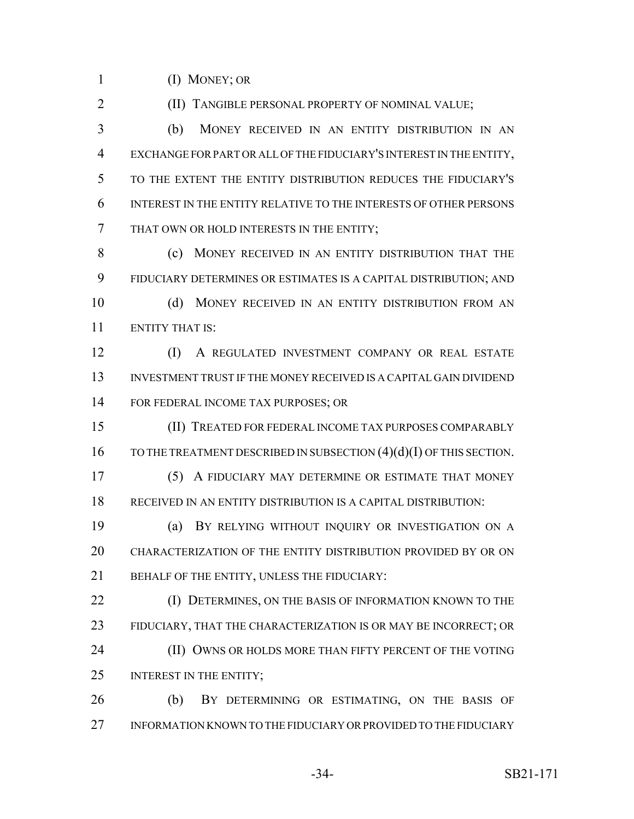(I) MONEY; OR

**(II) TANGIBLE PERSONAL PROPERTY OF NOMINAL VALUE;** 

 (b) MONEY RECEIVED IN AN ENTITY DISTRIBUTION IN AN EXCHANGE FOR PART OR ALL OF THE FIDUCIARY'S INTEREST IN THE ENTITY, TO THE EXTENT THE ENTITY DISTRIBUTION REDUCES THE FIDUCIARY'S INTEREST IN THE ENTITY RELATIVE TO THE INTERESTS OF OTHER PERSONS THAT OWN OR HOLD INTERESTS IN THE ENTITY;

8 (c) MONEY RECEIVED IN AN ENTITY DISTRIBUTION THAT THE FIDUCIARY DETERMINES OR ESTIMATES IS A CAPITAL DISTRIBUTION; AND (d) MONEY RECEIVED IN AN ENTITY DISTRIBUTION FROM AN

ENTITY THAT IS:

 (I) A REGULATED INVESTMENT COMPANY OR REAL ESTATE INVESTMENT TRUST IF THE MONEY RECEIVED IS A CAPITAL GAIN DIVIDEND FOR FEDERAL INCOME TAX PURPOSES; OR

 (II) TREATED FOR FEDERAL INCOME TAX PURPOSES COMPARABLY 16 TO THE TREATMENT DESCRIBED IN SUBSECTION (4)(d)(I) OF THIS SECTION.

 (5) A FIDUCIARY MAY DETERMINE OR ESTIMATE THAT MONEY RECEIVED IN AN ENTITY DISTRIBUTION IS A CAPITAL DISTRIBUTION:

 (a) BY RELYING WITHOUT INQUIRY OR INVESTIGATION ON A CHARACTERIZATION OF THE ENTITY DISTRIBUTION PROVIDED BY OR ON 21 BEHALF OF THE ENTITY, UNLESS THE FIDUCIARY:

**(I) DETERMINES, ON THE BASIS OF INFORMATION KNOWN TO THE**  FIDUCIARY, THAT THE CHARACTERIZATION IS OR MAY BE INCORRECT; OR **(II) OWNS OR HOLDS MORE THAN FIFTY PERCENT OF THE VOTING** 25 INTEREST IN THE ENTITY;

 (b) BY DETERMINING OR ESTIMATING, ON THE BASIS OF INFORMATION KNOWN TO THE FIDUCIARY OR PROVIDED TO THE FIDUCIARY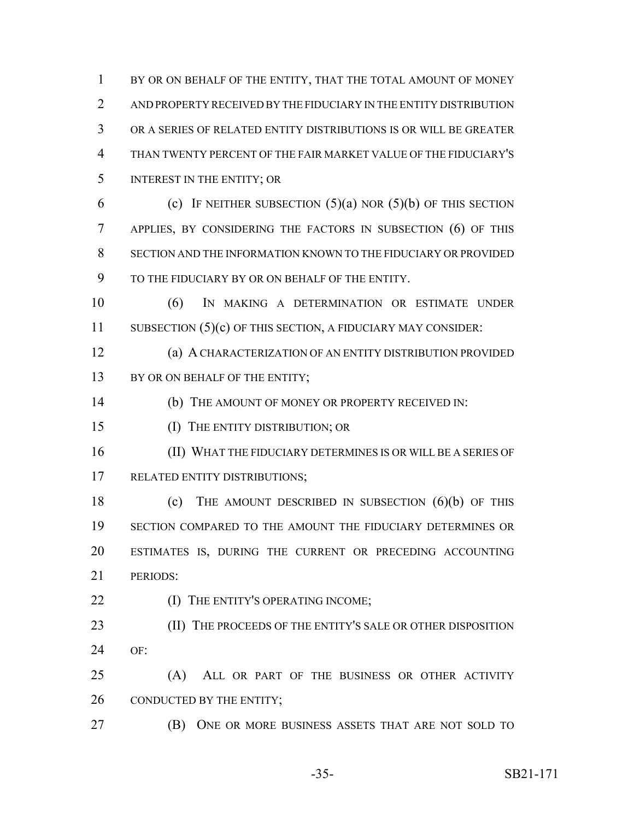1 BY OR ON BEHALF OF THE ENTITY, THAT THE TOTAL AMOUNT OF MONEY AND PROPERTY RECEIVED BY THE FIDUCIARY IN THE ENTITY DISTRIBUTION OR A SERIES OF RELATED ENTITY DISTRIBUTIONS IS OR WILL BE GREATER THAN TWENTY PERCENT OF THE FAIR MARKET VALUE OF THE FIDUCIARY'S INTEREST IN THE ENTITY; OR 6 (c) IF NEITHER SUBSECTION  $(5)(a)$  NOR  $(5)(b)$  OF THIS SECTION APPLIES, BY CONSIDERING THE FACTORS IN SUBSECTION (6) OF THIS SECTION AND THE INFORMATION KNOWN TO THE FIDUCIARY OR PROVIDED TO THE FIDUCIARY BY OR ON BEHALF OF THE ENTITY. (6) IN MAKING A DETERMINATION OR ESTIMATE UNDER

11 SUBSECTION (5)(c) OF THIS SECTION, A FIDUCIARY MAY CONSIDER:

 (a) A CHARACTERIZATION OF AN ENTITY DISTRIBUTION PROVIDED 13 BY OR ON BEHALF OF THE ENTITY;

(b) THE AMOUNT OF MONEY OR PROPERTY RECEIVED IN:

(I) THE ENTITY DISTRIBUTION; OR

 (II) WHAT THE FIDUCIARY DETERMINES IS OR WILL BE A SERIES OF RELATED ENTITY DISTRIBUTIONS;

 (c) THE AMOUNT DESCRIBED IN SUBSECTION (6)(b) OF THIS SECTION COMPARED TO THE AMOUNT THE FIDUCIARY DETERMINES OR ESTIMATES IS, DURING THE CURRENT OR PRECEDING ACCOUNTING PERIODS:

**(I) THE ENTITY'S OPERATING INCOME;** 

23 (II) THE PROCEEDS OF THE ENTITY'S SALE OR OTHER DISPOSITION OF:

 (A) ALL OR PART OF THE BUSINESS OR OTHER ACTIVITY 26 CONDUCTED BY THE ENTITY;

(B) ONE OR MORE BUSINESS ASSETS THAT ARE NOT SOLD TO

-35- SB21-171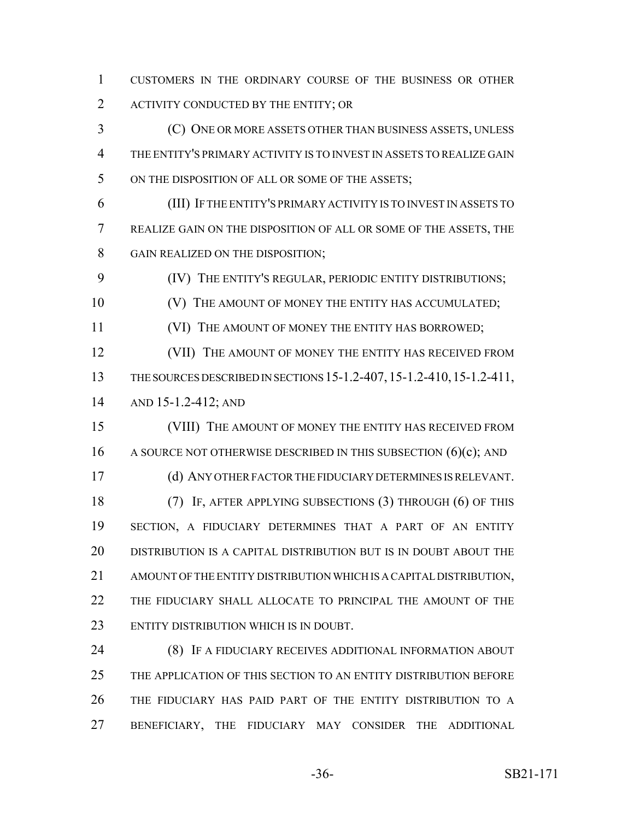CUSTOMERS IN THE ORDINARY COURSE OF THE BUSINESS OR OTHER ACTIVITY CONDUCTED BY THE ENTITY; OR

 (C) ONE OR MORE ASSETS OTHER THAN BUSINESS ASSETS, UNLESS THE ENTITY'S PRIMARY ACTIVITY IS TO INVEST IN ASSETS TO REALIZE GAIN 5 ON THE DISPOSITION OF ALL OR SOME OF THE ASSETS;

 (III) IF THE ENTITY'S PRIMARY ACTIVITY IS TO INVEST IN ASSETS TO REALIZE GAIN ON THE DISPOSITION OF ALL OR SOME OF THE ASSETS, THE GAIN REALIZED ON THE DISPOSITION;

(IV) THE ENTITY'S REGULAR, PERIODIC ENTITY DISTRIBUTIONS;

**CONOCITY IS A THE AMOUNT OF MONEY THE ENTITY HAS ACCUMULATED;** 

(VI) THE AMOUNT OF MONEY THE ENTITY HAS BORROWED;

12 (VII) THE AMOUNT OF MONEY THE ENTITY HAS RECEIVED FROM THE SOURCES DESCRIBED IN SECTIONS 15-1.2-407,15-1.2-410,15-1.2-411, AND 15-1.2-412; AND

 (VIII) THE AMOUNT OF MONEY THE ENTITY HAS RECEIVED FROM 16 A SOURCE NOT OTHERWISE DESCRIBED IN THIS SUBSECTION  $(6)(c)$ ; AND (d) ANY OTHER FACTOR THE FIDUCIARY DETERMINES IS RELEVANT. (7) IF, AFTER APPLYING SUBSECTIONS (3) THROUGH (6) OF THIS SECTION, A FIDUCIARY DETERMINES THAT A PART OF AN ENTITY DISTRIBUTION IS A CAPITAL DISTRIBUTION BUT IS IN DOUBT ABOUT THE AMOUNT OF THE ENTITY DISTRIBUTION WHICH IS A CAPITAL DISTRIBUTION, THE FIDUCIARY SHALL ALLOCATE TO PRINCIPAL THE AMOUNT OF THE ENTITY DISTRIBUTION WHICH IS IN DOUBT.

 (8) IF A FIDUCIARY RECEIVES ADDITIONAL INFORMATION ABOUT THE APPLICATION OF THIS SECTION TO AN ENTITY DISTRIBUTION BEFORE THE FIDUCIARY HAS PAID PART OF THE ENTITY DISTRIBUTION TO A BENEFICIARY, THE FIDUCIARY MAY CONSIDER THE ADDITIONAL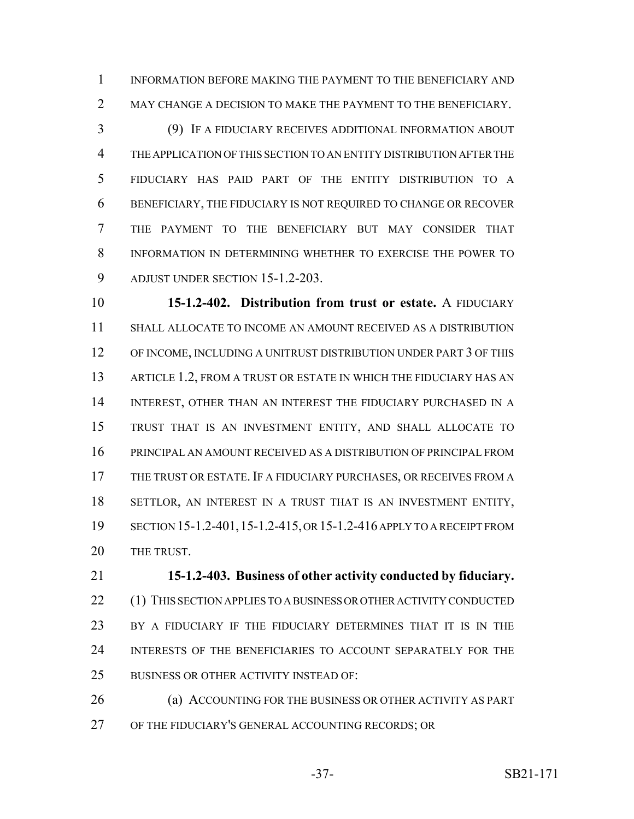INFORMATION BEFORE MAKING THE PAYMENT TO THE BENEFICIARY AND 2 MAY CHANGE A DECISION TO MAKE THE PAYMENT TO THE BENEFICIARY.

 (9) IF A FIDUCIARY RECEIVES ADDITIONAL INFORMATION ABOUT THE APPLICATION OF THIS SECTION TO AN ENTITY DISTRIBUTION AFTER THE FIDUCIARY HAS PAID PART OF THE ENTITY DISTRIBUTION TO A BENEFICIARY, THE FIDUCIARY IS NOT REQUIRED TO CHANGE OR RECOVER THE PAYMENT TO THE BENEFICIARY BUT MAY CONSIDER THAT INFORMATION IN DETERMINING WHETHER TO EXERCISE THE POWER TO ADJUST UNDER SECTION 15-1.2-203.

 **15-1.2-402. Distribution from trust or estate.** A FIDUCIARY SHALL ALLOCATE TO INCOME AN AMOUNT RECEIVED AS A DISTRIBUTION 12 OF INCOME, INCLUDING A UNITRUST DISTRIBUTION UNDER PART 3 OF THIS 13 ARTICLE 1.2, FROM A TRUST OR ESTATE IN WHICH THE FIDUCIARY HAS AN INTEREST, OTHER THAN AN INTEREST THE FIDUCIARY PURCHASED IN A TRUST THAT IS AN INVESTMENT ENTITY, AND SHALL ALLOCATE TO PRINCIPAL AN AMOUNT RECEIVED AS A DISTRIBUTION OF PRINCIPAL FROM THE TRUST OR ESTATE. IF A FIDUCIARY PURCHASES, OR RECEIVES FROM A SETTLOR, AN INTEREST IN A TRUST THAT IS AN INVESTMENT ENTITY, SECTION 15-1.2-401,15-1.2-415, OR 15-1.2-416 APPLY TO A RECEIPT FROM 20 THE TRUST.

 **15-1.2-403. Business of other activity conducted by fiduciary.** 22 (1) THIS SECTION APPLIES TO A BUSINESS OR OTHER ACTIVITY CONDUCTED BY A FIDUCIARY IF THE FIDUCIARY DETERMINES THAT IT IS IN THE INTERESTS OF THE BENEFICIARIES TO ACCOUNT SEPARATELY FOR THE BUSINESS OR OTHER ACTIVITY INSTEAD OF:

 (a) ACCOUNTING FOR THE BUSINESS OR OTHER ACTIVITY AS PART OF THE FIDUCIARY'S GENERAL ACCOUNTING RECORDS; OR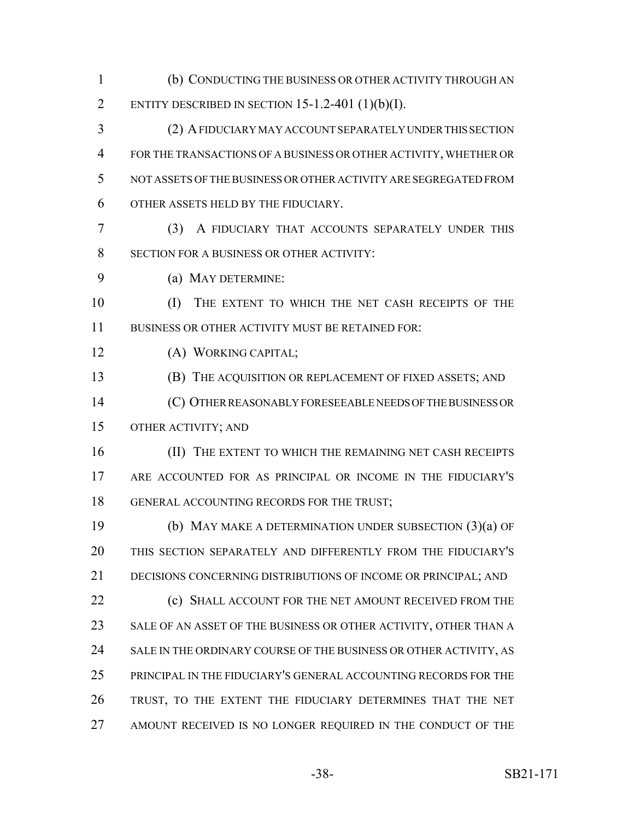(b) CONDUCTING THE BUSINESS OR OTHER ACTIVITY THROUGH AN 2 ENTITY DESCRIBED IN SECTION 15-1.2-401  $(1)(b)(I)$ .

 (2) A FIDUCIARY MAY ACCOUNT SEPARATELY UNDER THIS SECTION FOR THE TRANSACTIONS OF A BUSINESS OR OTHER ACTIVITY, WHETHER OR NOT ASSETS OF THE BUSINESS OR OTHER ACTIVITY ARE SEGREGATED FROM OTHER ASSETS HELD BY THE FIDUCIARY.

 (3) A FIDUCIARY THAT ACCOUNTS SEPARATELY UNDER THIS 8 SECTION FOR A BUSINESS OR OTHER ACTIVITY:

(a) MAY DETERMINE:

 (I) THE EXTENT TO WHICH THE NET CASH RECEIPTS OF THE BUSINESS OR OTHER ACTIVITY MUST BE RETAINED FOR:

(A) WORKING CAPITAL;

(B) THE ACQUISITION OR REPLACEMENT OF FIXED ASSETS; AND

 (C) OTHER REASONABLY FORESEEABLE NEEDS OF THE BUSINESS OR OTHER ACTIVITY; AND

16 (II) THE EXTENT TO WHICH THE REMAINING NET CASH RECEIPTS ARE ACCOUNTED FOR AS PRINCIPAL OR INCOME IN THE FIDUCIARY'S 18 GENERAL ACCOUNTING RECORDS FOR THE TRUST;

 (b) MAY MAKE A DETERMINATION UNDER SUBSECTION (3)(a) OF THIS SECTION SEPARATELY AND DIFFERENTLY FROM THE FIDUCIARY'S DECISIONS CONCERNING DISTRIBUTIONS OF INCOME OR PRINCIPAL; AND **(c) SHALL ACCOUNT FOR THE NET AMOUNT RECEIVED FROM THE** 23 SALE OF AN ASSET OF THE BUSINESS OR OTHER ACTIVITY, OTHER THAN A 24 SALE IN THE ORDINARY COURSE OF THE BUSINESS OR OTHER ACTIVITY, AS PRINCIPAL IN THE FIDUCIARY'S GENERAL ACCOUNTING RECORDS FOR THE TRUST, TO THE EXTENT THE FIDUCIARY DETERMINES THAT THE NET 27 AMOUNT RECEIVED IS NO LONGER REQUIRED IN THE CONDUCT OF THE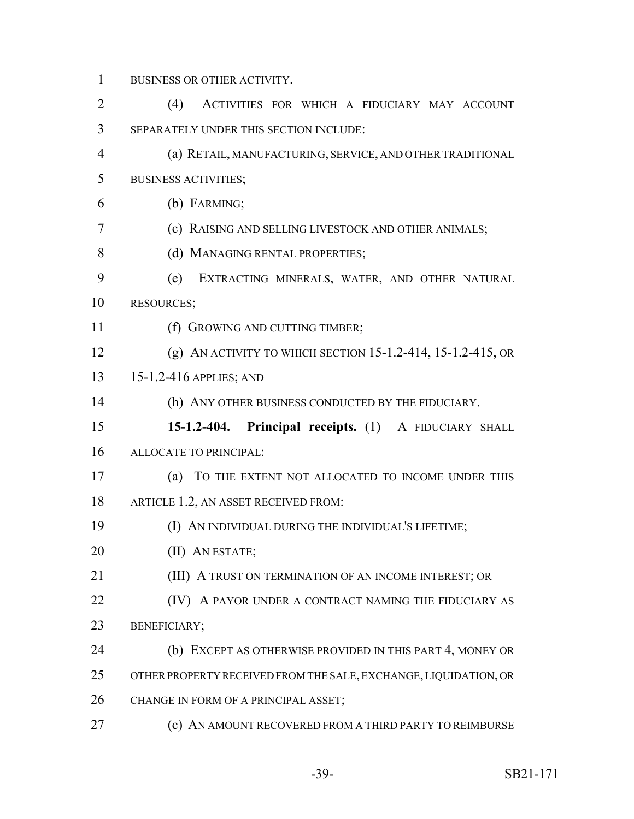BUSINESS OR OTHER ACTIVITY.

| $\overline{2}$ | (4)<br>ACTIVITIES FOR WHICH A FIDUCIARY MAY ACCOUNT              |
|----------------|------------------------------------------------------------------|
| 3              | SEPARATELY UNDER THIS SECTION INCLUDE:                           |
| $\overline{4}$ | (a) RETAIL, MANUFACTURING, SERVICE, AND OTHER TRADITIONAL        |
| 5              | <b>BUSINESS ACTIVITIES;</b>                                      |
| 6              | (b) FARMING;                                                     |
| 7              | (c) RAISING AND SELLING LIVESTOCK AND OTHER ANIMALS;             |
| 8              | (d) MANAGING RENTAL PROPERTIES;                                  |
| 9              | (e)<br>EXTRACTING MINERALS, WATER, AND OTHER NATURAL             |
| 10             | <b>RESOURCES;</b>                                                |
| 11             | (f) GROWING AND CUTTING TIMBER;                                  |
| 12             | (g) AN ACTIVITY TO WHICH SECTION 15-1.2-414, 15-1.2-415, OR      |
| 13             | 15-1.2-416 APPLIES; AND                                          |
| 14             | (h) ANY OTHER BUSINESS CONDUCTED BY THE FIDUCIARY.               |
|                |                                                                  |
| 15             | 15-1.2-404. Principal receipts. (1) A FIDUCIARY SHALL            |
| 16             | ALLOCATE TO PRINCIPAL:                                           |
| 17             | (a) TO THE EXTENT NOT ALLOCATED TO INCOME UNDER THIS             |
| 18             | ARTICLE 1.2, AN ASSET RECEIVED FROM:                             |
| 19             | (I) AN INDIVIDUAL DURING THE INDIVIDUAL'S LIFETIME;              |
| 20             | (II) AN ESTATE;                                                  |
| 21             | (III) A TRUST ON TERMINATION OF AN INCOME INTEREST; OR           |
| 22             | (IV) A PAYOR UNDER A CONTRACT NAMING THE FIDUCIARY AS            |
| 23             | <b>BENEFICIARY;</b>                                              |
| 24             | (b) EXCEPT AS OTHERWISE PROVIDED IN THIS PART 4, MONEY OR        |
| 25             | OTHER PROPERTY RECEIVED FROM THE SALE, EXCHANGE, LIQUIDATION, OR |
| 26             | CHANGE IN FORM OF A PRINCIPAL ASSET;                             |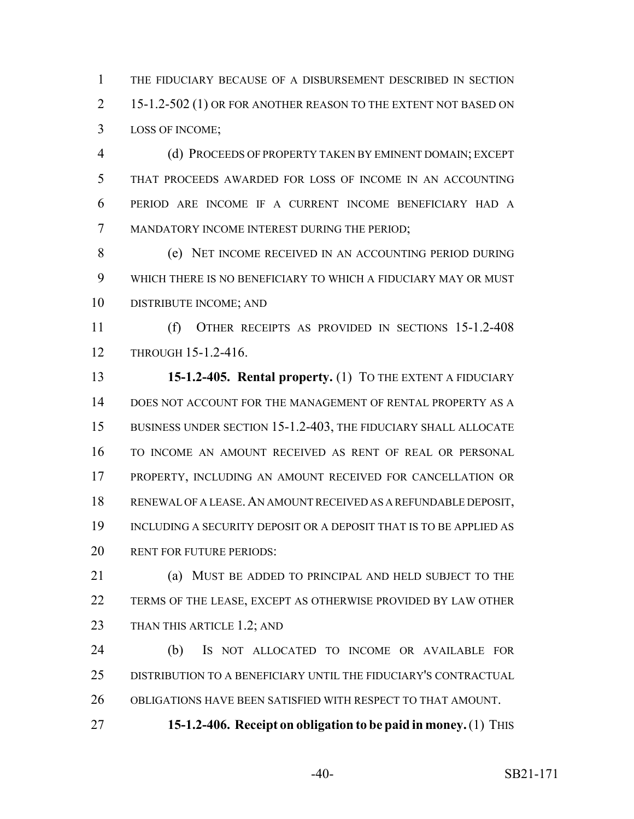THE FIDUCIARY BECAUSE OF A DISBURSEMENT DESCRIBED IN SECTION 2 15-1.2-502 (1) OR FOR ANOTHER REASON TO THE EXTENT NOT BASED ON LOSS OF INCOME;

 (d) PROCEEDS OF PROPERTY TAKEN BY EMINENT DOMAIN; EXCEPT THAT PROCEEDS AWARDED FOR LOSS OF INCOME IN AN ACCOUNTING PERIOD ARE INCOME IF A CURRENT INCOME BENEFICIARY HAD A MANDATORY INCOME INTEREST DURING THE PERIOD;

 (e) NET INCOME RECEIVED IN AN ACCOUNTING PERIOD DURING WHICH THERE IS NO BENEFICIARY TO WHICH A FIDUCIARY MAY OR MUST DISTRIBUTE INCOME; AND

 (f) OTHER RECEIPTS AS PROVIDED IN SECTIONS 15-1.2-408 THROUGH 15-1.2-416.

 **15-1.2-405. Rental property.** (1) TO THE EXTENT A FIDUCIARY DOES NOT ACCOUNT FOR THE MANAGEMENT OF RENTAL PROPERTY AS A BUSINESS UNDER SECTION 15-1.2-403, THE FIDUCIARY SHALL ALLOCATE TO INCOME AN AMOUNT RECEIVED AS RENT OF REAL OR PERSONAL PROPERTY, INCLUDING AN AMOUNT RECEIVED FOR CANCELLATION OR RENEWAL OF A LEASE.AN AMOUNT RECEIVED AS A REFUNDABLE DEPOSIT, INCLUDING A SECURITY DEPOSIT OR A DEPOSIT THAT IS TO BE APPLIED AS RENT FOR FUTURE PERIODS:

 (a) MUST BE ADDED TO PRINCIPAL AND HELD SUBJECT TO THE TERMS OF THE LEASE, EXCEPT AS OTHERWISE PROVIDED BY LAW OTHER 23 THAN THIS ARTICLE 1.2; AND

 (b) IS NOT ALLOCATED TO INCOME OR AVAILABLE FOR DISTRIBUTION TO A BENEFICIARY UNTIL THE FIDUCIARY'S CONTRACTUAL OBLIGATIONS HAVE BEEN SATISFIED WITH RESPECT TO THAT AMOUNT.

**15-1.2-406. Receipt on obligation to be paid in money.** (1) THIS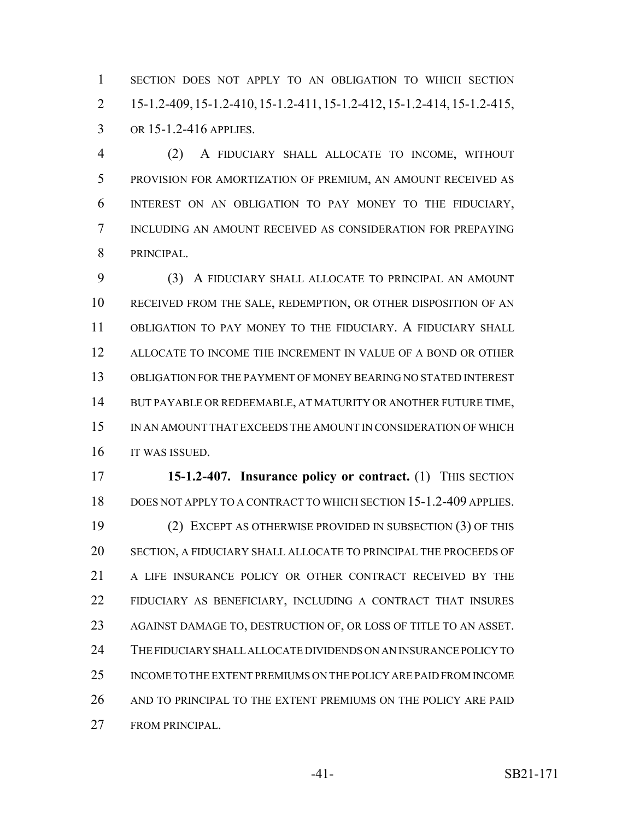SECTION DOES NOT APPLY TO AN OBLIGATION TO WHICH SECTION 15-1.2-409,15-1.2-410,15-1.2-411,15-1.2-412,15-1.2-414, 15-1.2-415, OR 15-1.2-416 APPLIES.

 (2) A FIDUCIARY SHALL ALLOCATE TO INCOME, WITHOUT PROVISION FOR AMORTIZATION OF PREMIUM, AN AMOUNT RECEIVED AS INTEREST ON AN OBLIGATION TO PAY MONEY TO THE FIDUCIARY, INCLUDING AN AMOUNT RECEIVED AS CONSIDERATION FOR PREPAYING PRINCIPAL.

 (3) A FIDUCIARY SHALL ALLOCATE TO PRINCIPAL AN AMOUNT RECEIVED FROM THE SALE, REDEMPTION, OR OTHER DISPOSITION OF AN OBLIGATION TO PAY MONEY TO THE FIDUCIARY. A FIDUCIARY SHALL ALLOCATE TO INCOME THE INCREMENT IN VALUE OF A BOND OR OTHER OBLIGATION FOR THE PAYMENT OF MONEY BEARING NO STATED INTEREST BUT PAYABLE OR REDEEMABLE, AT MATURITY OR ANOTHER FUTURE TIME, IN AN AMOUNT THAT EXCEEDS THE AMOUNT IN CONSIDERATION OF WHICH IT WAS ISSUED.

 **15-1.2-407. Insurance policy or contract.** (1) THIS SECTION DOES NOT APPLY TO A CONTRACT TO WHICH SECTION 15-1.2-409 APPLIES. (2) EXCEPT AS OTHERWISE PROVIDED IN SUBSECTION (3) OF THIS SECTION, A FIDUCIARY SHALL ALLOCATE TO PRINCIPAL THE PROCEEDS OF 21 A LIFE INSURANCE POLICY OR OTHER CONTRACT RECEIVED BY THE FIDUCIARY AS BENEFICIARY, INCLUDING A CONTRACT THAT INSURES AGAINST DAMAGE TO, DESTRUCTION OF, OR LOSS OF TITLE TO AN ASSET. THE FIDUCIARY SHALL ALLOCATE DIVIDENDS ON AN INSURANCE POLICY TO INCOME TO THE EXTENT PREMIUMS ON THE POLICY ARE PAID FROM INCOME AND TO PRINCIPAL TO THE EXTENT PREMIUMS ON THE POLICY ARE PAID FROM PRINCIPAL.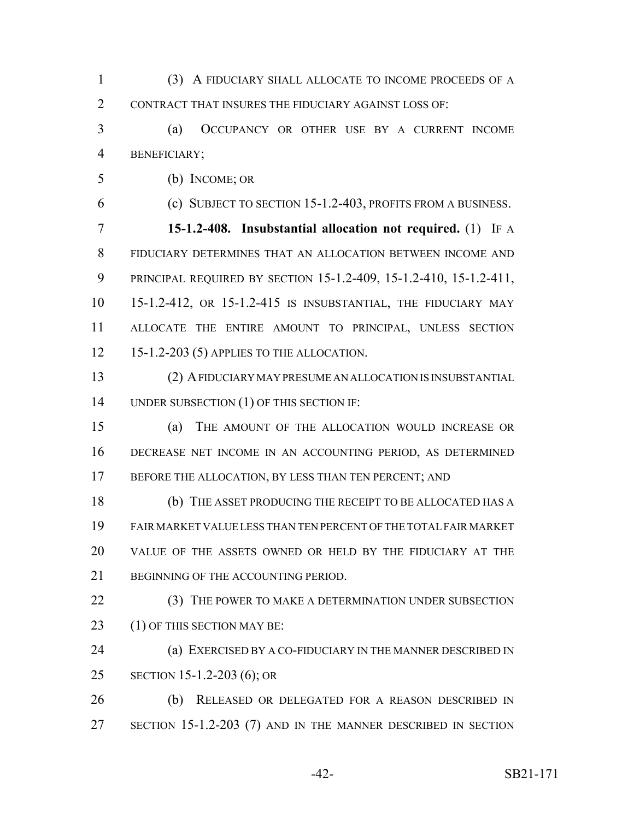(3) A FIDUCIARY SHALL ALLOCATE TO INCOME PROCEEDS OF A CONTRACT THAT INSURES THE FIDUCIARY AGAINST LOSS OF:

 (a) OCCUPANCY OR OTHER USE BY A CURRENT INCOME BENEFICIARY;

(b) INCOME; OR

(c) SUBJECT TO SECTION 15-1.2-403, PROFITS FROM A BUSINESS.

 **15-1.2-408. Insubstantial allocation not required.** (1) IF A FIDUCIARY DETERMINES THAT AN ALLOCATION BETWEEN INCOME AND PRINCIPAL REQUIRED BY SECTION 15-1.2-409, 15-1.2-410, 15-1.2-411, 15-1.2-412, OR 15-1.2-415 IS INSUBSTANTIAL, THE FIDUCIARY MAY ALLOCATE THE ENTIRE AMOUNT TO PRINCIPAL, UNLESS SECTION 15-1.2-203 (5) APPLIES TO THE ALLOCATION.

 (2) A FIDUCIARY MAY PRESUME AN ALLOCATION IS INSUBSTANTIAL 14 UNDER SUBSECTION (1) OF THIS SECTION IF:

 (a) THE AMOUNT OF THE ALLOCATION WOULD INCREASE OR DECREASE NET INCOME IN AN ACCOUNTING PERIOD, AS DETERMINED 17 BEFORE THE ALLOCATION, BY LESS THAN TEN PERCENT; AND

 (b) THE ASSET PRODUCING THE RECEIPT TO BE ALLOCATED HAS A FAIR MARKET VALUE LESS THAN TEN PERCENT OF THE TOTAL FAIR MARKET VALUE OF THE ASSETS OWNED OR HELD BY THE FIDUCIARY AT THE BEGINNING OF THE ACCOUNTING PERIOD.

22 (3) THE POWER TO MAKE A DETERMINATION UNDER SUBSECTION 23 (1) OF THIS SECTION MAY BE:

**(a) EXERCISED BY A CO-FIDUCIARY IN THE MANNER DESCRIBED IN** SECTION 15-1.2-203 (6); OR

 (b) RELEASED OR DELEGATED FOR A REASON DESCRIBED IN 27 SECTION 15-1.2-203 (7) AND IN THE MANNER DESCRIBED IN SECTION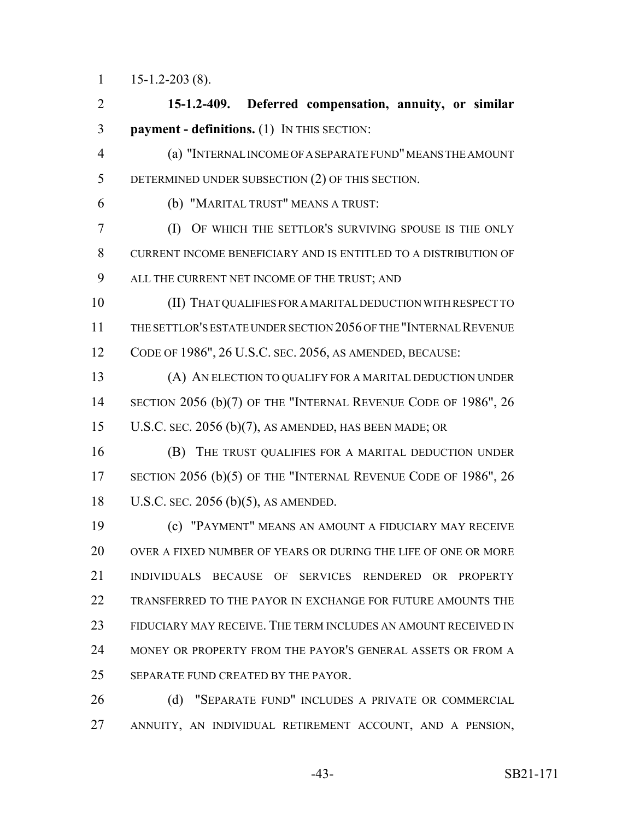15-1.2-203 (8).

 **15-1.2-409. Deferred compensation, annuity, or similar payment - definitions.** (1) IN THIS SECTION: (a) "INTERNAL INCOME OF A SEPARATE FUND" MEANS THE AMOUNT DETERMINED UNDER SUBSECTION (2) OF THIS SECTION. (b) "MARITAL TRUST" MEANS A TRUST: (I) OF WHICH THE SETTLOR'S SURVIVING SPOUSE IS THE ONLY CURRENT INCOME BENEFICIARY AND IS ENTITLED TO A DISTRIBUTION OF ALL THE CURRENT NET INCOME OF THE TRUST; AND (II) THAT QUALIFIES FOR A MARITAL DEDUCTION WITH RESPECT TO THE SETTLOR'S ESTATE UNDER SECTION 2056 OF THE "INTERNAL REVENUE CODE OF 1986", 26 U.S.C. SEC. 2056, AS AMENDED, BECAUSE: (A) AN ELECTION TO QUALIFY FOR A MARITAL DEDUCTION UNDER 14 SECTION 2056 (b)(7) OF THE "INTERNAL REVENUE CODE OF 1986", 26 U.S.C. SEC. 2056 (b)(7), AS AMENDED, HAS BEEN MADE; OR (B) THE TRUST QUALIFIES FOR A MARITAL DEDUCTION UNDER 17 SECTION 2056 (b)(5) OF THE "INTERNAL REVENUE CODE OF 1986", 26 U.S.C. SEC. 2056 (b)(5), AS AMENDED. (c) "PAYMENT" MEANS AN AMOUNT A FIDUCIARY MAY RECEIVE OVER A FIXED NUMBER OF YEARS OR DURING THE LIFE OF ONE OR MORE INDIVIDUALS BECAUSE OF SERVICES RENDERED OR PROPERTY TRANSFERRED TO THE PAYOR IN EXCHANGE FOR FUTURE AMOUNTS THE FIDUCIARY MAY RECEIVE. THE TERM INCLUDES AN AMOUNT RECEIVED IN MONEY OR PROPERTY FROM THE PAYOR'S GENERAL ASSETS OR FROM A SEPARATE FUND CREATED BY THE PAYOR. 26 (d) "SEPARATE FUND" INCLUDES A PRIVATE OR COMMERCIAL

ANNUITY, AN INDIVIDUAL RETIREMENT ACCOUNT, AND A PENSION,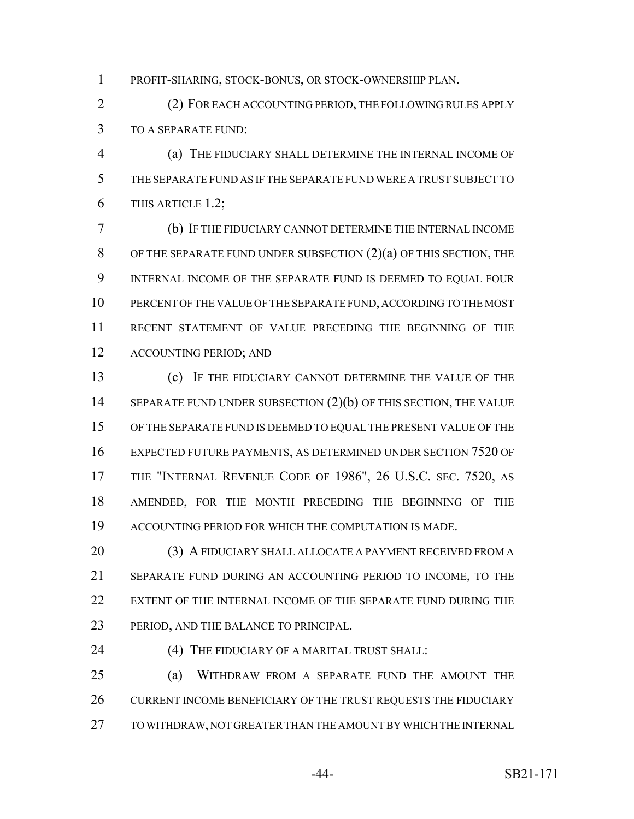PROFIT-SHARING, STOCK-BONUS, OR STOCK-OWNERSHIP PLAN.

 (2) FOR EACH ACCOUNTING PERIOD, THE FOLLOWING RULES APPLY TO A SEPARATE FUND:

 (a) THE FIDUCIARY SHALL DETERMINE THE INTERNAL INCOME OF THE SEPARATE FUND AS IF THE SEPARATE FUND WERE A TRUST SUBJECT TO THIS ARTICLE 1.2;

 (b) IF THE FIDUCIARY CANNOT DETERMINE THE INTERNAL INCOME 8 OF THE SEPARATE FUND UNDER SUBSECTION  $(2)(a)$  OF THIS SECTION, THE INTERNAL INCOME OF THE SEPARATE FUND IS DEEMED TO EQUAL FOUR PERCENT OF THE VALUE OF THE SEPARATE FUND, ACCORDING TO THE MOST RECENT STATEMENT OF VALUE PRECEDING THE BEGINNING OF THE ACCOUNTING PERIOD; AND

 (c) IF THE FIDUCIARY CANNOT DETERMINE THE VALUE OF THE 14 SEPARATE FUND UNDER SUBSECTION (2)(b) OF THIS SECTION, THE VALUE OF THE SEPARATE FUND IS DEEMED TO EQUAL THE PRESENT VALUE OF THE EXPECTED FUTURE PAYMENTS, AS DETERMINED UNDER SECTION 7520 OF THE "INTERNAL REVENUE CODE OF 1986", 26 U.S.C. SEC. 7520, AS AMENDED, FOR THE MONTH PRECEDING THE BEGINNING OF THE ACCOUNTING PERIOD FOR WHICH THE COMPUTATION IS MADE.

20 (3) A FIDUCIARY SHALL ALLOCATE A PAYMENT RECEIVED FROM A SEPARATE FUND DURING AN ACCOUNTING PERIOD TO INCOME, TO THE EXTENT OF THE INTERNAL INCOME OF THE SEPARATE FUND DURING THE PERIOD, AND THE BALANCE TO PRINCIPAL.

(4) THE FIDUCIARY OF A MARITAL TRUST SHALL:

 (a) WITHDRAW FROM A SEPARATE FUND THE AMOUNT THE 26 CURRENT INCOME BENEFICIARY OF THE TRUST REQUESTS THE FIDUCIARY TO WITHDRAW, NOT GREATER THAN THE AMOUNT BY WHICH THE INTERNAL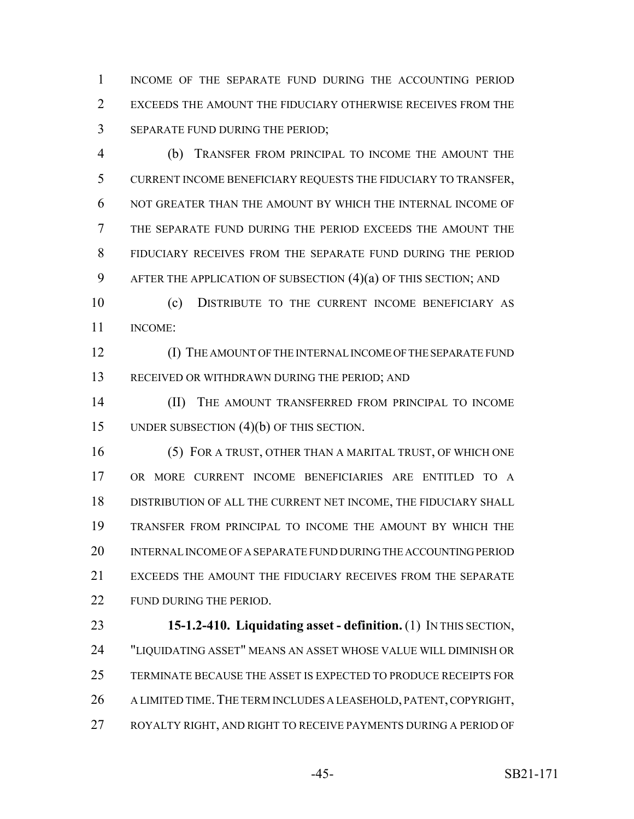INCOME OF THE SEPARATE FUND DURING THE ACCOUNTING PERIOD EXCEEDS THE AMOUNT THE FIDUCIARY OTHERWISE RECEIVES FROM THE SEPARATE FUND DURING THE PERIOD;

 (b) TRANSFER FROM PRINCIPAL TO INCOME THE AMOUNT THE CURRENT INCOME BENEFICIARY REQUESTS THE FIDUCIARY TO TRANSFER, NOT GREATER THAN THE AMOUNT BY WHICH THE INTERNAL INCOME OF THE SEPARATE FUND DURING THE PERIOD EXCEEDS THE AMOUNT THE FIDUCIARY RECEIVES FROM THE SEPARATE FUND DURING THE PERIOD AFTER THE APPLICATION OF SUBSECTION (4)(a) OF THIS SECTION; AND

 (c) DISTRIBUTE TO THE CURRENT INCOME BENEFICIARY AS INCOME:

 (I) THE AMOUNT OF THE INTERNAL INCOME OF THE SEPARATE FUND RECEIVED OR WITHDRAWN DURING THE PERIOD; AND

 (II) THE AMOUNT TRANSFERRED FROM PRINCIPAL TO INCOME UNDER SUBSECTION (4)(b) OF THIS SECTION.

 (5) FOR A TRUST, OTHER THAN A MARITAL TRUST, OF WHICH ONE OR MORE CURRENT INCOME BENEFICIARIES ARE ENTITLED TO A DISTRIBUTION OF ALL THE CURRENT NET INCOME, THE FIDUCIARY SHALL TRANSFER FROM PRINCIPAL TO INCOME THE AMOUNT BY WHICH THE INTERNAL INCOME OF A SEPARATE FUND DURING THE ACCOUNTING PERIOD EXCEEDS THE AMOUNT THE FIDUCIARY RECEIVES FROM THE SEPARATE 22 FUND DURING THE PERIOD.

 **15-1.2-410. Liquidating asset - definition.** (1) IN THIS SECTION, "LIQUIDATING ASSET" MEANS AN ASSET WHOSE VALUE WILL DIMINISH OR TERMINATE BECAUSE THE ASSET IS EXPECTED TO PRODUCE RECEIPTS FOR 26 A LIMITED TIME. THE TERM INCLUDES A LEASEHOLD, PATENT, COPYRIGHT, ROYALTY RIGHT, AND RIGHT TO RECEIVE PAYMENTS DURING A PERIOD OF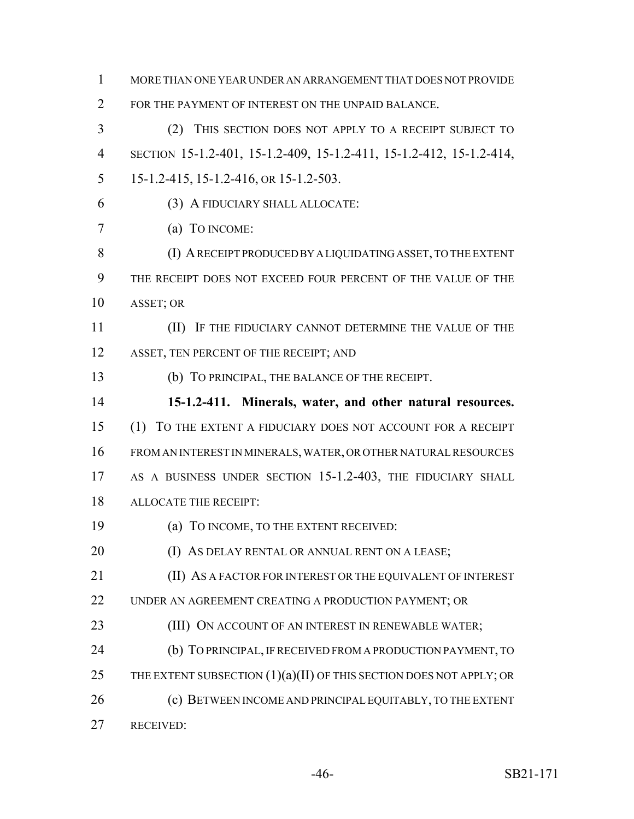FOR THE PAYMENT OF INTEREST ON THE UNPAID BALANCE. (2) THIS SECTION DOES NOT APPLY TO A RECEIPT SUBJECT TO SECTION 15-1.2-401, 15-1.2-409, 15-1.2-411, 15-1.2-412, 15-1.2-414, 15-1.2-415, 15-1.2-416, OR 15-1.2-503. (3) A FIDUCIARY SHALL ALLOCATE: (a) TO INCOME: (I) A RECEIPT PRODUCED BY A LIQUIDATING ASSET, TO THE EXTENT THE RECEIPT DOES NOT EXCEED FOUR PERCENT OF THE VALUE OF THE ASSET; OR (II) IF THE FIDUCIARY CANNOT DETERMINE THE VALUE OF THE 12 ASSET, TEN PERCENT OF THE RECEIPT; AND (b) TO PRINCIPAL, THE BALANCE OF THE RECEIPT. **15-1.2-411. Minerals, water, and other natural resources.** (1) TO THE EXTENT A FIDUCIARY DOES NOT ACCOUNT FOR A RECEIPT FROM AN INTEREST IN MINERALS, WATER, OR OTHER NATURAL RESOURCES 17 AS A BUSINESS UNDER SECTION 15-1.2-403, THE FIDUCIARY SHALL ALLOCATE THE RECEIPT: (a) TO INCOME, TO THE EXTENT RECEIVED: **(I) AS DELAY RENTAL OR ANNUAL RENT ON A LEASE;**  (II) AS A FACTOR FOR INTEREST OR THE EQUIVALENT OF INTEREST UNDER AN AGREEMENT CREATING A PRODUCTION PAYMENT; OR **(III) ON ACCOUNT OF AN INTEREST IN RENEWABLE WATER;**  (b) TO PRINCIPAL, IF RECEIVED FROM A PRODUCTION PAYMENT, TO 25 THE EXTENT SUBSECTION  $(1)(a)(II)$  OF THIS SECTION DOES NOT APPLY; OR 26 (c) BETWEEN INCOME AND PRINCIPAL EQUITABLY, TO THE EXTENT RECEIVED: -46- SB21-171

MORE THAN ONE YEAR UNDER AN ARRANGEMENT THAT DOES NOT PROVIDE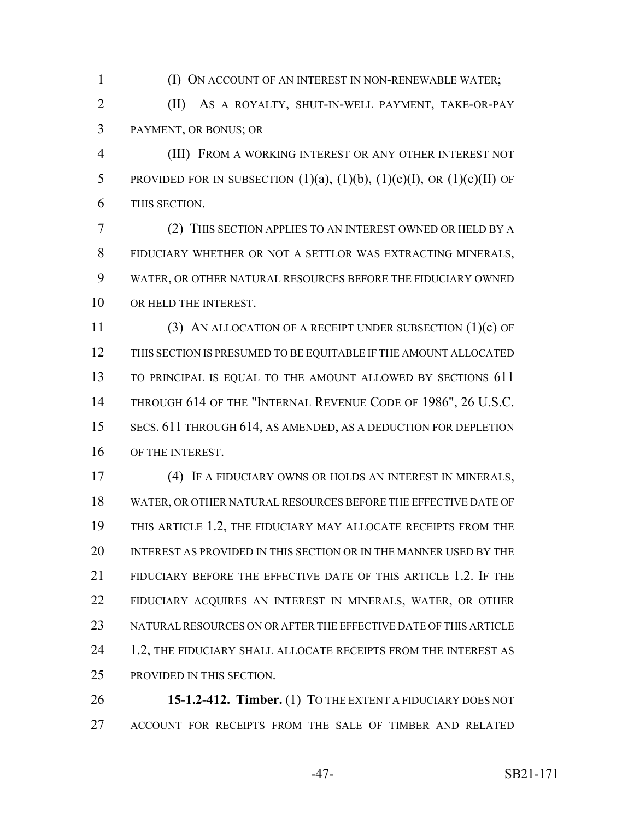(I) ON ACCOUNT OF AN INTEREST IN NON-RENEWABLE WATER;

 (II) AS A ROYALTY, SHUT-IN-WELL PAYMENT, TAKE-OR-PAY PAYMENT, OR BONUS; OR

 (III) FROM A WORKING INTEREST OR ANY OTHER INTEREST NOT 5 PROVIDED FOR IN SUBSECTION  $(1)(a)$ ,  $(1)(b)$ ,  $(1)(c)(I)$ , OR  $(1)(c)(II)$  OF THIS SECTION.

 (2) THIS SECTION APPLIES TO AN INTEREST OWNED OR HELD BY A FIDUCIARY WHETHER OR NOT A SETTLOR WAS EXTRACTING MINERALS, WATER, OR OTHER NATURAL RESOURCES BEFORE THE FIDUCIARY OWNED 10 OR HELD THE INTEREST.

 (3) AN ALLOCATION OF A RECEIPT UNDER SUBSECTION (1)(c) OF THIS SECTION IS PRESUMED TO BE EQUITABLE IF THE AMOUNT ALLOCATED 13 TO PRINCIPAL IS EQUAL TO THE AMOUNT ALLOWED BY SECTIONS 611 14 THROUGH 614 OF THE "INTERNAL REVENUE CODE OF 1986", 26 U.S.C. SECS. 611 THROUGH 614, AS AMENDED, AS A DEDUCTION FOR DEPLETION OF THE INTEREST.

 (4) IF A FIDUCIARY OWNS OR HOLDS AN INTEREST IN MINERALS, WATER, OR OTHER NATURAL RESOURCES BEFORE THE EFFECTIVE DATE OF THIS ARTICLE 1.2, THE FIDUCIARY MAY ALLOCATE RECEIPTS FROM THE INTEREST AS PROVIDED IN THIS SECTION OR IN THE MANNER USED BY THE FIDUCIARY BEFORE THE EFFECTIVE DATE OF THIS ARTICLE 1.2. IF THE FIDUCIARY ACQUIRES AN INTEREST IN MINERALS, WATER, OR OTHER NATURAL RESOURCES ON OR AFTER THE EFFECTIVE DATE OF THIS ARTICLE 24 1.2, THE FIDUCIARY SHALL ALLOCATE RECEIPTS FROM THE INTEREST AS PROVIDED IN THIS SECTION.

 **15-1.2-412. Timber.** (1) TO THE EXTENT A FIDUCIARY DOES NOT ACCOUNT FOR RECEIPTS FROM THE SALE OF TIMBER AND RELATED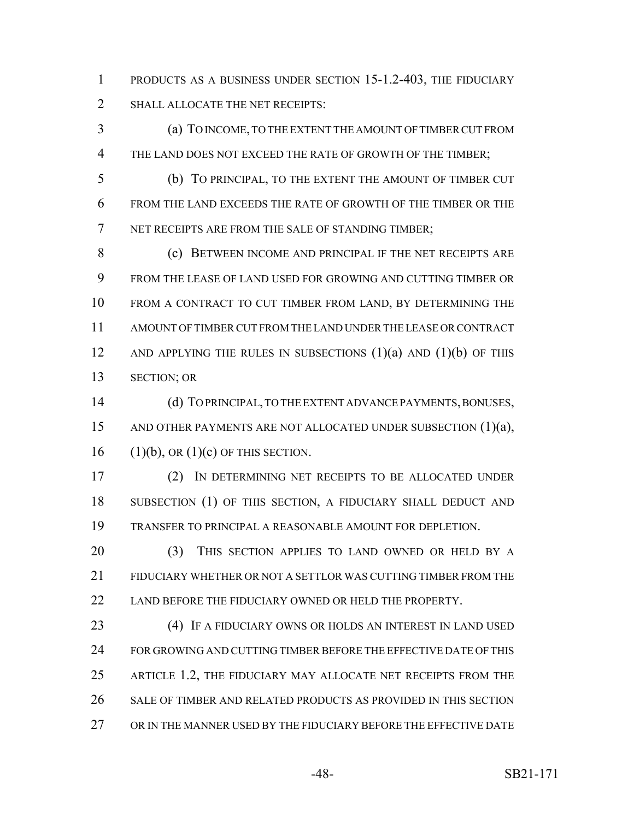PRODUCTS AS A BUSINESS UNDER SECTION 15-1.2-403, THE FIDUCIARY 2 SHALL ALLOCATE THE NET RECEIPTS:

 (a) TO INCOME, TO THE EXTENT THE AMOUNT OF TIMBER CUT FROM THE LAND DOES NOT EXCEED THE RATE OF GROWTH OF THE TIMBER;

 (b) TO PRINCIPAL, TO THE EXTENT THE AMOUNT OF TIMBER CUT FROM THE LAND EXCEEDS THE RATE OF GROWTH OF THE TIMBER OR THE NET RECEIPTS ARE FROM THE SALE OF STANDING TIMBER;

 (c) BETWEEN INCOME AND PRINCIPAL IF THE NET RECEIPTS ARE FROM THE LEASE OF LAND USED FOR GROWING AND CUTTING TIMBER OR FROM A CONTRACT TO CUT TIMBER FROM LAND, BY DETERMINING THE AMOUNT OF TIMBER CUT FROM THE LAND UNDER THE LEASE OR CONTRACT 12 AND APPLYING THE RULES IN SUBSECTIONS  $(1)(a)$  AND  $(1)(b)$  OF THIS SECTION; OR

 (d) TO PRINCIPAL, TO THE EXTENT ADVANCE PAYMENTS, BONUSES, 15 AND OTHER PAYMENTS ARE NOT ALLOCATED UNDER SUBSECTION (1)(a), 16 (1)(b), OR  $(1)(c)$  OF THIS SECTION.

 (2) IN DETERMINING NET RECEIPTS TO BE ALLOCATED UNDER 18 SUBSECTION (1) OF THIS SECTION, A FIDUCIARY SHALL DEDUCT AND TRANSFER TO PRINCIPAL A REASONABLE AMOUNT FOR DEPLETION.

20 (3) THIS SECTION APPLIES TO LAND OWNED OR HELD BY A FIDUCIARY WHETHER OR NOT A SETTLOR WAS CUTTING TIMBER FROM THE 22 LAND BEFORE THE FIDUCIARY OWNED OR HELD THE PROPERTY.

 (4) IF A FIDUCIARY OWNS OR HOLDS AN INTEREST IN LAND USED FOR GROWING AND CUTTING TIMBER BEFORE THE EFFECTIVE DATE OF THIS ARTICLE 1.2, THE FIDUCIARY MAY ALLOCATE NET RECEIPTS FROM THE SALE OF TIMBER AND RELATED PRODUCTS AS PROVIDED IN THIS SECTION OR IN THE MANNER USED BY THE FIDUCIARY BEFORE THE EFFECTIVE DATE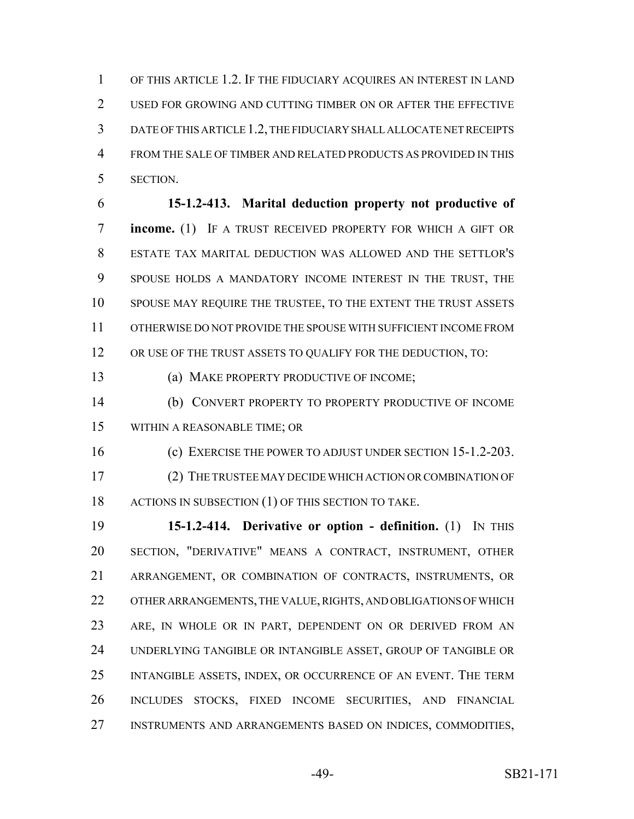OF THIS ARTICLE 1.2. IF THE FIDUCIARY ACQUIRES AN INTEREST IN LAND 2 USED FOR GROWING AND CUTTING TIMBER ON OR AFTER THE EFFECTIVE DATE OF THIS ARTICLE 1.2, THE FIDUCIARY SHALL ALLOCATE NET RECEIPTS FROM THE SALE OF TIMBER AND RELATED PRODUCTS AS PROVIDED IN THIS SECTION.

 **15-1.2-413. Marital deduction property not productive of income.** (1) IF A TRUST RECEIVED PROPERTY FOR WHICH A GIFT OR ESTATE TAX MARITAL DEDUCTION WAS ALLOWED AND THE SETTLOR'S SPOUSE HOLDS A MANDATORY INCOME INTEREST IN THE TRUST, THE SPOUSE MAY REQUIRE THE TRUSTEE, TO THE EXTENT THE TRUST ASSETS OTHERWISE DO NOT PROVIDE THE SPOUSE WITH SUFFICIENT INCOME FROM 12 OR USE OF THE TRUST ASSETS TO QUALIFY FOR THE DEDUCTION, TO:

13 (a) MAKE PROPERTY PRODUCTIVE OF INCOME;

 (b) CONVERT PROPERTY TO PROPERTY PRODUCTIVE OF INCOME WITHIN A REASONABLE TIME; OR

16 (c) EXERCISE THE POWER TO ADJUST UNDER SECTION 15-1.2-203.

 (2) THE TRUSTEE MAY DECIDE WHICH ACTION OR COMBINATION OF 18 ACTIONS IN SUBSECTION (1) OF THIS SECTION TO TAKE.

 **15-1.2-414. Derivative or option - definition.** (1) IN THIS SECTION, "DERIVATIVE" MEANS A CONTRACT, INSTRUMENT, OTHER ARRANGEMENT, OR COMBINATION OF CONTRACTS, INSTRUMENTS, OR OTHER ARRANGEMENTS, THE VALUE, RIGHTS, AND OBLIGATIONS OF WHICH ARE, IN WHOLE OR IN PART, DEPENDENT ON OR DERIVED FROM AN UNDERLYING TANGIBLE OR INTANGIBLE ASSET, GROUP OF TANGIBLE OR INTANGIBLE ASSETS, INDEX, OR OCCURRENCE OF AN EVENT. THE TERM INCLUDES STOCKS, FIXED INCOME SECURITIES, AND FINANCIAL INSTRUMENTS AND ARRANGEMENTS BASED ON INDICES, COMMODITIES,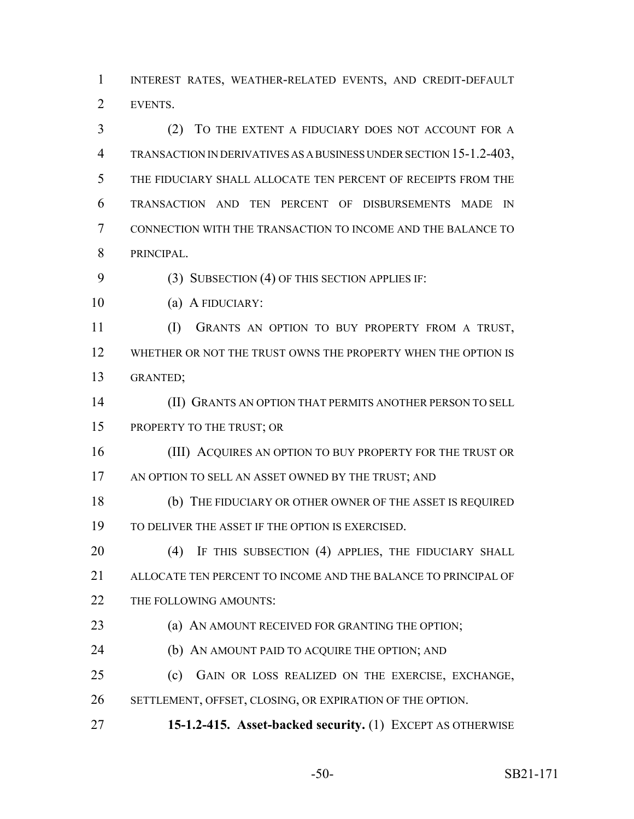INTEREST RATES, WEATHER-RELATED EVENTS, AND CREDIT-DEFAULT EVENTS.

 (2) TO THE EXTENT A FIDUCIARY DOES NOT ACCOUNT FOR A TRANSACTION IN DERIVATIVES AS A BUSINESS UNDER SECTION 15-1.2-403, THE FIDUCIARY SHALL ALLOCATE TEN PERCENT OF RECEIPTS FROM THE TRANSACTION AND TEN PERCENT OF DISBURSEMENTS MADE IN CONNECTION WITH THE TRANSACTION TO INCOME AND THE BALANCE TO PRINCIPAL.

9 (3) SUBSECTION (4) OF THIS SECTION APPLIES IF:

(a) A FIDUCIARY:

 (I) GRANTS AN OPTION TO BUY PROPERTY FROM A TRUST, WHETHER OR NOT THE TRUST OWNS THE PROPERTY WHEN THE OPTION IS GRANTED;

 (II) GRANTS AN OPTION THAT PERMITS ANOTHER PERSON TO SELL PROPERTY TO THE TRUST; OR

16 (III) ACQUIRES AN OPTION TO BUY PROPERTY FOR THE TRUST OR 17 AN OPTION TO SELL AN ASSET OWNED BY THE TRUST; AND

 (b) THE FIDUCIARY OR OTHER OWNER OF THE ASSET IS REQUIRED TO DELIVER THE ASSET IF THE OPTION IS EXERCISED.

20 (4) IF THIS SUBSECTION (4) APPLIES, THE FIDUCIARY SHALL ALLOCATE TEN PERCENT TO INCOME AND THE BALANCE TO PRINCIPAL OF 22 THE FOLLOWING AMOUNTS:

**(a) AN AMOUNT RECEIVED FOR GRANTING THE OPTION;** 

**(b) AN AMOUNT PAID TO ACQUIRE THE OPTION; AND** 

(c) GAIN OR LOSS REALIZED ON THE EXERCISE, EXCHANGE,

SETTLEMENT, OFFSET, CLOSING, OR EXPIRATION OF THE OPTION.

**15-1.2-415. Asset-backed security.** (1) EXCEPT AS OTHERWISE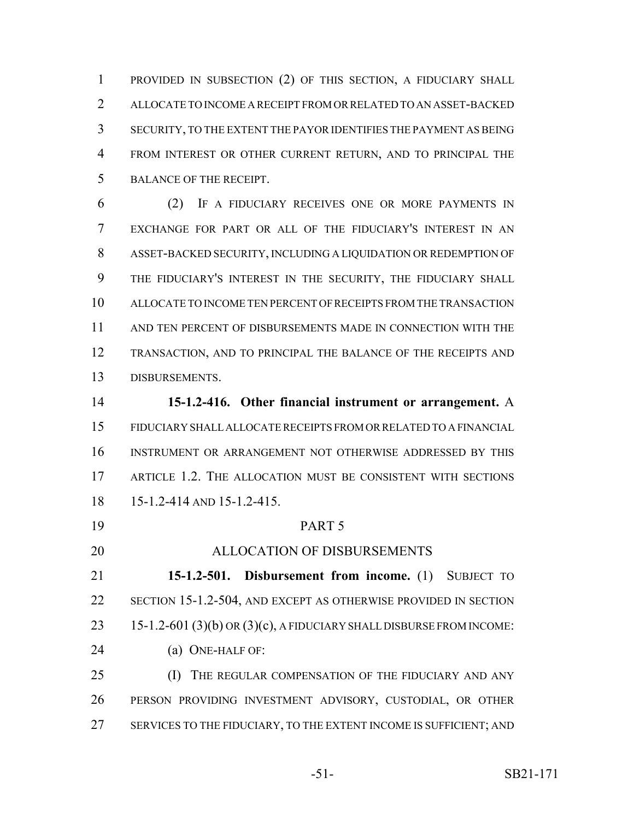PROVIDED IN SUBSECTION (2) OF THIS SECTION, A FIDUCIARY SHALL ALLOCATE TO INCOME A RECEIPT FROM OR RELATED TO AN ASSET-BACKED SECURITY, TO THE EXTENT THE PAYOR IDENTIFIES THE PAYMENT AS BEING FROM INTEREST OR OTHER CURRENT RETURN, AND TO PRINCIPAL THE BALANCE OF THE RECEIPT.

 (2) IF A FIDUCIARY RECEIVES ONE OR MORE PAYMENTS IN EXCHANGE FOR PART OR ALL OF THE FIDUCIARY'S INTEREST IN AN ASSET-BACKED SECURITY, INCLUDING A LIQUIDATION OR REDEMPTION OF THE FIDUCIARY'S INTEREST IN THE SECURITY, THE FIDUCIARY SHALL ALLOCATE TO INCOME TEN PERCENT OF RECEIPTS FROM THE TRANSACTION AND TEN PERCENT OF DISBURSEMENTS MADE IN CONNECTION WITH THE TRANSACTION, AND TO PRINCIPAL THE BALANCE OF THE RECEIPTS AND DISBURSEMENTS.

 **15-1.2-416. Other financial instrument or arrangement.** A FIDUCIARY SHALL ALLOCATE RECEIPTS FROM OR RELATED TO A FINANCIAL INSTRUMENT OR ARRANGEMENT NOT OTHERWISE ADDRESSED BY THIS ARTICLE 1.2. THE ALLOCATION MUST BE CONSISTENT WITH SECTIONS 15-1.2-414 AND 15-1.2-415.

 PART 5 ALLOCATION OF DISBURSEMENTS **15-1.2-501. Disbursement from income.** (1) SUBJECT TO SECTION 15-1.2-504, AND EXCEPT AS OTHERWISE PROVIDED IN SECTION 23 15-1.2-601 (3)(b) OR (3)(c), A FIDUCIARY SHALL DISBURSE FROM INCOME: 24 (a) ONE-HALF OF: **(I)** THE REGULAR COMPENSATION OF THE FIDUCIARY AND ANY PERSON PROVIDING INVESTMENT ADVISORY, CUSTODIAL, OR OTHER 27 SERVICES TO THE FIDUCIARY, TO THE EXTENT INCOME IS SUFFICIENT; AND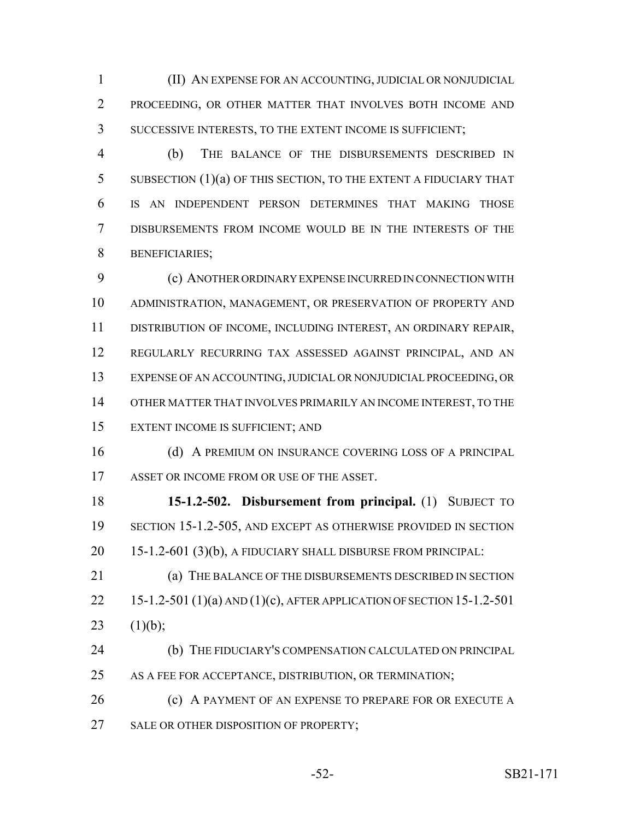(II) AN EXPENSE FOR AN ACCOUNTING, JUDICIAL OR NONJUDICIAL PROCEEDING, OR OTHER MATTER THAT INVOLVES BOTH INCOME AND SUCCESSIVE INTERESTS, TO THE EXTENT INCOME IS SUFFICIENT;

 (b) THE BALANCE OF THE DISBURSEMENTS DESCRIBED IN SUBSECTION (1)(a) OF THIS SECTION, TO THE EXTENT A FIDUCIARY THAT IS AN INDEPENDENT PERSON DETERMINES THAT MAKING THOSE DISBURSEMENTS FROM INCOME WOULD BE IN THE INTERESTS OF THE BENEFICIARIES;

 (c) ANOTHER ORDINARY EXPENSE INCURRED IN CONNECTION WITH ADMINISTRATION, MANAGEMENT, OR PRESERVATION OF PROPERTY AND DISTRIBUTION OF INCOME, INCLUDING INTEREST, AN ORDINARY REPAIR, REGULARLY RECURRING TAX ASSESSED AGAINST PRINCIPAL, AND AN EXPENSE OF AN ACCOUNTING, JUDICIAL OR NONJUDICIAL PROCEEDING, OR OTHER MATTER THAT INVOLVES PRIMARILY AN INCOME INTEREST, TO THE EXTENT INCOME IS SUFFICIENT; AND

16 (d) A PREMIUM ON INSURANCE COVERING LOSS OF A PRINCIPAL 17 ASSET OR INCOME FROM OR USE OF THE ASSET.

 **15-1.2-502. Disbursement from principal.** (1) SUBJECT TO SECTION 15-1.2-505, AND EXCEPT AS OTHERWISE PROVIDED IN SECTION 15-1.2-601 (3)(b), A FIDUCIARY SHALL DISBURSE FROM PRINCIPAL:

 (a) THE BALANCE OF THE DISBURSEMENTS DESCRIBED IN SECTION 15-1.2-501 (1)(a) AND (1)(c), AFTER APPLICATION OF SECTION 15-1.2-501 23  $(1)(b)$ ;

 (b) THE FIDUCIARY'S COMPENSATION CALCULATED ON PRINCIPAL AS A FEE FOR ACCEPTANCE, DISTRIBUTION, OR TERMINATION;

**(c)** A PAYMENT OF AN EXPENSE TO PREPARE FOR OR EXECUTE A 27 SALE OR OTHER DISPOSITION OF PROPERTY;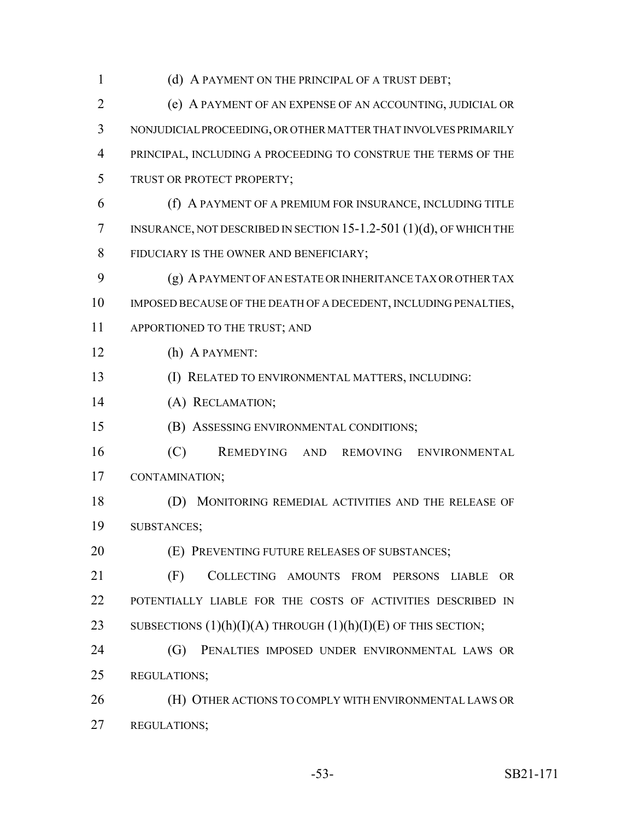1 (d) A PAYMENT ON THE PRINCIPAL OF A TRUST DEBT; (e) A PAYMENT OF AN EXPENSE OF AN ACCOUNTING, JUDICIAL OR NONJUDICIAL PROCEEDING, OR OTHER MATTER THAT INVOLVES PRIMARILY PRINCIPAL, INCLUDING A PROCEEDING TO CONSTRUE THE TERMS OF THE TRUST OR PROTECT PROPERTY; (f) A PAYMENT OF A PREMIUM FOR INSURANCE, INCLUDING TITLE INSURANCE, NOT DESCRIBED IN SECTION 15-1.2-501 (1)(d), OF WHICH THE 8 FIDUCIARY IS THE OWNER AND BENEFICIARY; (g) A PAYMENT OF AN ESTATE OR INHERITANCE TAX OR OTHER TAX IMPOSED BECAUSE OF THE DEATH OF A DECEDENT, INCLUDING PENALTIES, 11 APPORTIONED TO THE TRUST; AND (h) A PAYMENT: (I) RELATED TO ENVIRONMENTAL MATTERS, INCLUDING: (A) RECLAMATION; (B) ASSESSING ENVIRONMENTAL CONDITIONS; (C) REMEDYING AND REMOVING ENVIRONMENTAL CONTAMINATION; (D) MONITORING REMEDIAL ACTIVITIES AND THE RELEASE OF SUBSTANCES; (E) PREVENTING FUTURE RELEASES OF SUBSTANCES; (F) COLLECTING AMOUNTS FROM PERSONS LIABLE OR POTENTIALLY LIABLE FOR THE COSTS OF ACTIVITIES DESCRIBED IN 23 SUBSECTIONS  $(1)(h)(I)(A)$  THROUGH  $(1)(h)(I)(E)$  OF THIS SECTION; (G) PENALTIES IMPOSED UNDER ENVIRONMENTAL LAWS OR REGULATIONS; (H) OTHER ACTIONS TO COMPLY WITH ENVIRONMENTAL LAWS OR REGULATIONS;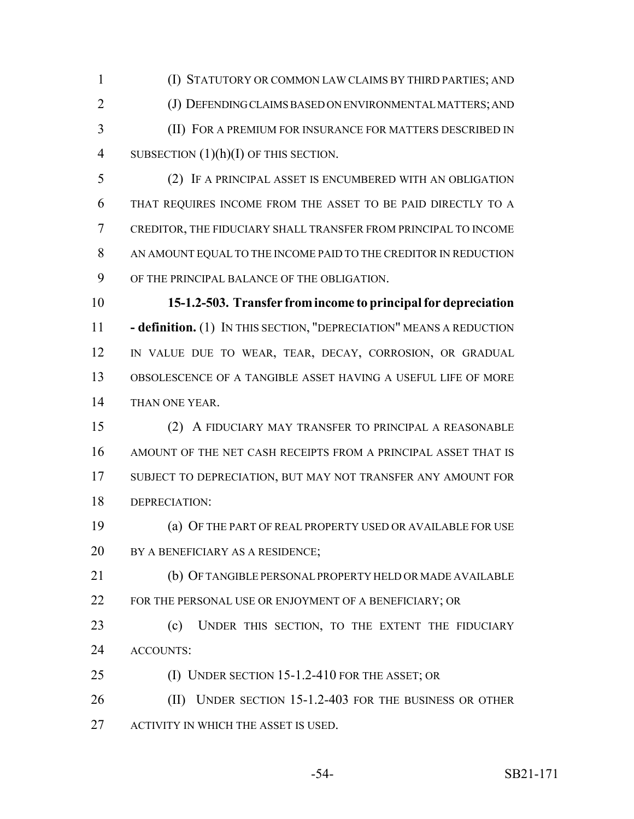(I) STATUTORY OR COMMON LAW CLAIMS BY THIRD PARTIES; AND (J) DEFENDING CLAIMS BASED ON ENVIRONMENTAL MATTERS; AND (II) FOR A PREMIUM FOR INSURANCE FOR MATTERS DESCRIBED IN 4 SUBSECTION  $(1)(h)(I)$  OF THIS SECTION.

 (2) IF A PRINCIPAL ASSET IS ENCUMBERED WITH AN OBLIGATION THAT REQUIRES INCOME FROM THE ASSET TO BE PAID DIRECTLY TO A CREDITOR, THE FIDUCIARY SHALL TRANSFER FROM PRINCIPAL TO INCOME AN AMOUNT EQUAL TO THE INCOME PAID TO THE CREDITOR IN REDUCTION OF THE PRINCIPAL BALANCE OF THE OBLIGATION.

 **15-1.2-503. Transfer from income to principal for depreciation - definition.** (1) IN THIS SECTION, "DEPRECIATION" MEANS A REDUCTION IN VALUE DUE TO WEAR, TEAR, DECAY, CORROSION, OR GRADUAL OBSOLESCENCE OF A TANGIBLE ASSET HAVING A USEFUL LIFE OF MORE THAN ONE YEAR.

 (2) A FIDUCIARY MAY TRANSFER TO PRINCIPAL A REASONABLE AMOUNT OF THE NET CASH RECEIPTS FROM A PRINCIPAL ASSET THAT IS SUBJECT TO DEPRECIATION, BUT MAY NOT TRANSFER ANY AMOUNT FOR DEPRECIATION:

 (a) OF THE PART OF REAL PROPERTY USED OR AVAILABLE FOR USE 20 BY A BENEFICIARY AS A RESIDENCE;

 (b) OF TANGIBLE PERSONAL PROPERTY HELD OR MADE AVAILABLE 22 FOR THE PERSONAL USE OR ENJOYMENT OF A BENEFICIARY; OR

 (c) UNDER THIS SECTION, TO THE EXTENT THE FIDUCIARY ACCOUNTS:

(I) UNDER SECTION 15-1.2-410 FOR THE ASSET; OR

26 (II) UNDER SECTION 15-1.2-403 FOR THE BUSINESS OR OTHER 27 ACTIVITY IN WHICH THE ASSET IS USED.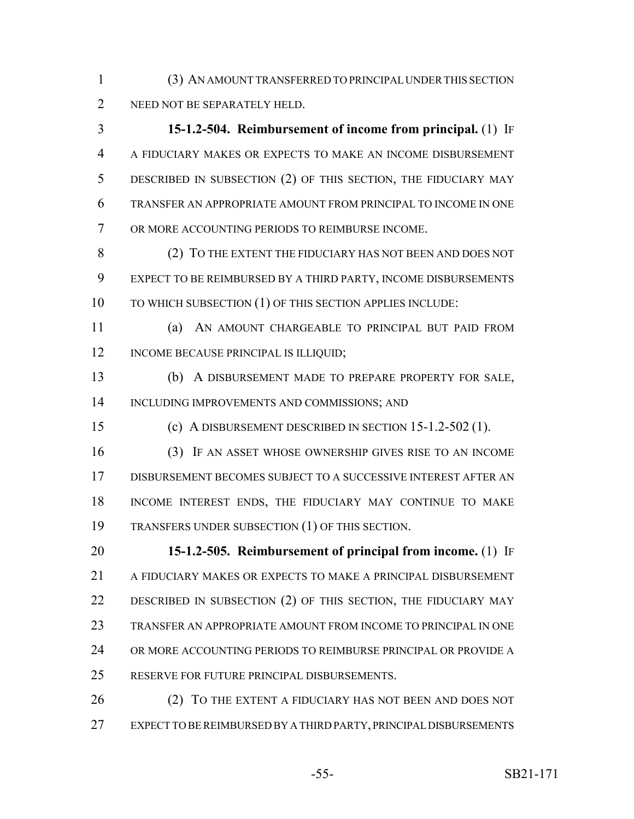(3) AN AMOUNT TRANSFERRED TO PRINCIPAL UNDER THIS SECTION NEED NOT BE SEPARATELY HELD.

 **15-1.2-504. Reimbursement of income from principal.** (1) IF A FIDUCIARY MAKES OR EXPECTS TO MAKE AN INCOME DISBURSEMENT DESCRIBED IN SUBSECTION (2) OF THIS SECTION, THE FIDUCIARY MAY TRANSFER AN APPROPRIATE AMOUNT FROM PRINCIPAL TO INCOME IN ONE OR MORE ACCOUNTING PERIODS TO REIMBURSE INCOME.

 (2) TO THE EXTENT THE FIDUCIARY HAS NOT BEEN AND DOES NOT EXPECT TO BE REIMBURSED BY A THIRD PARTY, INCOME DISBURSEMENTS 10 TO WHICH SUBSECTION (1) OF THIS SECTION APPLIES INCLUDE:

 (a) AN AMOUNT CHARGEABLE TO PRINCIPAL BUT PAID FROM 12 INCOME BECAUSE PRINCIPAL IS ILLIQUID;

 (b) A DISBURSEMENT MADE TO PREPARE PROPERTY FOR SALE, INCLUDING IMPROVEMENTS AND COMMISSIONS; AND

(c) A DISBURSEMENT DESCRIBED IN SECTION 15-1.2-502 (1).

 (3) IF AN ASSET WHOSE OWNERSHIP GIVES RISE TO AN INCOME DISBURSEMENT BECOMES SUBJECT TO A SUCCESSIVE INTEREST AFTER AN INCOME INTEREST ENDS, THE FIDUCIARY MAY CONTINUE TO MAKE TRANSFERS UNDER SUBSECTION (1) OF THIS SECTION.

 **15-1.2-505. Reimbursement of principal from income.** (1) IF A FIDUCIARY MAKES OR EXPECTS TO MAKE A PRINCIPAL DISBURSEMENT DESCRIBED IN SUBSECTION (2) OF THIS SECTION, THE FIDUCIARY MAY TRANSFER AN APPROPRIATE AMOUNT FROM INCOME TO PRINCIPAL IN ONE OR MORE ACCOUNTING PERIODS TO REIMBURSE PRINCIPAL OR PROVIDE A RESERVE FOR FUTURE PRINCIPAL DISBURSEMENTS.

26 (2) TO THE EXTENT A FIDUCIARY HAS NOT BEEN AND DOES NOT EXPECT TO BE REIMBURSED BY A THIRD PARTY, PRINCIPAL DISBURSEMENTS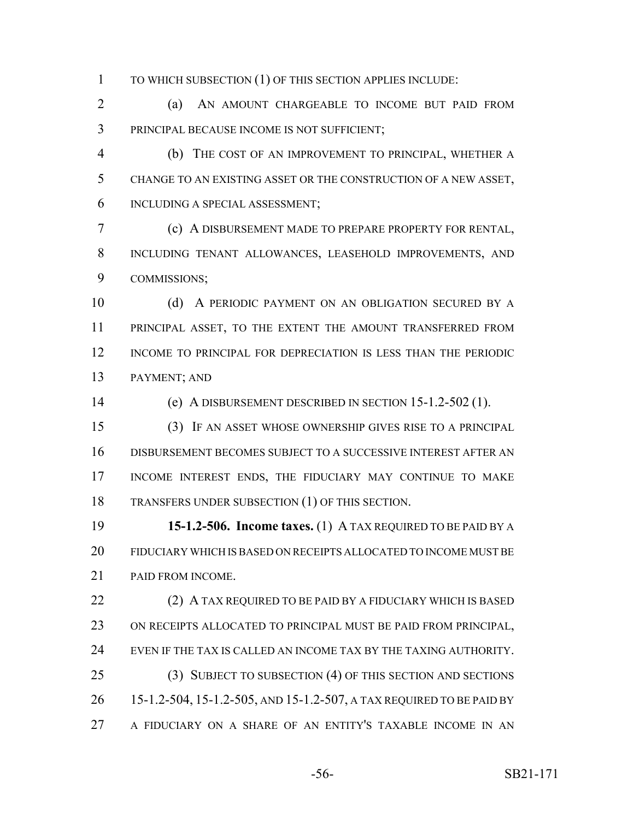TO WHICH SUBSECTION (1) OF THIS SECTION APPLIES INCLUDE:

 (a) AN AMOUNT CHARGEABLE TO INCOME BUT PAID FROM PRINCIPAL BECAUSE INCOME IS NOT SUFFICIENT;

 (b) THE COST OF AN IMPROVEMENT TO PRINCIPAL, WHETHER A CHANGE TO AN EXISTING ASSET OR THE CONSTRUCTION OF A NEW ASSET, INCLUDING A SPECIAL ASSESSMENT;

 (c) A DISBURSEMENT MADE TO PREPARE PROPERTY FOR RENTAL, INCLUDING TENANT ALLOWANCES, LEASEHOLD IMPROVEMENTS, AND COMMISSIONS;

 (d) A PERIODIC PAYMENT ON AN OBLIGATION SECURED BY A PRINCIPAL ASSET, TO THE EXTENT THE AMOUNT TRANSFERRED FROM INCOME TO PRINCIPAL FOR DEPRECIATION IS LESS THAN THE PERIODIC PAYMENT; AND

(e) A DISBURSEMENT DESCRIBED IN SECTION 15-1.2-502 (1).

 (3) IF AN ASSET WHOSE OWNERSHIP GIVES RISE TO A PRINCIPAL DISBURSEMENT BECOMES SUBJECT TO A SUCCESSIVE INTEREST AFTER AN INCOME INTEREST ENDS, THE FIDUCIARY MAY CONTINUE TO MAKE TRANSFERS UNDER SUBSECTION (1) OF THIS SECTION.

 **15-1.2-506. Income taxes.** (1) A TAX REQUIRED TO BE PAID BY A FIDUCIARY WHICH IS BASED ON RECEIPTS ALLOCATED TO INCOME MUST BE PAID FROM INCOME.

22 (2) A TAX REQUIRED TO BE PAID BY A FIDUCIARY WHICH IS BASED ON RECEIPTS ALLOCATED TO PRINCIPAL MUST BE PAID FROM PRINCIPAL, EVEN IF THE TAX IS CALLED AN INCOME TAX BY THE TAXING AUTHORITY. (3) SUBJECT TO SUBSECTION (4) OF THIS SECTION AND SECTIONS 15-1.2-504, 15-1.2-505, AND 15-1.2-507, A TAX REQUIRED TO BE PAID BY A FIDUCIARY ON A SHARE OF AN ENTITY'S TAXABLE INCOME IN AN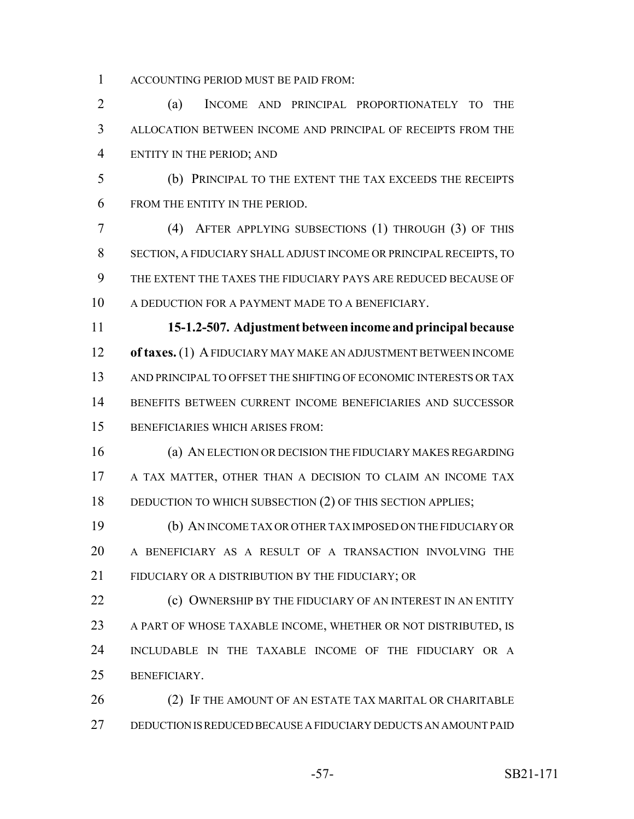ACCOUNTING PERIOD MUST BE PAID FROM:

 (a) INCOME AND PRINCIPAL PROPORTIONATELY TO THE ALLOCATION BETWEEN INCOME AND PRINCIPAL OF RECEIPTS FROM THE ENTITY IN THE PERIOD; AND

 (b) PRINCIPAL TO THE EXTENT THE TAX EXCEEDS THE RECEIPTS FROM THE ENTITY IN THE PERIOD.

 (4) AFTER APPLYING SUBSECTIONS (1) THROUGH (3) OF THIS SECTION, A FIDUCIARY SHALL ADJUST INCOME OR PRINCIPAL RECEIPTS, TO THE EXTENT THE TAXES THE FIDUCIARY PAYS ARE REDUCED BECAUSE OF A DEDUCTION FOR A PAYMENT MADE TO A BENEFICIARY.

 **15-1.2-507. Adjustment between income and principal because of taxes.** (1) A FIDUCIARY MAY MAKE AN ADJUSTMENT BETWEEN INCOME AND PRINCIPAL TO OFFSET THE SHIFTING OF ECONOMIC INTERESTS OR TAX BENEFITS BETWEEN CURRENT INCOME BENEFICIARIES AND SUCCESSOR BENEFICIARIES WHICH ARISES FROM:

 (a) AN ELECTION OR DECISION THE FIDUCIARY MAKES REGARDING 17 A TAX MATTER, OTHER THAN A DECISION TO CLAIM AN INCOME TAX 18 DEDUCTION TO WHICH SUBSECTION (2) OF THIS SECTION APPLIES;

 (b) AN INCOME TAX OR OTHER TAX IMPOSED ON THE FIDUCIARY OR A BENEFICIARY AS A RESULT OF A TRANSACTION INVOLVING THE FIDUCIARY OR A DISTRIBUTION BY THE FIDUCIARY; OR

**(c) OWNERSHIP BY THE FIDUCIARY OF AN INTEREST IN AN ENTITY**  A PART OF WHOSE TAXABLE INCOME, WHETHER OR NOT DISTRIBUTED, IS INCLUDABLE IN THE TAXABLE INCOME OF THE FIDUCIARY OR A BENEFICIARY.

26 (2) IF THE AMOUNT OF AN ESTATE TAX MARITAL OR CHARITABLE DEDUCTION IS REDUCED BECAUSE A FIDUCIARY DEDUCTS AN AMOUNT PAID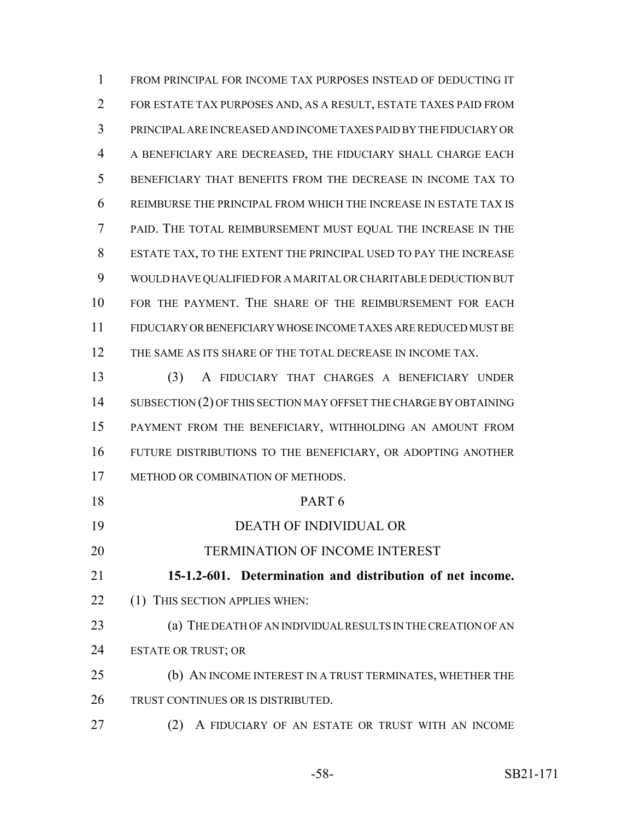FROM PRINCIPAL FOR INCOME TAX PURPOSES INSTEAD OF DEDUCTING IT FOR ESTATE TAX PURPOSES AND, AS A RESULT, ESTATE TAXES PAID FROM PRINCIPAL ARE INCREASED AND INCOME TAXES PAID BY THE FIDUCIARY OR A BENEFICIARY ARE DECREASED, THE FIDUCIARY SHALL CHARGE EACH BENEFICIARY THAT BENEFITS FROM THE DECREASE IN INCOME TAX TO REIMBURSE THE PRINCIPAL FROM WHICH THE INCREASE IN ESTATE TAX IS PAID. THE TOTAL REIMBURSEMENT MUST EQUAL THE INCREASE IN THE ESTATE TAX, TO THE EXTENT THE PRINCIPAL USED TO PAY THE INCREASE WOULD HAVE QUALIFIED FOR A MARITAL OR CHARITABLE DEDUCTION BUT FOR THE PAYMENT. THE SHARE OF THE REIMBURSEMENT FOR EACH FIDUCIARY OR BENEFICIARY WHOSE INCOME TAXES ARE REDUCED MUST BE 12 THE SAME AS ITS SHARE OF THE TOTAL DECREASE IN INCOME TAX.

 (3) A FIDUCIARY THAT CHARGES A BENEFICIARY UNDER 14 SUBSECTION (2) OF THIS SECTION MAY OFFSET THE CHARGE BY OBTAINING PAYMENT FROM THE BENEFICIARY, WITHHOLDING AN AMOUNT FROM FUTURE DISTRIBUTIONS TO THE BENEFICIARY, OR ADOPTING ANOTHER 17 METHOD OR COMBINATION OF METHODS.

| 18 | PART <sub>6</sub>                                            |
|----|--------------------------------------------------------------|
| 19 | <b>DEATH OF INDIVIDUAL OR</b>                                |
| 20 | <b>TERMINATION OF INCOME INTEREST</b>                        |
| 21 | 15-1.2-601. Determination and distribution of net income.    |
| 22 | (1) THIS SECTION APPLIES WHEN:                               |
| 23 | (a) THE DEATH OF AN INDIVIDUAL RESULTS IN THE CREATION OF AN |
| 24 | <b>ESTATE OR TRUST; OR</b>                                   |
| 25 | (b) AN INCOME INTEREST IN A TRUST TERMINATES, WHETHER THE    |
| 26 | TRUST CONTINUES OR IS DISTRIBUTED.                           |
| 27 | A FIDUCIARY OF AN ESTATE OR TRUST WITH AN INCOME<br>(2)      |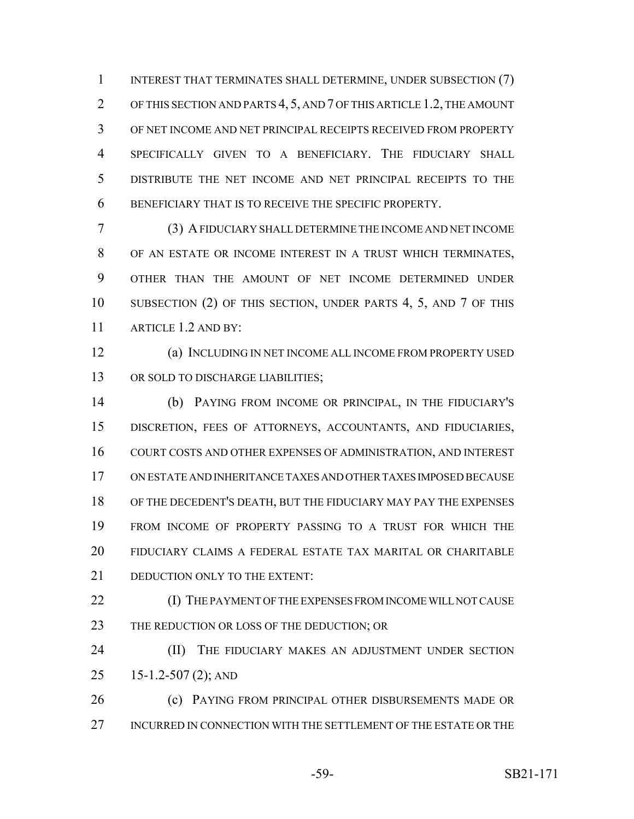1 INTEREST THAT TERMINATES SHALL DETERMINE, UNDER SUBSECTION (7) OF THIS SECTION AND PARTS 4, 5, AND 7 OF THIS ARTICLE 1.2, THE AMOUNT OF NET INCOME AND NET PRINCIPAL RECEIPTS RECEIVED FROM PROPERTY SPECIFICALLY GIVEN TO A BENEFICIARY. THE FIDUCIARY SHALL DISTRIBUTE THE NET INCOME AND NET PRINCIPAL RECEIPTS TO THE BENEFICIARY THAT IS TO RECEIVE THE SPECIFIC PROPERTY.

 (3) A FIDUCIARY SHALL DETERMINE THE INCOME AND NET INCOME OF AN ESTATE OR INCOME INTEREST IN A TRUST WHICH TERMINATES, OTHER THAN THE AMOUNT OF NET INCOME DETERMINED UNDER SUBSECTION (2) OF THIS SECTION, UNDER PARTS 4, 5, AND 7 OF THIS ARTICLE 1.2 AND BY:

 (a) INCLUDING IN NET INCOME ALL INCOME FROM PROPERTY USED 13 OR SOLD TO DISCHARGE LIABILITIES;

 (b) PAYING FROM INCOME OR PRINCIPAL, IN THE FIDUCIARY'S DISCRETION, FEES OF ATTORNEYS, ACCOUNTANTS, AND FIDUCIARIES, COURT COSTS AND OTHER EXPENSES OF ADMINISTRATION, AND INTEREST ON ESTATE AND INHERITANCE TAXES AND OTHER TAXES IMPOSED BECAUSE OF THE DECEDENT'S DEATH, BUT THE FIDUCIARY MAY PAY THE EXPENSES FROM INCOME OF PROPERTY PASSING TO A TRUST FOR WHICH THE FIDUCIARY CLAIMS A FEDERAL ESTATE TAX MARITAL OR CHARITABLE 21 DEDUCTION ONLY TO THE EXTENT:

 (I) THE PAYMENT OF THE EXPENSES FROM INCOME WILL NOT CAUSE 23 THE REDUCTION OR LOSS OF THE DEDUCTION; OR

**(II)** THE FIDUCIARY MAKES AN ADJUSTMENT UNDER SECTION 15-1.2-507 (2); AND

**(c) PAYING FROM PRINCIPAL OTHER DISBURSEMENTS MADE OR** INCURRED IN CONNECTION WITH THE SETTLEMENT OF THE ESTATE OR THE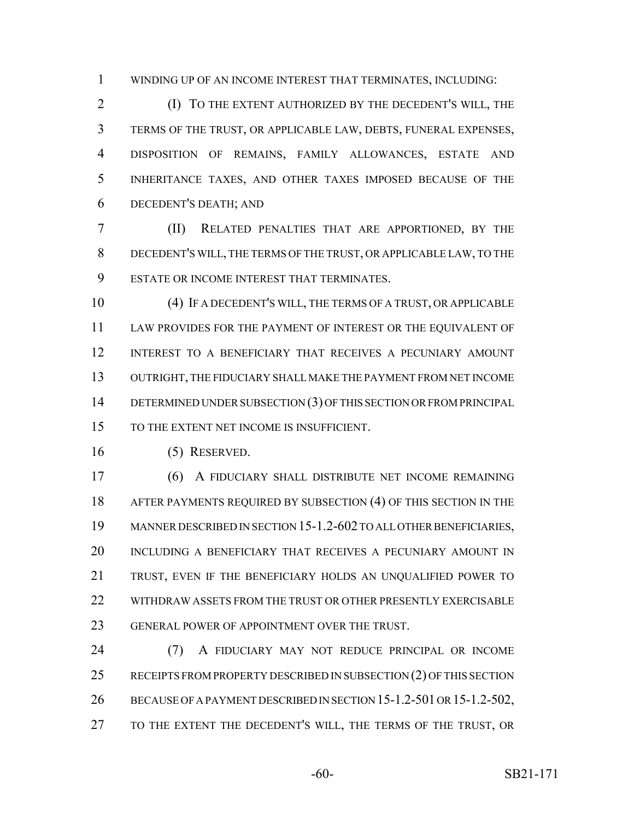WINDING UP OF AN INCOME INTEREST THAT TERMINATES, INCLUDING:

 (I) TO THE EXTENT AUTHORIZED BY THE DECEDENT'S WILL, THE TERMS OF THE TRUST, OR APPLICABLE LAW, DEBTS, FUNERAL EXPENSES, DISPOSITION OF REMAINS, FAMILY ALLOWANCES, ESTATE AND INHERITANCE TAXES, AND OTHER TAXES IMPOSED BECAUSE OF THE DECEDENT'S DEATH; AND

 (II) RELATED PENALTIES THAT ARE APPORTIONED, BY THE DECEDENT'S WILL, THE TERMS OF THE TRUST, OR APPLICABLE LAW, TO THE ESTATE OR INCOME INTEREST THAT TERMINATES.

 (4) IF A DECEDENT'S WILL, THE TERMS OF A TRUST, OR APPLICABLE LAW PROVIDES FOR THE PAYMENT OF INTEREST OR THE EQUIVALENT OF INTEREST TO A BENEFICIARY THAT RECEIVES A PECUNIARY AMOUNT OUTRIGHT, THE FIDUCIARY SHALL MAKE THE PAYMENT FROM NET INCOME 14 DETERMINED UNDER SUBSECTION (3) OF THIS SECTION OR FROM PRINCIPAL TO THE EXTENT NET INCOME IS INSUFFICIENT.

(5) RESERVED.

 (6) A FIDUCIARY SHALL DISTRIBUTE NET INCOME REMAINING AFTER PAYMENTS REQUIRED BY SUBSECTION (4) OF THIS SECTION IN THE MANNER DESCRIBED IN SECTION 15-1.2-602 TO ALL OTHER BENEFICIARIES, INCLUDING A BENEFICIARY THAT RECEIVES A PECUNIARY AMOUNT IN TRUST, EVEN IF THE BENEFICIARY HOLDS AN UNQUALIFIED POWER TO 22 WITHDRAW ASSETS FROM THE TRUST OR OTHER PRESENTLY EXERCISABLE GENERAL POWER OF APPOINTMENT OVER THE TRUST.

 (7) A FIDUCIARY MAY NOT REDUCE PRINCIPAL OR INCOME 25 RECEIPTS FROM PROPERTY DESCRIBED IN SUBSECTION (2) OF THIS SECTION BECAUSE OF A PAYMENT DESCRIBED IN SECTION 15-1.2-501 OR 15-1.2-502, TO THE EXTENT THE DECEDENT'S WILL, THE TERMS OF THE TRUST, OR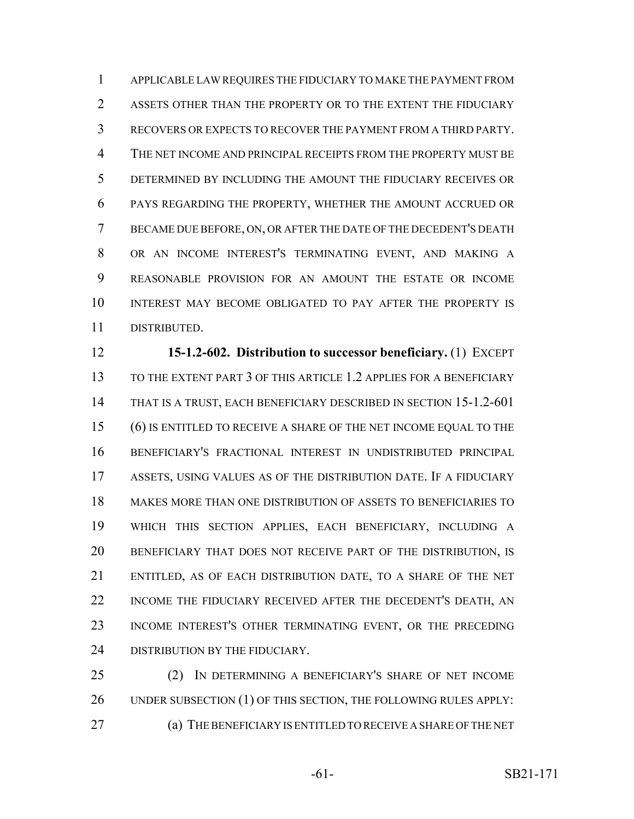APPLICABLE LAW REQUIRES THE FIDUCIARY TO MAKE THE PAYMENT FROM ASSETS OTHER THAN THE PROPERTY OR TO THE EXTENT THE FIDUCIARY RECOVERS OR EXPECTS TO RECOVER THE PAYMENT FROM A THIRD PARTY. THE NET INCOME AND PRINCIPAL RECEIPTS FROM THE PROPERTY MUST BE DETERMINED BY INCLUDING THE AMOUNT THE FIDUCIARY RECEIVES OR PAYS REGARDING THE PROPERTY, WHETHER THE AMOUNT ACCRUED OR BECAME DUE BEFORE, ON, OR AFTER THE DATE OF THE DECEDENT'S DEATH OR AN INCOME INTEREST'S TERMINATING EVENT, AND MAKING A REASONABLE PROVISION FOR AN AMOUNT THE ESTATE OR INCOME INTEREST MAY BECOME OBLIGATED TO PAY AFTER THE PROPERTY IS DISTRIBUTED.

 **15-1.2-602. Distribution to successor beneficiary.** (1) EXCEPT TO THE EXTENT PART 3 OF THIS ARTICLE 1.2 APPLIES FOR A BENEFICIARY THAT IS A TRUST, EACH BENEFICIARY DESCRIBED IN SECTION 15-1.2-601 (6) IS ENTITLED TO RECEIVE A SHARE OF THE NET INCOME EQUAL TO THE BENEFICIARY'S FRACTIONAL INTEREST IN UNDISTRIBUTED PRINCIPAL ASSETS, USING VALUES AS OF THE DISTRIBUTION DATE. IF A FIDUCIARY MAKES MORE THAN ONE DISTRIBUTION OF ASSETS TO BENEFICIARIES TO WHICH THIS SECTION APPLIES, EACH BENEFICIARY, INCLUDING A BENEFICIARY THAT DOES NOT RECEIVE PART OF THE DISTRIBUTION, IS ENTITLED, AS OF EACH DISTRIBUTION DATE, TO A SHARE OF THE NET INCOME THE FIDUCIARY RECEIVED AFTER THE DECEDENT'S DEATH, AN INCOME INTEREST'S OTHER TERMINATING EVENT, OR THE PRECEDING 24 DISTRIBUTION BY THE FIDUCIARY.

 (2) IN DETERMINING A BENEFICIARY'S SHARE OF NET INCOME 26 UNDER SUBSECTION (1) OF THIS SECTION, THE FOLLOWING RULES APPLY: (a) THE BENEFICIARY IS ENTITLED TO RECEIVE A SHARE OF THE NET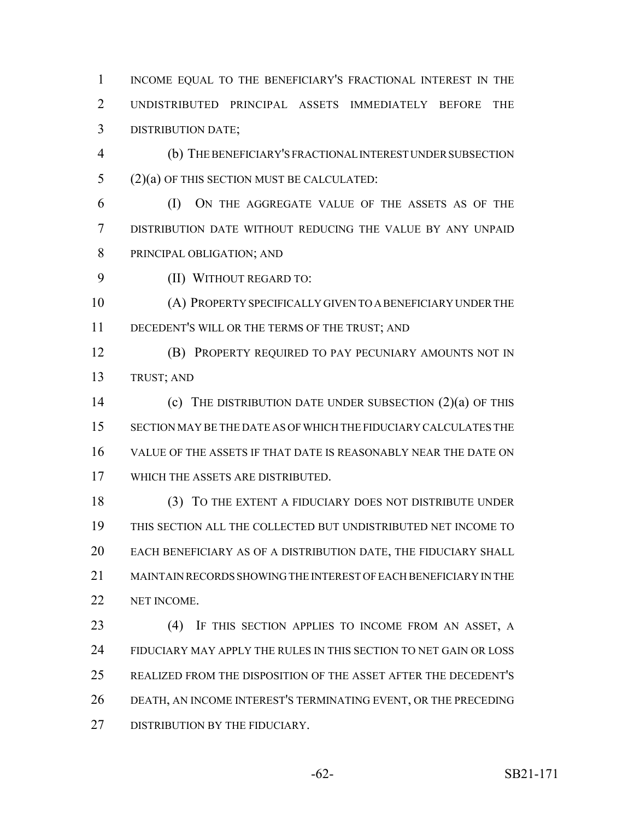1 INCOME EQUAL TO THE BENEFICIARY'S FRACTIONAL INTEREST IN THE UNDISTRIBUTED PRINCIPAL ASSETS IMMEDIATELY BEFORE THE DISTRIBUTION DATE;

 (b) THE BENEFICIARY'S FRACTIONAL INTEREST UNDER SUBSECTION (2)(a) OF THIS SECTION MUST BE CALCULATED:

 (I) ON THE AGGREGATE VALUE OF THE ASSETS AS OF THE DISTRIBUTION DATE WITHOUT REDUCING THE VALUE BY ANY UNPAID PRINCIPAL OBLIGATION; AND

(II) WITHOUT REGARD TO:

 (A) PROPERTY SPECIFICALLY GIVEN TO A BENEFICIARY UNDER THE DECEDENT'S WILL OR THE TERMS OF THE TRUST; AND

**(B) PROPERTY REQUIRED TO PAY PECUNIARY AMOUNTS NOT IN** TRUST; AND

 (c) THE DISTRIBUTION DATE UNDER SUBSECTION (2)(a) OF THIS SECTION MAY BE THE DATE AS OF WHICH THE FIDUCIARY CALCULATES THE VALUE OF THE ASSETS IF THAT DATE IS REASONABLY NEAR THE DATE ON WHICH THE ASSETS ARE DISTRIBUTED.

18 (3) TO THE EXTENT A FIDUCIARY DOES NOT DISTRIBUTE UNDER THIS SECTION ALL THE COLLECTED BUT UNDISTRIBUTED NET INCOME TO EACH BENEFICIARY AS OF A DISTRIBUTION DATE, THE FIDUCIARY SHALL MAINTAIN RECORDS SHOWING THE INTEREST OF EACH BENEFICIARY IN THE NET INCOME.

23 (4) IF THIS SECTION APPLIES TO INCOME FROM AN ASSET, A FIDUCIARY MAY APPLY THE RULES IN THIS SECTION TO NET GAIN OR LOSS REALIZED FROM THE DISPOSITION OF THE ASSET AFTER THE DECEDENT'S DEATH, AN INCOME INTEREST'S TERMINATING EVENT, OR THE PRECEDING 27 DISTRIBUTION BY THE FIDUCIARY.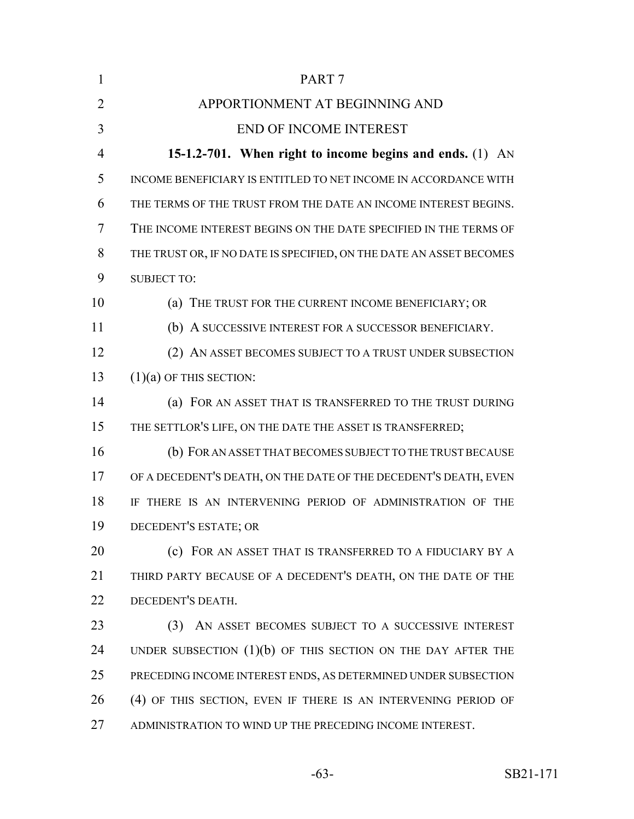| $\mathbf{1}$   | PART <sub>7</sub>                                                   |
|----------------|---------------------------------------------------------------------|
| $\overline{2}$ | APPORTIONMENT AT BEGINNING AND                                      |
| 3              | <b>END OF INCOME INTEREST</b>                                       |
| 4              | 15-1.2-701. When right to income begins and ends. (1) AN            |
| 5              | INCOME BENEFICIARY IS ENTITLED TO NET INCOME IN ACCORDANCE WITH     |
| 6              | THE TERMS OF THE TRUST FROM THE DATE AN INCOME INTEREST BEGINS.     |
| 7              | THE INCOME INTEREST BEGINS ON THE DATE SPECIFIED IN THE TERMS OF    |
| 8              | THE TRUST OR, IF NO DATE IS SPECIFIED, ON THE DATE AN ASSET BECOMES |
| 9              | <b>SUBJECT TO:</b>                                                  |
| 10             | (a) THE TRUST FOR THE CURRENT INCOME BENEFICIARY; OR                |
| 11             | (b) A SUCCESSIVE INTEREST FOR A SUCCESSOR BENEFICIARY.              |
| 12             | (2) AN ASSET BECOMES SUBJECT TO A TRUST UNDER SUBSECTION            |
| 13             | $(1)(a)$ OF THIS SECTION:                                           |
| 14             | (a) FOR AN ASSET THAT IS TRANSFERRED TO THE TRUST DURING            |
| 15             | THE SETTLOR'S LIFE, ON THE DATE THE ASSET IS TRANSFERRED;           |
| 16             | (b) FOR AN ASSET THAT BECOMES SUBJECT TO THE TRUST BECAUSE          |
| 17             | OF A DECEDENT'S DEATH, ON THE DATE OF THE DECEDENT'S DEATH, EVEN    |
| 18             | IF THERE IS AN INTERVENING PERIOD OF ADMINISTRATION OF THE          |
| 19             | DECEDENT'S ESTATE; OR                                               |
| 20             | (c) FOR AN ASSET THAT IS TRANSFERRED TO A FIDUCIARY BY A            |
| 21             | THIRD PARTY BECAUSE OF A DECEDENT'S DEATH, ON THE DATE OF THE       |
| 22             | DECEDENT'S DEATH.                                                   |
| 23             | AN ASSET BECOMES SUBJECT TO A SUCCESSIVE INTEREST<br>(3)            |
| 24             | UNDER SUBSECTION $(1)(b)$ OF THIS SECTION ON THE DAY AFTER THE      |
| 25             | PRECEDING INCOME INTEREST ENDS, AS DETERMINED UNDER SUBSECTION      |
| 26             | (4) OF THIS SECTION, EVEN IF THERE IS AN INTERVENING PERIOD OF      |
| 27             | ADMINISTRATION TO WIND UP THE PRECEDING INCOME INTEREST.            |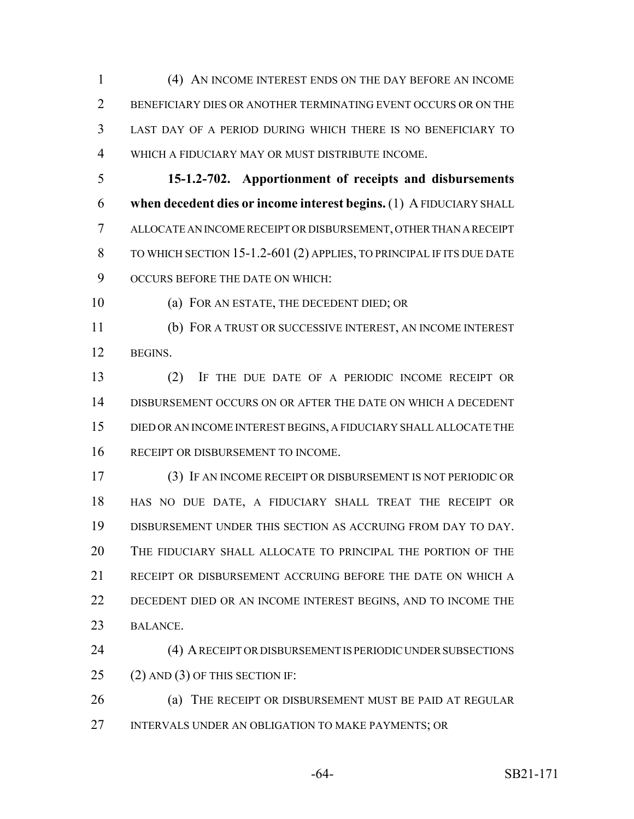(4) AN INCOME INTEREST ENDS ON THE DAY BEFORE AN INCOME BENEFICIARY DIES OR ANOTHER TERMINATING EVENT OCCURS OR ON THE LAST DAY OF A PERIOD DURING WHICH THERE IS NO BENEFICIARY TO WHICH A FIDUCIARY MAY OR MUST DISTRIBUTE INCOME.

 **15-1.2-702. Apportionment of receipts and disbursements when decedent dies or income interest begins.** (1) A FIDUCIARY SHALL ALLOCATE AN INCOME RECEIPT OR DISBURSEMENT, OTHER THAN A RECEIPT TO WHICH SECTION 15-1.2-601 (2) APPLIES, TO PRINCIPAL IF ITS DUE DATE OCCURS BEFORE THE DATE ON WHICH:

(a) FOR AN ESTATE, THE DECEDENT DIED; OR

 (b) FOR A TRUST OR SUCCESSIVE INTEREST, AN INCOME INTEREST BEGINS.

 (2) IF THE DUE DATE OF A PERIODIC INCOME RECEIPT OR DISBURSEMENT OCCURS ON OR AFTER THE DATE ON WHICH A DECEDENT DIED OR AN INCOME INTEREST BEGINS, A FIDUCIARY SHALL ALLOCATE THE 16 RECEIPT OR DISBURSEMENT TO INCOME.

 (3) IF AN INCOME RECEIPT OR DISBURSEMENT IS NOT PERIODIC OR HAS NO DUE DATE, A FIDUCIARY SHALL TREAT THE RECEIPT OR DISBURSEMENT UNDER THIS SECTION AS ACCRUING FROM DAY TO DAY. THE FIDUCIARY SHALL ALLOCATE TO PRINCIPAL THE PORTION OF THE RECEIPT OR DISBURSEMENT ACCRUING BEFORE THE DATE ON WHICH A 22 DECEDENT DIED OR AN INCOME INTEREST BEGINS, AND TO INCOME THE BALANCE.

 (4) A RECEIPT OR DISBURSEMENT IS PERIODIC UNDER SUBSECTIONS (2) AND (3) OF THIS SECTION IF:

**(a) THE RECEIPT OR DISBURSEMENT MUST BE PAID AT REGULAR** INTERVALS UNDER AN OBLIGATION TO MAKE PAYMENTS; OR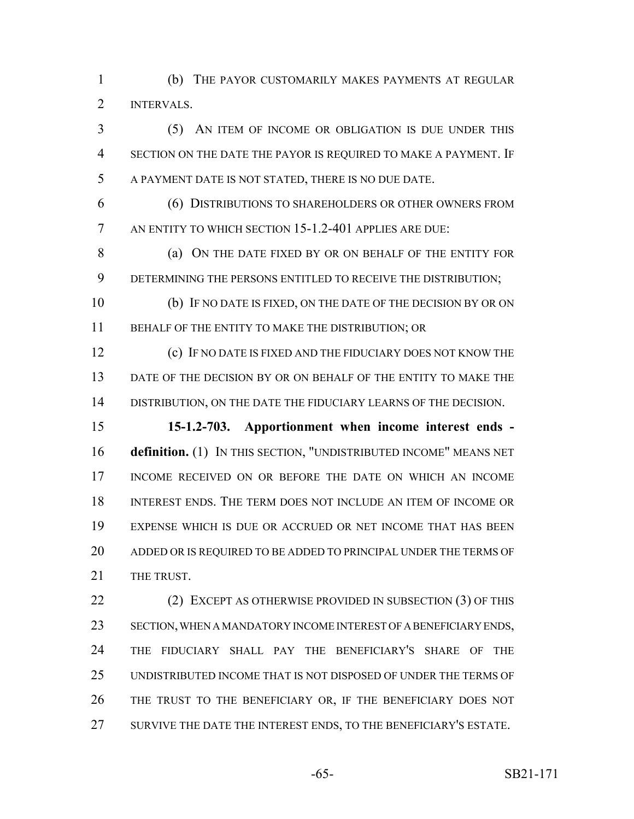(b) THE PAYOR CUSTOMARILY MAKES PAYMENTS AT REGULAR INTERVALS.

 (5) AN ITEM OF INCOME OR OBLIGATION IS DUE UNDER THIS SECTION ON THE DATE THE PAYOR IS REQUIRED TO MAKE A PAYMENT. IF A PAYMENT DATE IS NOT STATED, THERE IS NO DUE DATE.

 (6) DISTRIBUTIONS TO SHAREHOLDERS OR OTHER OWNERS FROM AN ENTITY TO WHICH SECTION 15-1.2-401 APPLIES ARE DUE:

8 (a) ON THE DATE FIXED BY OR ON BEHALF OF THE ENTITY FOR DETERMINING THE PERSONS ENTITLED TO RECEIVE THE DISTRIBUTION;

 (b) IF NO DATE IS FIXED, ON THE DATE OF THE DECISION BY OR ON 11 BEHALF OF THE ENTITY TO MAKE THE DISTRIBUTION; OR

 (c) IF NO DATE IS FIXED AND THE FIDUCIARY DOES NOT KNOW THE DATE OF THE DECISION BY OR ON BEHALF OF THE ENTITY TO MAKE THE DISTRIBUTION, ON THE DATE THE FIDUCIARY LEARNS OF THE DECISION.

 **15-1.2-703. Apportionment when income interest ends - definition.** (1) IN THIS SECTION, "UNDISTRIBUTED INCOME" MEANS NET INCOME RECEIVED ON OR BEFORE THE DATE ON WHICH AN INCOME INTEREST ENDS. THE TERM DOES NOT INCLUDE AN ITEM OF INCOME OR EXPENSE WHICH IS DUE OR ACCRUED OR NET INCOME THAT HAS BEEN ADDED OR IS REQUIRED TO BE ADDED TO PRINCIPAL UNDER THE TERMS OF 21 THE TRUST.

22 (2) EXCEPT AS OTHERWISE PROVIDED IN SUBSECTION (3) OF THIS SECTION, WHEN A MANDATORY INCOME INTEREST OF A BENEFICIARY ENDS, THE FIDUCIARY SHALL PAY THE BENEFICIARY'S SHARE OF THE UNDISTRIBUTED INCOME THAT IS NOT DISPOSED OF UNDER THE TERMS OF THE TRUST TO THE BENEFICIARY OR, IF THE BENEFICIARY DOES NOT SURVIVE THE DATE THE INTEREST ENDS, TO THE BENEFICIARY'S ESTATE.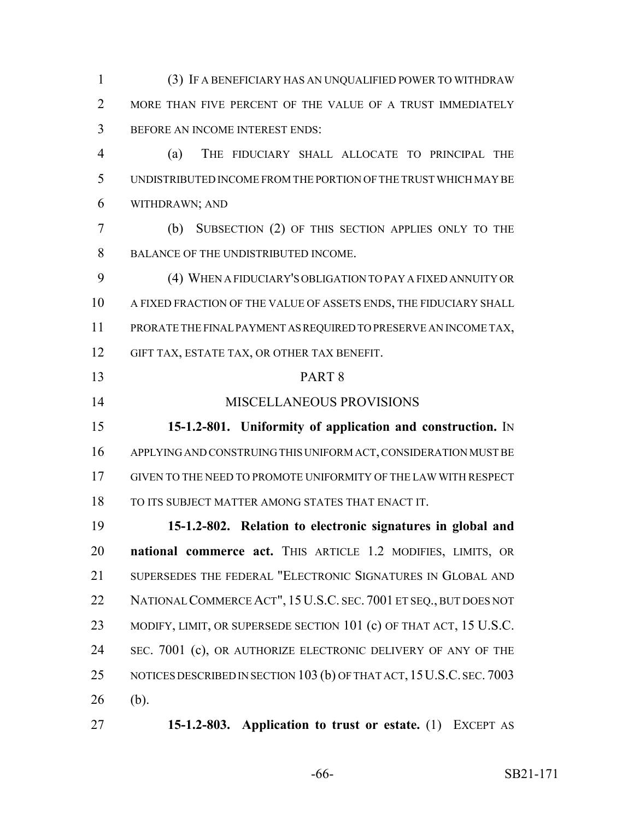(3) IF A BENEFICIARY HAS AN UNQUALIFIED POWER TO WITHDRAW 2 MORE THAN FIVE PERCENT OF THE VALUE OF A TRUST IMMEDIATELY BEFORE AN INCOME INTEREST ENDS: (a) THE FIDUCIARY SHALL ALLOCATE TO PRINCIPAL THE UNDISTRIBUTED INCOME FROM THE PORTION OF THE TRUST WHICH MAY BE WITHDRAWN; AND (b) SUBSECTION (2) OF THIS SECTION APPLIES ONLY TO THE BALANCE OF THE UNDISTRIBUTED INCOME. (4) WHEN A FIDUCIARY'S OBLIGATION TO PAY A FIXED ANNUITY OR A FIXED FRACTION OF THE VALUE OF ASSETS ENDS, THE FIDUCIARY SHALL PRORATE THE FINAL PAYMENT AS REQUIRED TO PRESERVE AN INCOME TAX, GIFT TAX, ESTATE TAX, OR OTHER TAX BENEFIT. PART 8 MISCELLANEOUS PROVISIONS **15-1.2-801. Uniformity of application and construction.** IN APPLYING AND CONSTRUING THIS UNIFORM ACT, CONSIDERATION MUST BE GIVEN TO THE NEED TO PROMOTE UNIFORMITY OF THE LAW WITH RESPECT TO ITS SUBJECT MATTER AMONG STATES THAT ENACT IT. **15-1.2-802. Relation to electronic signatures in global and national commerce act.** THIS ARTICLE 1.2 MODIFIES, LIMITS, OR 21 SUPERSEDES THE FEDERAL "ELECTRONIC SIGNATURES IN GLOBAL AND 22 NATIONAL COMMERCE ACT", 15 U.S.C. SEC. 7001 ET SEQ., BUT DOES NOT 23 MODIFY, LIMIT, OR SUPERSEDE SECTION 101 (c) OF THAT ACT, 15 U.S.C. 24 SEC. 7001 (c), OR AUTHORIZE ELECTRONIC DELIVERY OF ANY OF THE 25 NOTICES DESCRIBED IN SECTION 103 (b) OF THAT ACT, 15 U.S.C. SEC. 7003 (b).

**15-1.2-803. Application to trust or estate.** (1) EXCEPT AS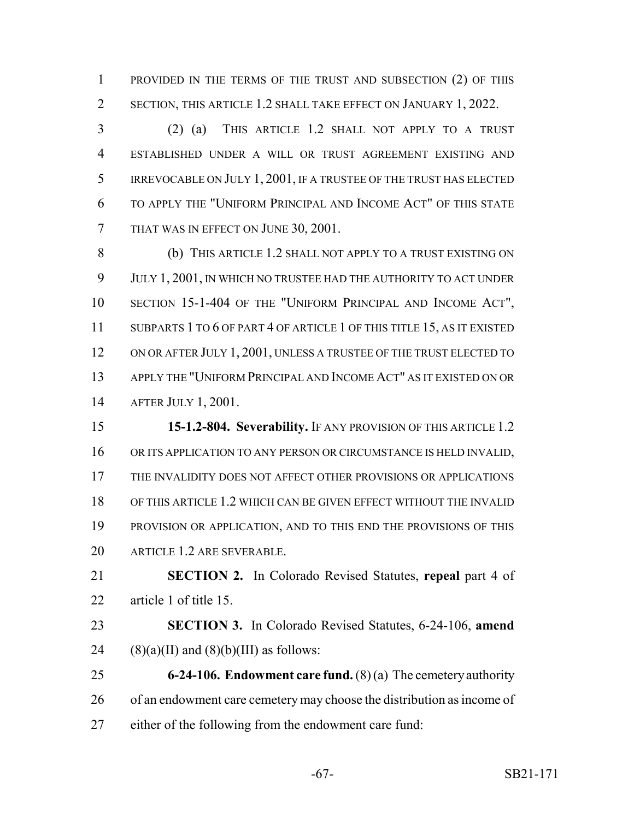PROVIDED IN THE TERMS OF THE TRUST AND SUBSECTION (2) OF THIS SECTION, THIS ARTICLE 1.2 SHALL TAKE EFFECT ON JANUARY 1, 2022.

 (2) (a) THIS ARTICLE 1.2 SHALL NOT APPLY TO A TRUST ESTABLISHED UNDER A WILL OR TRUST AGREEMENT EXISTING AND IRREVOCABLE ON JULY 1, 2001, IF A TRUSTEE OF THE TRUST HAS ELECTED TO APPLY THE "UNIFORM PRINCIPAL AND INCOME ACT" OF THIS STATE THAT WAS IN EFFECT ON JUNE 30, 2001.

 (b) THIS ARTICLE 1.2 SHALL NOT APPLY TO A TRUST EXISTING ON JULY 1, 2001, IN WHICH NO TRUSTEE HAD THE AUTHORITY TO ACT UNDER SECTION 15-1-404 OF THE "UNIFORM PRINCIPAL AND INCOME ACT", 11 SUBPARTS 1 TO 6 OF PART 4 OF ARTICLE 1 OF THIS TITLE 15, AS IT EXISTED 12 ON OR AFTER JULY 1, 2001, UNLESS A TRUSTEE OF THE TRUST ELECTED TO APPLY THE "UNIFORM PRINCIPAL AND INCOME ACT" AS IT EXISTED ON OR AFTER JULY 1, 2001.

 **15-1.2-804. Severability.** IF ANY PROVISION OF THIS ARTICLE 1.2 16 OR ITS APPLICATION TO ANY PERSON OR CIRCUMSTANCE IS HELD INVALID, THE INVALIDITY DOES NOT AFFECT OTHER PROVISIONS OR APPLICATIONS OF THIS ARTICLE 1.2 WHICH CAN BE GIVEN EFFECT WITHOUT THE INVALID PROVISION OR APPLICATION, AND TO THIS END THE PROVISIONS OF THIS ARTICLE 1.2 ARE SEVERABLE.

 **SECTION 2.** In Colorado Revised Statutes, **repeal** part 4 of article 1 of title 15.

 **SECTION 3.** In Colorado Revised Statutes, 6-24-106, **amend** 24 (8)(a)(II) and (8)(b)(III) as follows:

 **6-24-106. Endowment care fund.** (8) (a) The cemetery authority 26 of an endowment care cemetery may choose the distribution as income of either of the following from the endowment care fund: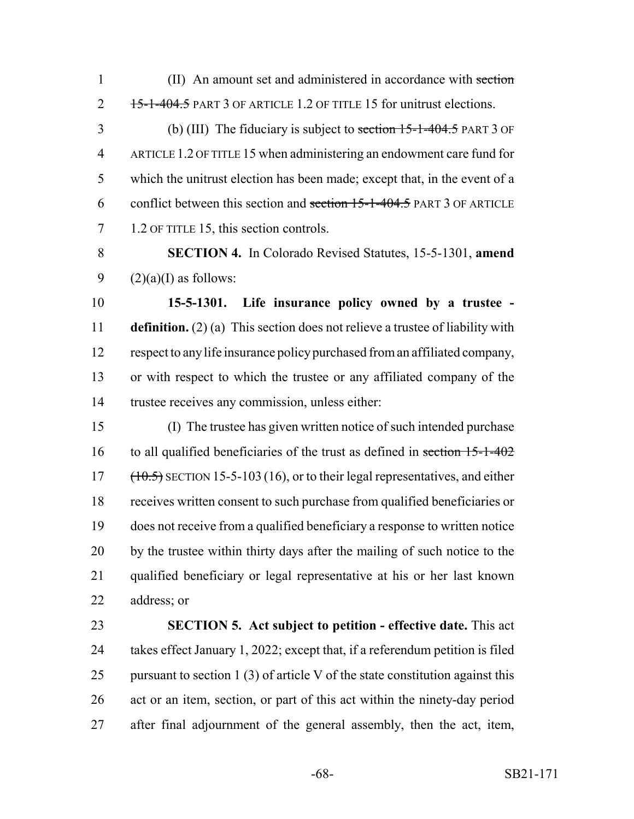1 (II) An amount set and administered in accordance with section 2 15-1-404.5 PART 3 OF ARTICLE 1.2 OF TITLE 15 for unitrust elections.

 (b) (III) The fiduciary is subject to section 15-1-404.5 PART 3 OF ARTICLE 1.2 OF TITLE 15 when administering an endowment care fund for which the unitrust election has been made; except that, in the event of a 6 conflict between this section and section -1-404.5 PART 3 OF ARTICLE 7 1.2 OF TITLE 15, this section controls.

 **SECTION 4.** In Colorado Revised Statutes, 15-5-1301, **amend** 9  $(2)(a)(I)$  as follows:

 **15-5-1301. Life insurance policy owned by a trustee - definition.** (2) (a) This section does not relieve a trustee of liability with respect to any life insurance policy purchased from an affiliated company, or with respect to which the trustee or any affiliated company of the trustee receives any commission, unless either:

 (I) The trustee has given written notice of such intended purchase 16 to all qualified beneficiaries of the trust as defined in section 15-1-402 (10.5) SECTION 15-5-103 (16), or to their legal representatives, and either receives written consent to such purchase from qualified beneficiaries or does not receive from a qualified beneficiary a response to written notice by the trustee within thirty days after the mailing of such notice to the qualified beneficiary or legal representative at his or her last known address; or

 **SECTION 5. Act subject to petition - effective date.** This act takes effect January 1, 2022; except that, if a referendum petition is filed 25 pursuant to section 1 (3) of article V of the state constitution against this act or an item, section, or part of this act within the ninety-day period after final adjournment of the general assembly, then the act, item,